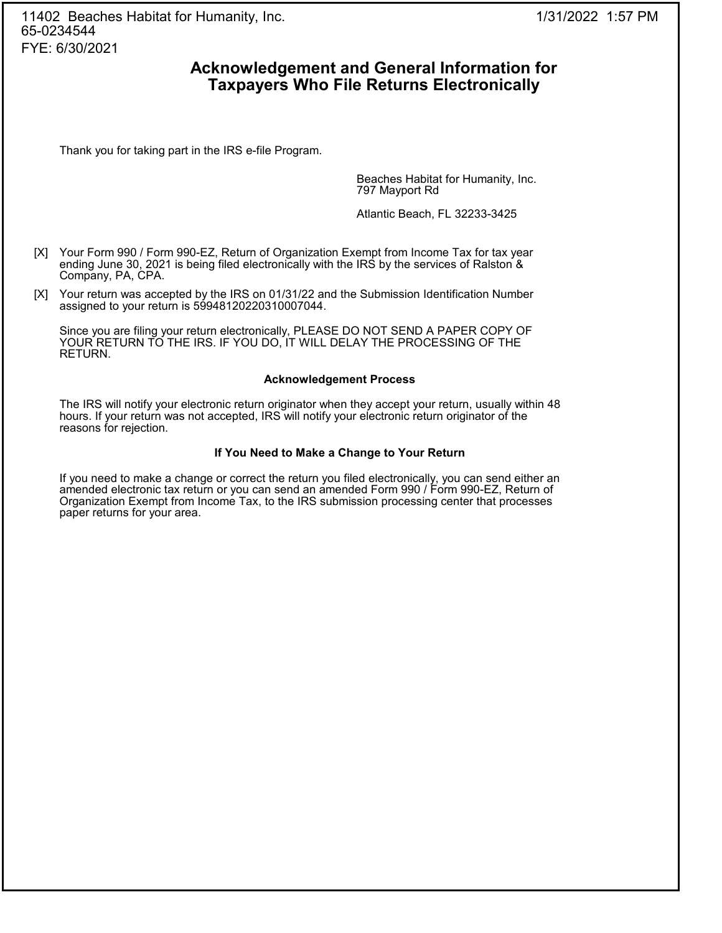## **Acknowledgement and General Information for Taxpayers Who File Returns Electronically**

Thank you for taking part in the IRS e-file Program.

Beaches Habitat for Humanity, Inc. 797 Mayport Rd

Atlantic Beach, FL 32233-3425

- [X] Your Form 990 / Form 990-EZ, Return of Organization Exempt from Income Tax for tax year ending June 30, 2021 is being filed electronically with the IRS by the services of Ralston & Company, PA, CPA.
- [X] Your return was accepted by the IRS on 01/31/22 and the Submission Identification Number assigned to your return is 59948120220310007044.

Since you are filing your return electronically, PLEASE DO NOT SEND A PAPER COPY OF YOUR RETURN TO THE IRS. IF YOU DO, IT WILL DELAY THE PROCESSING OF THE RETURN.

#### **Acknowledgement Process**

The IRS will notify your electronic return originator when they accept your return, usually within 48 hours. If your return was not accepted, IRS will notify your electronic return originator of the reasons for rejection.

#### **If You Need to Make a Change to Your Return**

If you need to make a change or correct the return you filed electronically, you can send either an amended electronic tax return or you can send an amended Form 990 / Form 990-EZ, Return of Organization Exempt from Income Tax, to the IRS submission processing center that processes paper returns for your area.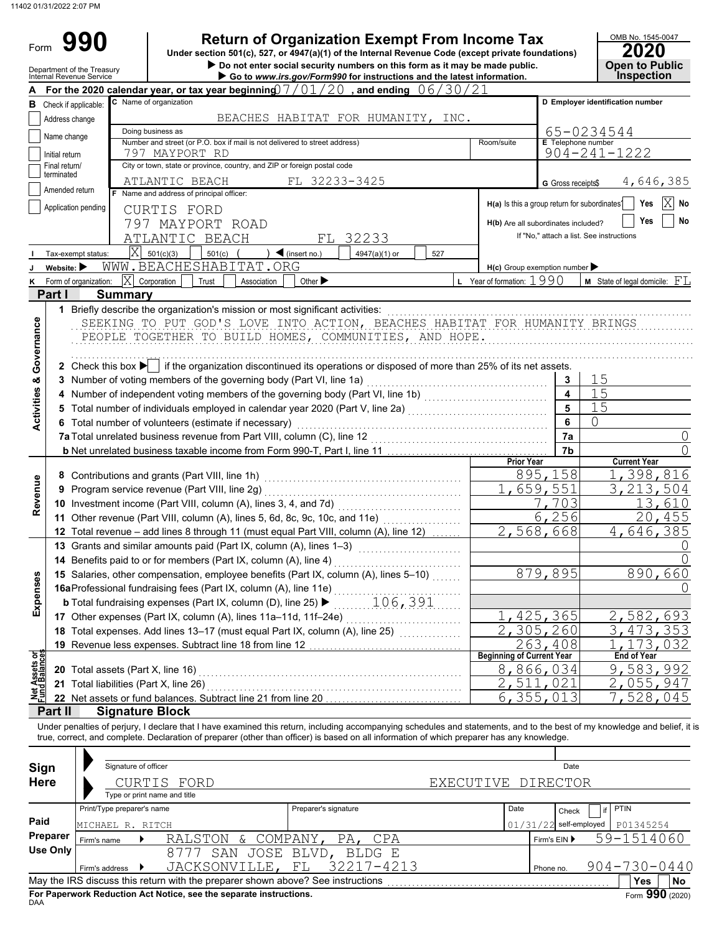#### Other expenses (Part IX, column (A), lines 11a–11d, 11f–24e) . . . . . . . . . . . . . . . . . . . . . . . . . . . . **17** Total expenses. Add lines 13–17 (must equal Part IX, column (A), line 25) . . . . . . . . . . . . . . . **18** G Gross receipts\$ Check if applicable: **A** For the 2020 calendar year, or tax year beginning)  $7$  /  $01$  /  $20\,$  , and ending  $\,$  0.6  $/$   $30$  /  $21\,$ Application pending City or town, state or province, country, and ZIP or foreign postal code Amended return terminated Number and street (or P.O. box if mail is not delivered to street address) Room/suite Initial return Name change Address change C Name of organization Department of the Treasury **internal Revenue Service in Conserver Conserverse Conserverse Conserverse Conservers<br>
<b>Go to** *www.irs.gov/Form990* for instructions and the latest information. OMB No. 1545-0047 Form **Telephone number B** Check if annicable: C Name of organization **C D Employer identification number Do not enter social security numbers on this form as it may be made public. <br>
<b>Do not enter social security numbers on this form as it may be made public. Open to Public 990 a 2020 2010 2020 2020 2020 2020 2020 2020 2020 2020 2020 2020 2020 2020 2020 2020 2020 2020 2020 2020 2020 2020 2020 2020 2020 2020 2020 2020 2020 2020 2 Inspection** Doing business as **Name and address of principal officer: H(a)** Is this a group return for subordinates? **H(b)** Are all subordinates included? **H(c)** Group exemption number If "No," attach a list. See instructions **Yes Yes No I J K** Tax-exempt status: **Website:**  Form of organization: 501(c) ( )  $\triangleleft$  (insert no.)  $\begin{array}{|c|c|c|c|c|c|c|c|c|} \hline 527 & 527 \end{array}$ **X** Corporation Trust Association Other **L** Other **L** Year of formation: 1990 **Part I Summary** 1 Briefly describe the organization's mission or most significant activities: www.www.www.www.www.www.www.www.ww. **2** Check this box ▶ │ if the organization discontinued its operations or disposed of more than 25% of its net assets. **3** Number of voting members of the governing body (Part VI, line 1a) . . . . . . . . . . . . . . . . . . . . . . . . . . . . . . . . . . . . . . . . . . . . **4** Number of independent voting members of the governing body (Part VI, line 1b) . . . . . . . . . . . . . . . . . . . . . . . . . . . . . . **5** Total number of individuals employed in calendar year 2020 (Part V, line 2a)  $\ldots$ **6** Total number of volunteers (estimate if necessary) . . . . . . . . . . . . . . . . . . . . . . . . . . . . . . . . . . . . . . . . . . . . . . . . . . . . . . . . . . . . . **7a** Total unrelated business revenue from Part VIII, column (C), line 12 . . . . . . . . . . . . . . . . . . . . . . . . . . . . . . . . . . . . . . . . . . . **b** Net unrelated business taxable income from Form 990-T, Part I, line 11 . . . . . . . . . . . . . . . . . . . . . . . . . . . . . . . . . . . . . . . **7b 7a 6 5 4 3** SEEKING TO PUT GOD'S LOVE INTO ACTION, BEACHES HABITAT FOR HUMANITY BRINGS . . . . . . . . . . . . . . . . . . . . . . . . . . . . . . . . . . . . . . . . . . . . . . . . . . . . . . . . . . . . . . . . . . . . . . . . . . . . . . . . . . . . . . . . . . . . . . . . . . . . . . . . . . . . . . . . . . . . . . . . . . . . . . . . . . . . . . . . . . . . . . . . . . . . . . . PEOPLE TOGETHER TO BUILD HOMES, COMMUNITIES, AND HOPE. . . . . . . . . . . . . . . . . . . . . . . . . . . . . . . . . . . . . . . . . . . . . . . . . . . . . . . . . . . . . . . . . . . . . . . . . . . . . . . . . . . . . . . . . . . . . . . . . . . . . . . . . . . . . . . . . . . . . . . . . . . . . . . . . . . . . . . . . . . . . . . . . . . . . . . . **8** Contributions and grants (Part VIII, line 1h) . . . . . . . . . . . . . . . . . . . . . . . . . . . . . . . . . . . . . . . . . . . . . . . . **9** Program service revenue (Part VIII, line 2g) . . . . . . . . . . . . . . . . . . . . . . . . . . . . . . . . . . . . . . . . . . . . . . . . **10** Investment income (Part VIII, column (A), lines 3, 4, and 7d) . . . . . . . . . . . . . . . . . . . . . . . . . . . . . . **11** Other revenue (Part VIII, column (A), lines 5, 6d, 8c, 9c, 10c, and 11e) .................... **12** Total revenue – add lines 8 through 11 (must equal Part VIII, column (A), line 12) ....... **Prior Year Current Year 13** Grants and similar amounts paid (Part IX, column (A), lines 1–3) . . . . . . . . . . . . . . . . . . . . . . . . . **14** Benefits paid to or for members (Part IX, column (A), line 4) . . . . . . . . . . . . . . . . . . . . . . . . . . . . . . . **15** Salaries, other compensation, employee benefits (Part IX, column (A), lines 5–10)  $\ldots$ **16a** Professional fundraising fees (Part IX, column (A), line 11e) . . . . . . . . . . . . . . . . . . . . . . . . . . . . . . . **b** Total fundraising expenses (Part IX, column (D), line 25) . . . . . . . . . . . . . . . . . . . . . . . . . . . . . . . 106,391 **19** Revenue less expenses. Subtract line 18 from line 12 . . . . . . . . . . . . . . . . . . . . . . . . . . . . . . . . . . . . . **20** Total assets (Part X, line 16) . . . . . . . . . . . . . . . . . . . . . . . . . . . . . . . . . . . . . . . . . . . . . . . . . . . . . . . . . . . . . . . . **21** Total liabilities (Part X, line 26) . . . . . . . . . . . . . . . . . . . . . . . . . . . . . . . . . . . . . . . . . . . . . . . . . . . . . . . . . . . . . . **22** Net assets or fund balances. Subtract line 21 from line 20 ……………………………… **Beginning of Current Year End of Year Part II Signature Block** Paints and the same of the super space is contained a source of the section and the section of the section of the section of the section of the section of the section of the section of the section of the section of the se 501(c)(3) Final return/ BEACHES HABITAT FOR HUMANITY, INC. 797 MAYPORT RD ATLANTIC BEACH FL 32233-3425 65-0234544 904-241-1222 CURTIS FORD 797 MAYPORT ROAD ATLANTIC BEACH FL 32233 4,646,385  $\overline{X}$ X WWW.BEACHESHABITAT.ORG **M** State of legal domicile:  $FL$ <u>15</u> 15 15 0 0 0 <mark>895,158</mark> 1,398,816<br>659,551 3,213,504 1,659,551 3,213,504 <u>13,610</u><br>20,455 6,256 2,568,668 4,646,385 0  $rac{0}{660}$ 879,895 890, 0 <u>425,365 2,582,693</u><br>305,260 3,473,353 <u>305,260 3,473,</u><br>263.408 1,173, 263,408 1,173,032 <u>866,034 9,583,992</u><br>511,021 2,055,947 2,511,021 2,055,947 6,355,013 7,528,045 11402 01/31/2022 2:07 PM

Under penalties of perjury, I declare that I have examined this return, including accompanying schedules and statements, and to the best of my knowledge and belief, it is true, correct, and complete. Declaration of preparer (other than officer) is based on all information of which preparer has any knowledge.

| Sign        |                            | Signature of officer         |                                                                                 |                       |                    | Date         |                   |                    |           |
|-------------|----------------------------|------------------------------|---------------------------------------------------------------------------------|-----------------------|--------------------|--------------|-------------------|--------------------|-----------|
| <b>Here</b> |                            | Type or print name and title | CURTIS FORD                                                                     |                       | EXECUTIVE DIRECTOR |              |                   |                    |           |
|             | Print/Type preparer's name |                              |                                                                                 | Preparer's signature  | Date               |              | Check             | <b>PTIN</b>        |           |
| Paid        | MICHAEL R. RITCH           |                              |                                                                                 |                       | 01/31              |              | /22 self-employed | P01345254          |           |
| Preparer    | Firm's name                |                              | RALSTON & COMPANY,                                                              | PA, CPA               |                    | Firm's $EIN$ |                   | 59-1514060         |           |
| Use Only    |                            |                              | 8'/7'                                                                           | SAN JOSE BLVD, BLDG E |                    |              |                   |                    |           |
|             | Firm's address ▶           |                              | JACKSONVILLE, FL                                                                | 32217-4213            |                    | Phone no.    |                   | $904 - 730 - 0440$ |           |
|             |                            |                              | May the IRS discuss this return with the preparer shown above? See instructions |                       |                    |              |                   | Yes                | <b>No</b> |
| <b>DAA</b>  |                            |                              | For Paperwork Reduction Act Notice, see the separate instructions.              |                       |                    |              |                   | Form 990 (2020)    |           |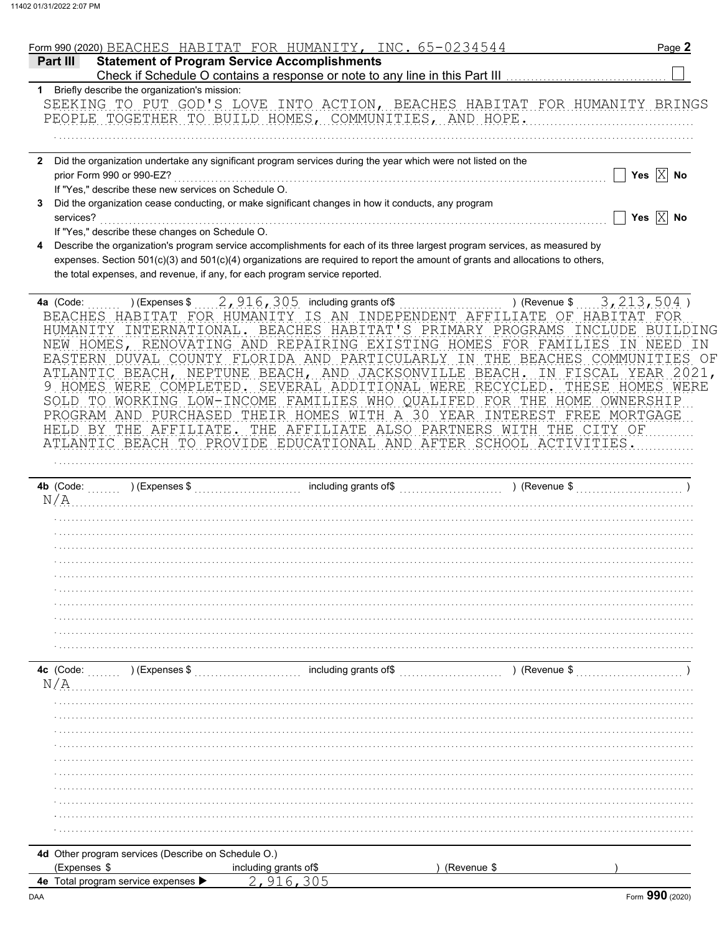|                                                                     |                                                      | Form 990 (2020) BEACHES HABITAT FOR HUMANITY, INC. 65-0234544                                                                                                                                                 |                                              | Page 2                  |
|---------------------------------------------------------------------|------------------------------------------------------|---------------------------------------------------------------------------------------------------------------------------------------------------------------------------------------------------------------|----------------------------------------------|-------------------------|
| Part III                                                            |                                                      | <b>Statement of Program Service Accomplishments</b>                                                                                                                                                           |                                              |                         |
|                                                                     |                                                      |                                                                                                                                                                                                               |                                              |                         |
|                                                                     | 1 Briefly describe the organization's mission:       | SEEKING TO PUT GOD'S LOVE INTO ACTION, BEACHES HABITAT FOR HUMANITY BRINGS                                                                                                                                    |                                              |                         |
|                                                                     |                                                      | PEOPLE TOGETHER TO BUILD HOMES, COMMUNITIES, AND HOPE.                                                                                                                                                        |                                              |                         |
|                                                                     |                                                      |                                                                                                                                                                                                               |                                              |                         |
|                                                                     |                                                      | Did the organization undertake any significant program services during the year which were not listed on the                                                                                                  |                                              |                         |
| prior Form 990 or 990-EZ?                                           |                                                      |                                                                                                                                                                                                               |                                              | Yes $\boxed{\times}$ No |
|                                                                     | If "Yes," describe these new services on Schedule O. |                                                                                                                                                                                                               |                                              |                         |
|                                                                     |                                                      | Did the organization cease conducting, or make significant changes in how it conducts, any program                                                                                                            |                                              |                         |
| services?                                                           |                                                      |                                                                                                                                                                                                               |                                              | Yes $\boxed{\times}$ No |
|                                                                     | If "Yes," describe these changes on Schedule O.      | Describe the organization's program service accomplishments for each of its three largest program services, as measured by                                                                                    |                                              |                         |
|                                                                     |                                                      | expenses. Section 501(c)(3) and 501(c)(4) organizations are required to report the amount of grants and allocations to others,<br>the total expenses, and revenue, if any, for each program service reported. |                                              |                         |
| 4a (Code:                                                           |                                                      |                                                                                                                                                                                                               | ) (Revenue $$3, 213, 504$ )                  |                         |
|                                                                     |                                                      | BEACHES HABITAT FOR HUMANITY IS AN INDEPENDENT AFFILIATE OF HABITAT                                                                                                                                           |                                              | FOR                     |
|                                                                     |                                                      | HUMANITY INTERNATIONAL. BEACHES HABITAT'S PRIMARY PROGRAMS                                                                                                                                                    | INCLUDE                                      | BUILDING                |
|                                                                     |                                                      | NEW HOMES, RENOVATING AND REPAIRING EXISTING HOMES FOR FAMILIES                                                                                                                                               |                                              | IN T<br>NEED<br>- IN    |
|                                                                     |                                                      | EASTERN DUVAL COUNTY FLORIDA AND PARTICULARLY IN THE BEACHES COMMUNITIES OF                                                                                                                                   |                                              |                         |
|                                                                     |                                                      | ATLANTIC BEACH, NEPTUNE BEACH, AND JACKSONVILLE BEACH. IN FISCAL YEAR 2021,                                                                                                                                   |                                              |                         |
|                                                                     |                                                      | 9 HOMES WERE COMPLETED. SEVERAL ADDITIONAL WERE RECYCLED.                                                                                                                                                     |                                              | THESE HOMES WERE        |
|                                                                     |                                                      | SOLD TO WORKING LOW-INCOME FAMILIES WHO QUALIFED FOR THE HOME OWNERSHIP                                                                                                                                       |                                              |                         |
|                                                                     |                                                      | PROGRAM AND PURCHASED THEIR HOMES WITH A 30 YEAR INTEREST FREE MORTGAGE                                                                                                                                       |                                              |                         |
|                                                                     | HELD BY THE AFFILIATE.                               |                                                                                                                                                                                                               | THE AFFILIATE ALSO PARTNERS WITH THE CITY OF |                         |
|                                                                     |                                                      | ATLANTIC BEACH TO PROVIDE EDUCATIONAL AND AFTER SCHOOL ACTIVITIES.                                                                                                                                            |                                              |                         |
|                                                                     |                                                      |                                                                                                                                                                                                               |                                              |                         |
|                                                                     |                                                      |                                                                                                                                                                                                               |                                              |                         |
| N/A                                                                 |                                                      |                                                                                                                                                                                                               |                                              |                         |
|                                                                     |                                                      |                                                                                                                                                                                                               |                                              |                         |
|                                                                     |                                                      |                                                                                                                                                                                                               |                                              |                         |
|                                                                     |                                                      |                                                                                                                                                                                                               |                                              |                         |
|                                                                     |                                                      |                                                                                                                                                                                                               |                                              |                         |
|                                                                     |                                                      |                                                                                                                                                                                                               |                                              |                         |
|                                                                     |                                                      |                                                                                                                                                                                                               |                                              |                         |
|                                                                     |                                                      |                                                                                                                                                                                                               |                                              |                         |
|                                                                     |                                                      |                                                                                                                                                                                                               |                                              |                         |
|                                                                     |                                                      |                                                                                                                                                                                                               |                                              |                         |
|                                                                     |                                                      |                                                                                                                                                                                                               |                                              |                         |
| 4c (Code:                                                           | $(1, 1, 1, 1)$ (Expenses \$                          | including grants of\$                                                                                                                                                                                         | ) (Revenue \$                                |                         |
| N/A                                                                 |                                                      |                                                                                                                                                                                                               |                                              |                         |
|                                                                     |                                                      |                                                                                                                                                                                                               |                                              |                         |
|                                                                     |                                                      |                                                                                                                                                                                                               |                                              |                         |
|                                                                     |                                                      |                                                                                                                                                                                                               |                                              |                         |
|                                                                     |                                                      |                                                                                                                                                                                                               |                                              |                         |
|                                                                     |                                                      |                                                                                                                                                                                                               |                                              |                         |
|                                                                     |                                                      |                                                                                                                                                                                                               |                                              |                         |
|                                                                     |                                                      |                                                                                                                                                                                                               |                                              |                         |
|                                                                     |                                                      |                                                                                                                                                                                                               |                                              |                         |
|                                                                     |                                                      |                                                                                                                                                                                                               |                                              |                         |
|                                                                     |                                                      |                                                                                                                                                                                                               |                                              |                         |
|                                                                     |                                                      |                                                                                                                                                                                                               |                                              |                         |
|                                                                     |                                                      |                                                                                                                                                                                                               |                                              |                         |
| 4d Other program services (Describe on Schedule O.)<br>(Expenses \$ |                                                      | including grants of\$                                                                                                                                                                                         | (Revenue \$                                  |                         |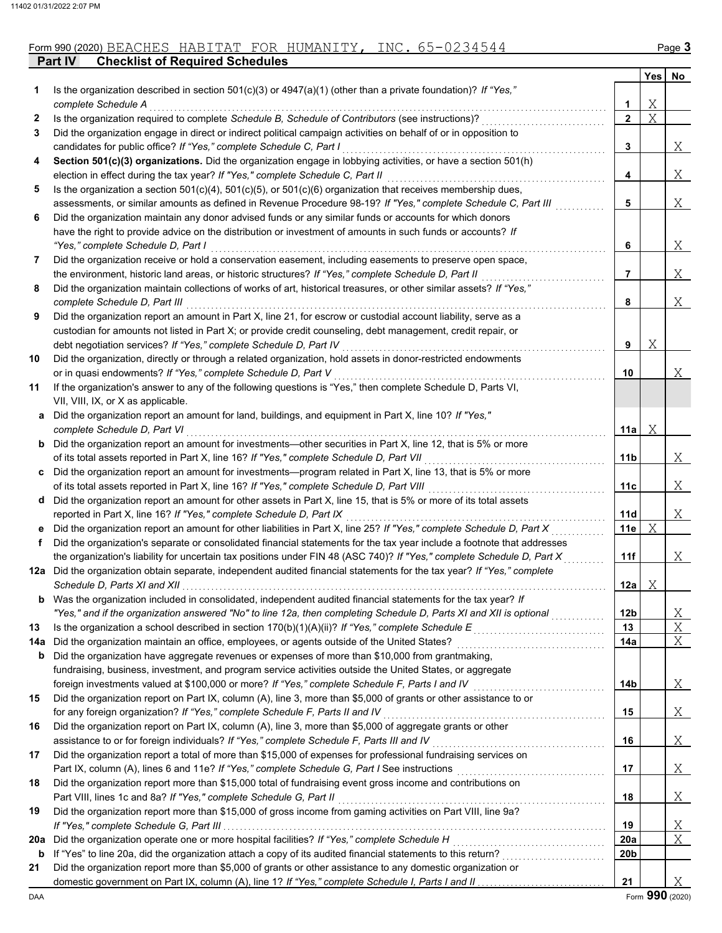|              |                                                                                                                                                                                                                           |                 | <b>Yes</b> | No |
|--------------|---------------------------------------------------------------------------------------------------------------------------------------------------------------------------------------------------------------------------|-----------------|------------|----|
| 1            | Is the organization described in section 501(c)(3) or 4947(a)(1) (other than a private foundation)? If "Yes,"                                                                                                             |                 |            |    |
|              | complete Schedule A                                                                                                                                                                                                       | 1               | Χ          |    |
| $\mathbf{2}$ | Is the organization required to complete Schedule B, Schedule of Contributors (see instructions)?                                                                                                                         | $\mathbf{2}$    | Χ          |    |
| 3            | Did the organization engage in direct or indirect political campaign activities on behalf of or in opposition to                                                                                                          |                 |            |    |
|              | candidates for public office? If "Yes," complete Schedule C, Part I                                                                                                                                                       | 3               |            | Χ  |
| 4            | Section 501(c)(3) organizations. Did the organization engage in lobbying activities, or have a section 501(h)                                                                                                             |                 |            |    |
|              | election in effect during the tax year? If "Yes," complete Schedule C, Part II                                                                                                                                            | 4               |            | Χ  |
| 5            | Is the organization a section $501(c)(4)$ , $501(c)(5)$ , or $501(c)(6)$ organization that receives membership dues,                                                                                                      | 5               |            | Χ  |
|              | assessments, or similar amounts as defined in Revenue Procedure 98-19? If "Yes," complete Schedule C, Part III<br>Did the organization maintain any donor advised funds or any similar funds or accounts for which donors |                 |            |    |
| 6            | have the right to provide advice on the distribution or investment of amounts in such funds or accounts? If                                                                                                               |                 |            |    |
|              | "Yes," complete Schedule D, Part I                                                                                                                                                                                        | 6               |            | Χ  |
| 7            | Did the organization receive or hold a conservation easement, including easements to preserve open space,                                                                                                                 |                 |            |    |
|              | the environment, historic land areas, or historic structures? If "Yes," complete Schedule D, Part II                                                                                                                      | 7               |            | Χ  |
| 8            | Did the organization maintain collections of works of art, historical treasures, or other similar assets? If "Yes,"                                                                                                       |                 |            |    |
|              | complete Schedule D, Part III                                                                                                                                                                                             | 8               |            | Χ  |
| 9            | Did the organization report an amount in Part X, line 21, for escrow or custodial account liability, serve as a                                                                                                           |                 |            |    |
|              | custodian for amounts not listed in Part X; or provide credit counseling, debt management, credit repair, or                                                                                                              |                 |            |    |
|              | debt negotiation services? If "Yes," complete Schedule D, Part IV                                                                                                                                                         | 9               | Χ          |    |
| 10           | Did the organization, directly or through a related organization, hold assets in donor-restricted endowments                                                                                                              |                 |            |    |
|              | or in quasi endowments? If "Yes," complete Schedule D, Part V                                                                                                                                                             | 10              |            | Χ  |
| 11           | If the organization's answer to any of the following questions is "Yes," then complete Schedule D, Parts VI,                                                                                                              |                 |            |    |
|              | VII, VIII, IX, or X as applicable.                                                                                                                                                                                        |                 |            |    |
| a            | Did the organization report an amount for land, buildings, and equipment in Part X, line 10? If "Yes,"                                                                                                                    |                 |            |    |
|              | complete Schedule D, Part VI                                                                                                                                                                                              | 11a             | Χ          |    |
| b            | Did the organization report an amount for investments—other securities in Part X, line 12, that is 5% or more                                                                                                             |                 |            |    |
|              | of its total assets reported in Part X, line 16? If "Yes," complete Schedule D, Part VII                                                                                                                                  | 11 <sub>b</sub> |            | Χ  |
| c            | Did the organization report an amount for investments—program related in Part X, line 13, that is 5% or more                                                                                                              |                 |            |    |
|              | of its total assets reported in Part X, line 16? If "Yes," complete Schedule D, Part VIII                                                                                                                                 | 11c             |            | Χ  |
| d            | Did the organization report an amount for other assets in Part X, line 15, that is 5% or more of its total assets                                                                                                         |                 |            |    |
|              | reported in Part X, line 16? If "Yes," complete Schedule D, Part IX                                                                                                                                                       | 11d             |            | Χ  |
| е            | Did the organization report an amount for other liabilities in Part X, line 25? If "Yes," complete Schedule D, Part X                                                                                                     | 11e             | Χ          |    |
| f            | Did the organization's separate or consolidated financial statements for the tax year include a footnote that addresses                                                                                                   |                 |            |    |
|              | the organization's liability for uncertain tax positions under FIN 48 (ASC 740)? If "Yes," complete Schedule D, Part X                                                                                                    | 11f             |            | Χ  |
|              | 12a Did the organization obtain separate, independent audited financial statements for the tax year? If "Yes," complete                                                                                                   |                 |            |    |
|              | Schedule D, Parts XI and XII                                                                                                                                                                                              | 12a             | Χ          |    |
|              | <b>b</b> Was the organization included in consolidated, independent audited financial statements for the tax year? If                                                                                                     |                 |            |    |
|              | "Yes," and if the organization answered "No" to line 12a, then completing Schedule D, Parts XI and XII is optional                                                                                                        | 12 <sub>b</sub> |            | Χ  |
| 13           | Is the organization a school described in section $170(b)(1)(A)(ii)?$ If "Yes," complete Schedule E                                                                                                                       | 13              |            | Χ  |
| 14a          | Did the organization maintain an office, employees, or agents outside of the United States?                                                                                                                               | 14a             |            | Χ  |
| b            | Did the organization have aggregate revenues or expenses of more than \$10,000 from grantmaking,                                                                                                                          |                 |            |    |
|              | fundraising, business, investment, and program service activities outside the United States, or aggregate                                                                                                                 |                 |            |    |
|              | foreign investments valued at \$100,000 or more? If "Yes," complete Schedule F, Parts I and IV                                                                                                                            | 14b             |            | Χ  |
| 15           | Did the organization report on Part IX, column (A), line 3, more than \$5,000 of grants or other assistance to or                                                                                                         |                 |            |    |
| 16           | for any foreign organization? If "Yes," complete Schedule F, Parts II and IV<br>Did the organization report on Part IX, column (A), line 3, more than \$5,000 of aggregate grants or other                                | 15              |            | Χ  |
|              | assistance to or for foreign individuals? If "Yes," complete Schedule F, Parts III and IV                                                                                                                                 | 16              |            | Χ  |
| 17           | Did the organization report a total of more than \$15,000 of expenses for professional fundraising services on                                                                                                            |                 |            |    |
|              |                                                                                                                                                                                                                           | 17              |            | Χ  |
| 18           | Did the organization report more than \$15,000 total of fundraising event gross income and contributions on                                                                                                               |                 |            |    |
|              | Part VIII, lines 1c and 8a? If "Yes," complete Schedule G, Part II                                                                                                                                                        | 18              |            | Χ  |
| 19           | Did the organization report more than \$15,000 of gross income from gaming activities on Part VIII, line 9a?                                                                                                              |                 |            |    |
|              |                                                                                                                                                                                                                           | 19              |            | Χ  |
|              | 20a Did the organization operate one or more hospital facilities? If "Yes," complete Schedule H                                                                                                                           | 20a             |            | Χ  |
| b            |                                                                                                                                                                                                                           | 20b             |            |    |
| 21           | Did the organization report more than \$5,000 of grants or other assistance to any domestic organization or                                                                                                               |                 |            |    |
|              |                                                                                                                                                                                                                           | 21              |            | Χ  |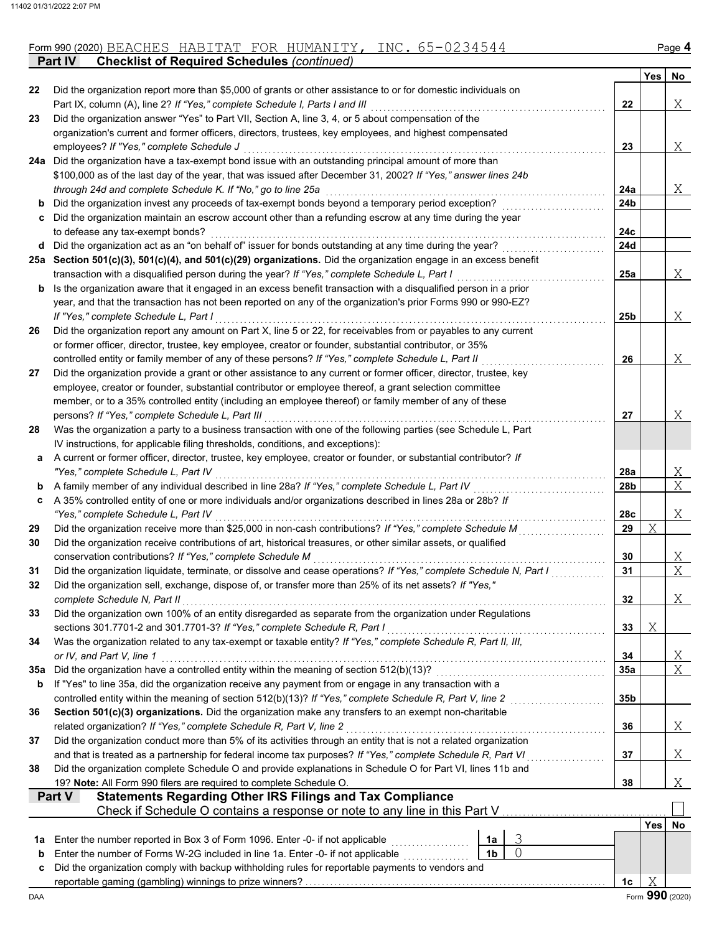| Form 990 (2020) | $\Delta($<br>BEACHES | ΆT<br>$\mathbf{v}$<br>HABITAT | OR"<br>. . | ∨רח ⊤דור<br>.1UMANITY. | $- - - -$<br>$+$ N( $\cdot$ | ∾aαe |
|-----------------|----------------------|-------------------------------|------------|------------------------|-----------------------------|------|
|                 |                      |                               |            |                        |                             |      |

**Part IV Checklist of Required Schedules** *(continued)*

|     |                                                                                                                                                                                                     |                |        |                 | Yes        | No              |
|-----|-----------------------------------------------------------------------------------------------------------------------------------------------------------------------------------------------------|----------------|--------|-----------------|------------|-----------------|
| 22  | Did the organization report more than \$5,000 of grants or other assistance to or for domestic individuals on                                                                                       |                |        |                 |            |                 |
| 23  | Part IX, column (A), line 2? If "Yes," complete Schedule I, Parts I and III<br>Did the organization answer "Yes" to Part VII, Section A, line 3, 4, or 5 about compensation of the                  |                |        | 22              |            | Χ               |
|     | organization's current and former officers, directors, trustees, key employees, and highest compensated                                                                                             |                |        |                 |            |                 |
|     | employees? If "Yes," complete Schedule J                                                                                                                                                            |                |        | 23              |            | Χ               |
| 24a | Did the organization have a tax-exempt bond issue with an outstanding principal amount of more than                                                                                                 |                |        |                 |            |                 |
|     | \$100,000 as of the last day of the year, that was issued after December 31, 2002? If "Yes," answer lines 24b                                                                                       |                |        |                 |            |                 |
|     | through 24d and complete Schedule K. If "No," go to line 25a                                                                                                                                        |                |        | 24a             |            | Χ               |
| b   | Did the organization invest any proceeds of tax-exempt bonds beyond a temporary period exception?                                                                                                   |                |        | 24b             |            |                 |
| c   | Did the organization maintain an escrow account other than a refunding escrow at any time during the year                                                                                           |                |        |                 |            |                 |
|     | to defease any tax-exempt bonds?                                                                                                                                                                    |                |        | 24c             |            |                 |
|     | d Did the organization act as an "on behalf of" issuer for bonds outstanding at any time during the year?                                                                                           |                |        | 24d             |            |                 |
|     | 25a Section 501(c)(3), 501(c)(4), and 501(c)(29) organizations. Did the organization engage in an excess benefit                                                                                    |                |        |                 |            |                 |
|     | transaction with a disqualified person during the year? If "Yes," complete Schedule L, Part I                                                                                                       |                |        | 25a             |            | Χ               |
| b   | Is the organization aware that it engaged in an excess benefit transaction with a disqualified person in a prior                                                                                    |                |        |                 |            |                 |
|     | year, and that the transaction has not been reported on any of the organization's prior Forms 990 or 990-EZ?                                                                                        |                |        |                 |            |                 |
|     | If "Yes," complete Schedule L, Part I                                                                                                                                                               |                |        | 25b             |            | Χ               |
| 26  | Did the organization report any amount on Part X, line 5 or 22, for receivables from or payables to any current                                                                                     |                |        |                 |            |                 |
|     | or former officer, director, trustee, key employee, creator or founder, substantial contributor, or 35%                                                                                             |                |        |                 |            |                 |
|     | controlled entity or family member of any of these persons? If "Yes," complete Schedule L, Part II                                                                                                  |                |        | 26              |            | Χ               |
| 27  | Did the organization provide a grant or other assistance to any current or former officer, director, trustee, key                                                                                   |                |        |                 |            |                 |
|     | employee, creator or founder, substantial contributor or employee thereof, a grant selection committee                                                                                              |                |        |                 |            |                 |
|     | member, or to a 35% controlled entity (including an employee thereof) or family member of any of these                                                                                              |                |        |                 |            |                 |
|     | persons? If "Yes," complete Schedule L, Part III                                                                                                                                                    |                |        | 27              |            | Χ               |
| 28  | Was the organization a party to a business transaction with one of the following parties (see Schedule L, Part                                                                                      |                |        |                 |            |                 |
|     | IV instructions, for applicable filing thresholds, conditions, and exceptions):<br>A current or former officer, director, trustee, key employee, creator or founder, or substantial contributor? If |                |        |                 |            |                 |
| а   | "Yes," complete Schedule L, Part IV                                                                                                                                                                 |                |        | 28a             |            | Χ               |
| b   | A family member of any individual described in line 28a? If "Yes," complete Schedule L, Part IV                                                                                                     |                |        | 28b             |            | X               |
| c   | A 35% controlled entity of one or more individuals and/or organizations described in lines 28a or 28b? If                                                                                           |                |        |                 |            |                 |
|     | "Yes," complete Schedule L, Part IV                                                                                                                                                                 |                |        | 28c             |            | Χ               |
| 29  | Did the organization receive more than \$25,000 in non-cash contributions? If "Yes," complete Schedule M                                                                                            |                |        | 29              | Χ          |                 |
| 30  | Did the organization receive contributions of art, historical treasures, or other similar assets, or qualified                                                                                      |                |        |                 |            |                 |
|     | conservation contributions? If "Yes," complete Schedule M                                                                                                                                           |                |        | 30              |            | Χ               |
| 31  | Did the organization liquidate, terminate, or dissolve and cease operations? If "Yes," complete Schedule N, Part I                                                                                  |                |        | 31              |            | X               |
| 32  | Did the organization sell, exchange, dispose of, or transfer more than 25% of its net assets? If "Yes,"                                                                                             |                |        |                 |            |                 |
|     | complete Schedule N, Part II                                                                                                                                                                        |                |        | 32              |            | Χ               |
| 33  | Did the organization own 100% of an entity disregarded as separate from the organization under Regulations                                                                                          |                |        |                 |            |                 |
|     | sections 301.7701-2 and 301.7701-3? If "Yes," complete Schedule R, Part I                                                                                                                           |                |        | 33              | Χ          |                 |
| 34  | Was the organization related to any tax-exempt or taxable entity? If "Yes," complete Schedule R, Part II, III,                                                                                      |                |        |                 |            |                 |
|     | or IV, and Part V, line 1                                                                                                                                                                           |                |        | 34              |            | <u>X</u>        |
| 35а | Did the organization have a controlled entity within the meaning of section 512(b)(13)?                                                                                                             |                |        | 35a             |            | X               |
| b   | If "Yes" to line 35a, did the organization receive any payment from or engage in any transaction with a                                                                                             |                |        |                 |            |                 |
|     | controlled entity within the meaning of section 512(b)(13)? If "Yes," complete Schedule R, Part V, line 2                                                                                           |                |        | 35 <sub>b</sub> |            |                 |
| 36  | Section 501(c)(3) organizations. Did the organization make any transfers to an exempt non-charitable                                                                                                |                |        |                 |            |                 |
|     | related organization? If "Yes," complete Schedule R, Part V, line 2                                                                                                                                 |                |        | 36              |            | X               |
| 37  | Did the organization conduct more than 5% of its activities through an entity that is not a related organization                                                                                    |                |        |                 |            |                 |
|     | and that is treated as a partnership for federal income tax purposes? If "Yes," complete Schedule R, Part VI                                                                                        |                |        | 37              |            | Χ               |
| 38  | Did the organization complete Schedule O and provide explanations in Schedule O for Part VI, lines 11b and                                                                                          |                |        |                 |            |                 |
|     | 19? Note: All Form 990 filers are required to complete Schedule O.                                                                                                                                  |                |        | 38              |            | <u>X</u>        |
|     | <b>Statements Regarding Other IRS Filings and Tax Compliance</b><br>Part V                                                                                                                          |                |        |                 |            |                 |
|     | Check if Schedule O contains a response or note to any line in this Part V                                                                                                                          |                |        |                 |            |                 |
|     |                                                                                                                                                                                                     |                |        |                 | <b>Yes</b> | No              |
| 1a  | Enter the number reported in Box 3 of Form 1096. Enter -0- if not applicable                                                                                                                        | 1a             | 3<br>0 |                 |            |                 |
| b   | Enter the number of Forms W-2G included in line 1a. Enter -0- if not applicable                                                                                                                     | 1 <sub>b</sub> |        |                 |            |                 |
| c   | Did the organization comply with backup withholding rules for reportable payments to vendors and                                                                                                    |                |        | 1c              | Χ          |                 |
| DAA |                                                                                                                                                                                                     |                |        |                 |            | Form 990 (2020) |
|     |                                                                                                                                                                                                     |                |        |                 |            |                 |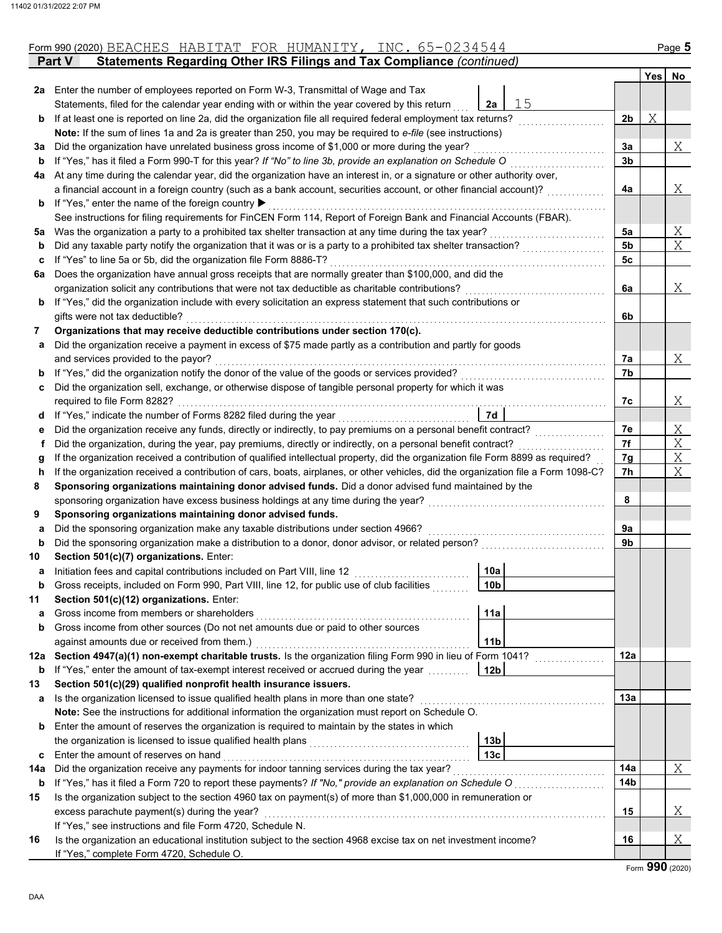| Yes<br>2a Enter the number of employees reported on Form W-3, Transmittal of Wage and Tax<br>15<br>Statements, filed for the calendar year ending with or within the year covered by this return<br>2a<br>Χ<br>If at least one is reported on line 2a, did the organization file all required federal employment tax returns?<br>2b<br>b<br>Note: If the sum of lines 1a and 2a is greater than 250, you may be required to e-file (see instructions)<br>Did the organization have unrelated business gross income of \$1,000 or more during the year?<br>За<br>За<br>If "Yes," has it filed a Form 990-T for this year? If "No" to line 3b, provide an explanation on Schedule O<br>3b<br>b<br>At any time during the calendar year, did the organization have an interest in, or a signature or other authority over,<br>4a<br>a financial account in a foreign country (such as a bank account, securities account, or other financial account)?<br>4a<br>If "Yes," enter the name of the foreign country ▶<br>b<br>See instructions for filing requirements for FinCEN Form 114, Report of Foreign Bank and Financial Accounts (FBAR).<br>Was the organization a party to a prohibited tax shelter transaction at any time during the tax year?<br>5a<br>5a<br>Did any taxable party notify the organization that it was or is a party to a prohibited tax shelter transaction?<br>5b<br>b<br>If "Yes" to line 5a or 5b, did the organization file Form 8886-T?<br>5с<br>c<br>Does the organization have annual gross receipts that are normally greater than \$100,000, and did the<br>6a<br>organization solicit any contributions that were not tax deductible as charitable contributions?<br>6a<br>If "Yes," did the organization include with every solicitation an express statement that such contributions or<br>b<br>gifts were not tax deductible?<br>6b<br>Organizations that may receive deductible contributions under section 170(c).<br>7<br>Did the organization receive a payment in excess of \$75 made partly as a contribution and partly for goods<br>а<br>and services provided to the payor?<br>7а<br>If "Yes," did the organization notify the donor of the value of the goods or services provided?<br>7b<br>b<br>Did the organization sell, exchange, or otherwise dispose of tangible personal property for which it was<br>c<br>required to file Form 8282?<br>7c<br>If "Yes," indicate the number of Forms 8282 filed during the year<br>7d<br>a<br>7e<br>Did the organization receive any funds, directly or indirectly, to pay premiums on a personal benefit contract?<br>е<br>7f<br>Did the organization, during the year, pay premiums, directly or indirectly, on a personal benefit contract?<br>f<br>If the organization received a contribution of qualified intellectual property, did the organization file Form 8899 as required?<br>7g<br>g<br>If the organization received a contribution of cars, boats, airplanes, or other vehicles, did the organization file a Form 1098-C?<br>7h<br>h.<br>Sponsoring organizations maintaining donor advised funds. Did a donor advised fund maintained by the<br>8<br>8<br>sponsoring organization have excess business holdings at any time during the year?<br>Sponsoring organizations maintaining donor advised funds.<br>9<br>Did the sponsoring organization make any taxable distributions under section 4966?<br>9а<br>a<br>Did the sponsoring organization make a distribution to a donor, donor advisor, or related person?<br>9b<br>b<br>Section 501(c)(7) organizations. Enter:<br>10<br>10a<br>Initiation fees and capital contributions included on Part VIII, line 12<br>а<br>10 <sub>b</sub><br>Gross receipts, included on Form 990, Part VIII, line 12, for public use of club facilities<br>Section 501(c)(12) organizations. Enter:<br>11<br>Gross income from members or shareholders<br>11a<br>a<br>Gross income from other sources (Do not net amounts due or paid to other sources<br>b<br>11 <sub>b</sub><br>against amounts due or received from them.)<br>12a Section 4947(a)(1) non-exempt charitable trusts. Is the organization filing Form 990 in lieu of Form 1041?<br>12a<br>12 <sub>b</sub><br>If "Yes," enter the amount of tax-exempt interest received or accrued during the year<br>b<br>Section 501(c)(29) qualified nonprofit health insurance issuers.<br>13 |                |
|----------------------------------------------------------------------------------------------------------------------------------------------------------------------------------------------------------------------------------------------------------------------------------------------------------------------------------------------------------------------------------------------------------------------------------------------------------------------------------------------------------------------------------------------------------------------------------------------------------------------------------------------------------------------------------------------------------------------------------------------------------------------------------------------------------------------------------------------------------------------------------------------------------------------------------------------------------------------------------------------------------------------------------------------------------------------------------------------------------------------------------------------------------------------------------------------------------------------------------------------------------------------------------------------------------------------------------------------------------------------------------------------------------------------------------------------------------------------------------------------------------------------------------------------------------------------------------------------------------------------------------------------------------------------------------------------------------------------------------------------------------------------------------------------------------------------------------------------------------------------------------------------------------------------------------------------------------------------------------------------------------------------------------------------------------------------------------------------------------------------------------------------------------------------------------------------------------------------------------------------------------------------------------------------------------------------------------------------------------------------------------------------------------------------------------------------------------------------------------------------------------------------------------------------------------------------------------------------------------------------------------------------------------------------------------------------------------------------------------------------------------------------------------------------------------------------------------------------------------------------------------------------------------------------------------------------------------------------------------------------------------------------------------------------------------------------------------------------------------------------------------------------------------------------------------------------------------------------------------------------------------------------------------------------------------------------------------------------------------------------------------------------------------------------------------------------------------------------------------------------------------------------------------------------------------------------------------------------------------------------------------------------------------------------------------------------------------------------------------------------------------------------------------------------------------------------------------------------------------------------------------------------------------------------------------------------------------------------------------------------------------------------------------------------------------------------------------------------------------------------------------------------------------------------------------------------------------------------------------------------------------------------------------------------------------------------------------------------------------------------------------------------|----------------|
|                                                                                                                                                                                                                                                                                                                                                                                                                                                                                                                                                                                                                                                                                                                                                                                                                                                                                                                                                                                                                                                                                                                                                                                                                                                                                                                                                                                                                                                                                                                                                                                                                                                                                                                                                                                                                                                                                                                                                                                                                                                                                                                                                                                                                                                                                                                                                                                                                                                                                                                                                                                                                                                                                                                                                                                                                                                                                                                                                                                                                                                                                                                                                                                                                                                                                                                                                                                                                                                                                                                                                                                                                                                                                                                                                                                                                                                                                                                                                                                                                                                                                                                                                                                                                                                                                                                                                                                              | No             |
|                                                                                                                                                                                                                                                                                                                                                                                                                                                                                                                                                                                                                                                                                                                                                                                                                                                                                                                                                                                                                                                                                                                                                                                                                                                                                                                                                                                                                                                                                                                                                                                                                                                                                                                                                                                                                                                                                                                                                                                                                                                                                                                                                                                                                                                                                                                                                                                                                                                                                                                                                                                                                                                                                                                                                                                                                                                                                                                                                                                                                                                                                                                                                                                                                                                                                                                                                                                                                                                                                                                                                                                                                                                                                                                                                                                                                                                                                                                                                                                                                                                                                                                                                                                                                                                                                                                                                                                              |                |
|                                                                                                                                                                                                                                                                                                                                                                                                                                                                                                                                                                                                                                                                                                                                                                                                                                                                                                                                                                                                                                                                                                                                                                                                                                                                                                                                                                                                                                                                                                                                                                                                                                                                                                                                                                                                                                                                                                                                                                                                                                                                                                                                                                                                                                                                                                                                                                                                                                                                                                                                                                                                                                                                                                                                                                                                                                                                                                                                                                                                                                                                                                                                                                                                                                                                                                                                                                                                                                                                                                                                                                                                                                                                                                                                                                                                                                                                                                                                                                                                                                                                                                                                                                                                                                                                                                                                                                                              |                |
|                                                                                                                                                                                                                                                                                                                                                                                                                                                                                                                                                                                                                                                                                                                                                                                                                                                                                                                                                                                                                                                                                                                                                                                                                                                                                                                                                                                                                                                                                                                                                                                                                                                                                                                                                                                                                                                                                                                                                                                                                                                                                                                                                                                                                                                                                                                                                                                                                                                                                                                                                                                                                                                                                                                                                                                                                                                                                                                                                                                                                                                                                                                                                                                                                                                                                                                                                                                                                                                                                                                                                                                                                                                                                                                                                                                                                                                                                                                                                                                                                                                                                                                                                                                                                                                                                                                                                                                              |                |
|                                                                                                                                                                                                                                                                                                                                                                                                                                                                                                                                                                                                                                                                                                                                                                                                                                                                                                                                                                                                                                                                                                                                                                                                                                                                                                                                                                                                                                                                                                                                                                                                                                                                                                                                                                                                                                                                                                                                                                                                                                                                                                                                                                                                                                                                                                                                                                                                                                                                                                                                                                                                                                                                                                                                                                                                                                                                                                                                                                                                                                                                                                                                                                                                                                                                                                                                                                                                                                                                                                                                                                                                                                                                                                                                                                                                                                                                                                                                                                                                                                                                                                                                                                                                                                                                                                                                                                                              |                |
|                                                                                                                                                                                                                                                                                                                                                                                                                                                                                                                                                                                                                                                                                                                                                                                                                                                                                                                                                                                                                                                                                                                                                                                                                                                                                                                                                                                                                                                                                                                                                                                                                                                                                                                                                                                                                                                                                                                                                                                                                                                                                                                                                                                                                                                                                                                                                                                                                                                                                                                                                                                                                                                                                                                                                                                                                                                                                                                                                                                                                                                                                                                                                                                                                                                                                                                                                                                                                                                                                                                                                                                                                                                                                                                                                                                                                                                                                                                                                                                                                                                                                                                                                                                                                                                                                                                                                                                              | Χ              |
|                                                                                                                                                                                                                                                                                                                                                                                                                                                                                                                                                                                                                                                                                                                                                                                                                                                                                                                                                                                                                                                                                                                                                                                                                                                                                                                                                                                                                                                                                                                                                                                                                                                                                                                                                                                                                                                                                                                                                                                                                                                                                                                                                                                                                                                                                                                                                                                                                                                                                                                                                                                                                                                                                                                                                                                                                                                                                                                                                                                                                                                                                                                                                                                                                                                                                                                                                                                                                                                                                                                                                                                                                                                                                                                                                                                                                                                                                                                                                                                                                                                                                                                                                                                                                                                                                                                                                                                              |                |
|                                                                                                                                                                                                                                                                                                                                                                                                                                                                                                                                                                                                                                                                                                                                                                                                                                                                                                                                                                                                                                                                                                                                                                                                                                                                                                                                                                                                                                                                                                                                                                                                                                                                                                                                                                                                                                                                                                                                                                                                                                                                                                                                                                                                                                                                                                                                                                                                                                                                                                                                                                                                                                                                                                                                                                                                                                                                                                                                                                                                                                                                                                                                                                                                                                                                                                                                                                                                                                                                                                                                                                                                                                                                                                                                                                                                                                                                                                                                                                                                                                                                                                                                                                                                                                                                                                                                                                                              |                |
|                                                                                                                                                                                                                                                                                                                                                                                                                                                                                                                                                                                                                                                                                                                                                                                                                                                                                                                                                                                                                                                                                                                                                                                                                                                                                                                                                                                                                                                                                                                                                                                                                                                                                                                                                                                                                                                                                                                                                                                                                                                                                                                                                                                                                                                                                                                                                                                                                                                                                                                                                                                                                                                                                                                                                                                                                                                                                                                                                                                                                                                                                                                                                                                                                                                                                                                                                                                                                                                                                                                                                                                                                                                                                                                                                                                                                                                                                                                                                                                                                                                                                                                                                                                                                                                                                                                                                                                              | Χ              |
|                                                                                                                                                                                                                                                                                                                                                                                                                                                                                                                                                                                                                                                                                                                                                                                                                                                                                                                                                                                                                                                                                                                                                                                                                                                                                                                                                                                                                                                                                                                                                                                                                                                                                                                                                                                                                                                                                                                                                                                                                                                                                                                                                                                                                                                                                                                                                                                                                                                                                                                                                                                                                                                                                                                                                                                                                                                                                                                                                                                                                                                                                                                                                                                                                                                                                                                                                                                                                                                                                                                                                                                                                                                                                                                                                                                                                                                                                                                                                                                                                                                                                                                                                                                                                                                                                                                                                                                              |                |
|                                                                                                                                                                                                                                                                                                                                                                                                                                                                                                                                                                                                                                                                                                                                                                                                                                                                                                                                                                                                                                                                                                                                                                                                                                                                                                                                                                                                                                                                                                                                                                                                                                                                                                                                                                                                                                                                                                                                                                                                                                                                                                                                                                                                                                                                                                                                                                                                                                                                                                                                                                                                                                                                                                                                                                                                                                                                                                                                                                                                                                                                                                                                                                                                                                                                                                                                                                                                                                                                                                                                                                                                                                                                                                                                                                                                                                                                                                                                                                                                                                                                                                                                                                                                                                                                                                                                                                                              |                |
|                                                                                                                                                                                                                                                                                                                                                                                                                                                                                                                                                                                                                                                                                                                                                                                                                                                                                                                                                                                                                                                                                                                                                                                                                                                                                                                                                                                                                                                                                                                                                                                                                                                                                                                                                                                                                                                                                                                                                                                                                                                                                                                                                                                                                                                                                                                                                                                                                                                                                                                                                                                                                                                                                                                                                                                                                                                                                                                                                                                                                                                                                                                                                                                                                                                                                                                                                                                                                                                                                                                                                                                                                                                                                                                                                                                                                                                                                                                                                                                                                                                                                                                                                                                                                                                                                                                                                                                              | Χ              |
|                                                                                                                                                                                                                                                                                                                                                                                                                                                                                                                                                                                                                                                                                                                                                                                                                                                                                                                                                                                                                                                                                                                                                                                                                                                                                                                                                                                                                                                                                                                                                                                                                                                                                                                                                                                                                                                                                                                                                                                                                                                                                                                                                                                                                                                                                                                                                                                                                                                                                                                                                                                                                                                                                                                                                                                                                                                                                                                                                                                                                                                                                                                                                                                                                                                                                                                                                                                                                                                                                                                                                                                                                                                                                                                                                                                                                                                                                                                                                                                                                                                                                                                                                                                                                                                                                                                                                                                              | X              |
|                                                                                                                                                                                                                                                                                                                                                                                                                                                                                                                                                                                                                                                                                                                                                                                                                                                                                                                                                                                                                                                                                                                                                                                                                                                                                                                                                                                                                                                                                                                                                                                                                                                                                                                                                                                                                                                                                                                                                                                                                                                                                                                                                                                                                                                                                                                                                                                                                                                                                                                                                                                                                                                                                                                                                                                                                                                                                                                                                                                                                                                                                                                                                                                                                                                                                                                                                                                                                                                                                                                                                                                                                                                                                                                                                                                                                                                                                                                                                                                                                                                                                                                                                                                                                                                                                                                                                                                              |                |
|                                                                                                                                                                                                                                                                                                                                                                                                                                                                                                                                                                                                                                                                                                                                                                                                                                                                                                                                                                                                                                                                                                                                                                                                                                                                                                                                                                                                                                                                                                                                                                                                                                                                                                                                                                                                                                                                                                                                                                                                                                                                                                                                                                                                                                                                                                                                                                                                                                                                                                                                                                                                                                                                                                                                                                                                                                                                                                                                                                                                                                                                                                                                                                                                                                                                                                                                                                                                                                                                                                                                                                                                                                                                                                                                                                                                                                                                                                                                                                                                                                                                                                                                                                                                                                                                                                                                                                                              |                |
|                                                                                                                                                                                                                                                                                                                                                                                                                                                                                                                                                                                                                                                                                                                                                                                                                                                                                                                                                                                                                                                                                                                                                                                                                                                                                                                                                                                                                                                                                                                                                                                                                                                                                                                                                                                                                                                                                                                                                                                                                                                                                                                                                                                                                                                                                                                                                                                                                                                                                                                                                                                                                                                                                                                                                                                                                                                                                                                                                                                                                                                                                                                                                                                                                                                                                                                                                                                                                                                                                                                                                                                                                                                                                                                                                                                                                                                                                                                                                                                                                                                                                                                                                                                                                                                                                                                                                                                              | X              |
|                                                                                                                                                                                                                                                                                                                                                                                                                                                                                                                                                                                                                                                                                                                                                                                                                                                                                                                                                                                                                                                                                                                                                                                                                                                                                                                                                                                                                                                                                                                                                                                                                                                                                                                                                                                                                                                                                                                                                                                                                                                                                                                                                                                                                                                                                                                                                                                                                                                                                                                                                                                                                                                                                                                                                                                                                                                                                                                                                                                                                                                                                                                                                                                                                                                                                                                                                                                                                                                                                                                                                                                                                                                                                                                                                                                                                                                                                                                                                                                                                                                                                                                                                                                                                                                                                                                                                                                              |                |
|                                                                                                                                                                                                                                                                                                                                                                                                                                                                                                                                                                                                                                                                                                                                                                                                                                                                                                                                                                                                                                                                                                                                                                                                                                                                                                                                                                                                                                                                                                                                                                                                                                                                                                                                                                                                                                                                                                                                                                                                                                                                                                                                                                                                                                                                                                                                                                                                                                                                                                                                                                                                                                                                                                                                                                                                                                                                                                                                                                                                                                                                                                                                                                                                                                                                                                                                                                                                                                                                                                                                                                                                                                                                                                                                                                                                                                                                                                                                                                                                                                                                                                                                                                                                                                                                                                                                                                                              |                |
|                                                                                                                                                                                                                                                                                                                                                                                                                                                                                                                                                                                                                                                                                                                                                                                                                                                                                                                                                                                                                                                                                                                                                                                                                                                                                                                                                                                                                                                                                                                                                                                                                                                                                                                                                                                                                                                                                                                                                                                                                                                                                                                                                                                                                                                                                                                                                                                                                                                                                                                                                                                                                                                                                                                                                                                                                                                                                                                                                                                                                                                                                                                                                                                                                                                                                                                                                                                                                                                                                                                                                                                                                                                                                                                                                                                                                                                                                                                                                                                                                                                                                                                                                                                                                                                                                                                                                                                              |                |
|                                                                                                                                                                                                                                                                                                                                                                                                                                                                                                                                                                                                                                                                                                                                                                                                                                                                                                                                                                                                                                                                                                                                                                                                                                                                                                                                                                                                                                                                                                                                                                                                                                                                                                                                                                                                                                                                                                                                                                                                                                                                                                                                                                                                                                                                                                                                                                                                                                                                                                                                                                                                                                                                                                                                                                                                                                                                                                                                                                                                                                                                                                                                                                                                                                                                                                                                                                                                                                                                                                                                                                                                                                                                                                                                                                                                                                                                                                                                                                                                                                                                                                                                                                                                                                                                                                                                                                                              |                |
|                                                                                                                                                                                                                                                                                                                                                                                                                                                                                                                                                                                                                                                                                                                                                                                                                                                                                                                                                                                                                                                                                                                                                                                                                                                                                                                                                                                                                                                                                                                                                                                                                                                                                                                                                                                                                                                                                                                                                                                                                                                                                                                                                                                                                                                                                                                                                                                                                                                                                                                                                                                                                                                                                                                                                                                                                                                                                                                                                                                                                                                                                                                                                                                                                                                                                                                                                                                                                                                                                                                                                                                                                                                                                                                                                                                                                                                                                                                                                                                                                                                                                                                                                                                                                                                                                                                                                                                              | X              |
|                                                                                                                                                                                                                                                                                                                                                                                                                                                                                                                                                                                                                                                                                                                                                                                                                                                                                                                                                                                                                                                                                                                                                                                                                                                                                                                                                                                                                                                                                                                                                                                                                                                                                                                                                                                                                                                                                                                                                                                                                                                                                                                                                                                                                                                                                                                                                                                                                                                                                                                                                                                                                                                                                                                                                                                                                                                                                                                                                                                                                                                                                                                                                                                                                                                                                                                                                                                                                                                                                                                                                                                                                                                                                                                                                                                                                                                                                                                                                                                                                                                                                                                                                                                                                                                                                                                                                                                              |                |
|                                                                                                                                                                                                                                                                                                                                                                                                                                                                                                                                                                                                                                                                                                                                                                                                                                                                                                                                                                                                                                                                                                                                                                                                                                                                                                                                                                                                                                                                                                                                                                                                                                                                                                                                                                                                                                                                                                                                                                                                                                                                                                                                                                                                                                                                                                                                                                                                                                                                                                                                                                                                                                                                                                                                                                                                                                                                                                                                                                                                                                                                                                                                                                                                                                                                                                                                                                                                                                                                                                                                                                                                                                                                                                                                                                                                                                                                                                                                                                                                                                                                                                                                                                                                                                                                                                                                                                                              |                |
|                                                                                                                                                                                                                                                                                                                                                                                                                                                                                                                                                                                                                                                                                                                                                                                                                                                                                                                                                                                                                                                                                                                                                                                                                                                                                                                                                                                                                                                                                                                                                                                                                                                                                                                                                                                                                                                                                                                                                                                                                                                                                                                                                                                                                                                                                                                                                                                                                                                                                                                                                                                                                                                                                                                                                                                                                                                                                                                                                                                                                                                                                                                                                                                                                                                                                                                                                                                                                                                                                                                                                                                                                                                                                                                                                                                                                                                                                                                                                                                                                                                                                                                                                                                                                                                                                                                                                                                              | Χ              |
|                                                                                                                                                                                                                                                                                                                                                                                                                                                                                                                                                                                                                                                                                                                                                                                                                                                                                                                                                                                                                                                                                                                                                                                                                                                                                                                                                                                                                                                                                                                                                                                                                                                                                                                                                                                                                                                                                                                                                                                                                                                                                                                                                                                                                                                                                                                                                                                                                                                                                                                                                                                                                                                                                                                                                                                                                                                                                                                                                                                                                                                                                                                                                                                                                                                                                                                                                                                                                                                                                                                                                                                                                                                                                                                                                                                                                                                                                                                                                                                                                                                                                                                                                                                                                                                                                                                                                                                              |                |
|                                                                                                                                                                                                                                                                                                                                                                                                                                                                                                                                                                                                                                                                                                                                                                                                                                                                                                                                                                                                                                                                                                                                                                                                                                                                                                                                                                                                                                                                                                                                                                                                                                                                                                                                                                                                                                                                                                                                                                                                                                                                                                                                                                                                                                                                                                                                                                                                                                                                                                                                                                                                                                                                                                                                                                                                                                                                                                                                                                                                                                                                                                                                                                                                                                                                                                                                                                                                                                                                                                                                                                                                                                                                                                                                                                                                                                                                                                                                                                                                                                                                                                                                                                                                                                                                                                                                                                                              | Χ              |
|                                                                                                                                                                                                                                                                                                                                                                                                                                                                                                                                                                                                                                                                                                                                                                                                                                                                                                                                                                                                                                                                                                                                                                                                                                                                                                                                                                                                                                                                                                                                                                                                                                                                                                                                                                                                                                                                                                                                                                                                                                                                                                                                                                                                                                                                                                                                                                                                                                                                                                                                                                                                                                                                                                                                                                                                                                                                                                                                                                                                                                                                                                                                                                                                                                                                                                                                                                                                                                                                                                                                                                                                                                                                                                                                                                                                                                                                                                                                                                                                                                                                                                                                                                                                                                                                                                                                                                                              | $\overline{X}$ |
|                                                                                                                                                                                                                                                                                                                                                                                                                                                                                                                                                                                                                                                                                                                                                                                                                                                                                                                                                                                                                                                                                                                                                                                                                                                                                                                                                                                                                                                                                                                                                                                                                                                                                                                                                                                                                                                                                                                                                                                                                                                                                                                                                                                                                                                                                                                                                                                                                                                                                                                                                                                                                                                                                                                                                                                                                                                                                                                                                                                                                                                                                                                                                                                                                                                                                                                                                                                                                                                                                                                                                                                                                                                                                                                                                                                                                                                                                                                                                                                                                                                                                                                                                                                                                                                                                                                                                                                              | Χ              |
|                                                                                                                                                                                                                                                                                                                                                                                                                                                                                                                                                                                                                                                                                                                                                                                                                                                                                                                                                                                                                                                                                                                                                                                                                                                                                                                                                                                                                                                                                                                                                                                                                                                                                                                                                                                                                                                                                                                                                                                                                                                                                                                                                                                                                                                                                                                                                                                                                                                                                                                                                                                                                                                                                                                                                                                                                                                                                                                                                                                                                                                                                                                                                                                                                                                                                                                                                                                                                                                                                                                                                                                                                                                                                                                                                                                                                                                                                                                                                                                                                                                                                                                                                                                                                                                                                                                                                                                              | X              |
|                                                                                                                                                                                                                                                                                                                                                                                                                                                                                                                                                                                                                                                                                                                                                                                                                                                                                                                                                                                                                                                                                                                                                                                                                                                                                                                                                                                                                                                                                                                                                                                                                                                                                                                                                                                                                                                                                                                                                                                                                                                                                                                                                                                                                                                                                                                                                                                                                                                                                                                                                                                                                                                                                                                                                                                                                                                                                                                                                                                                                                                                                                                                                                                                                                                                                                                                                                                                                                                                                                                                                                                                                                                                                                                                                                                                                                                                                                                                                                                                                                                                                                                                                                                                                                                                                                                                                                                              |                |
|                                                                                                                                                                                                                                                                                                                                                                                                                                                                                                                                                                                                                                                                                                                                                                                                                                                                                                                                                                                                                                                                                                                                                                                                                                                                                                                                                                                                                                                                                                                                                                                                                                                                                                                                                                                                                                                                                                                                                                                                                                                                                                                                                                                                                                                                                                                                                                                                                                                                                                                                                                                                                                                                                                                                                                                                                                                                                                                                                                                                                                                                                                                                                                                                                                                                                                                                                                                                                                                                                                                                                                                                                                                                                                                                                                                                                                                                                                                                                                                                                                                                                                                                                                                                                                                                                                                                                                                              |                |
|                                                                                                                                                                                                                                                                                                                                                                                                                                                                                                                                                                                                                                                                                                                                                                                                                                                                                                                                                                                                                                                                                                                                                                                                                                                                                                                                                                                                                                                                                                                                                                                                                                                                                                                                                                                                                                                                                                                                                                                                                                                                                                                                                                                                                                                                                                                                                                                                                                                                                                                                                                                                                                                                                                                                                                                                                                                                                                                                                                                                                                                                                                                                                                                                                                                                                                                                                                                                                                                                                                                                                                                                                                                                                                                                                                                                                                                                                                                                                                                                                                                                                                                                                                                                                                                                                                                                                                                              |                |
|                                                                                                                                                                                                                                                                                                                                                                                                                                                                                                                                                                                                                                                                                                                                                                                                                                                                                                                                                                                                                                                                                                                                                                                                                                                                                                                                                                                                                                                                                                                                                                                                                                                                                                                                                                                                                                                                                                                                                                                                                                                                                                                                                                                                                                                                                                                                                                                                                                                                                                                                                                                                                                                                                                                                                                                                                                                                                                                                                                                                                                                                                                                                                                                                                                                                                                                                                                                                                                                                                                                                                                                                                                                                                                                                                                                                                                                                                                                                                                                                                                                                                                                                                                                                                                                                                                                                                                                              |                |
|                                                                                                                                                                                                                                                                                                                                                                                                                                                                                                                                                                                                                                                                                                                                                                                                                                                                                                                                                                                                                                                                                                                                                                                                                                                                                                                                                                                                                                                                                                                                                                                                                                                                                                                                                                                                                                                                                                                                                                                                                                                                                                                                                                                                                                                                                                                                                                                                                                                                                                                                                                                                                                                                                                                                                                                                                                                                                                                                                                                                                                                                                                                                                                                                                                                                                                                                                                                                                                                                                                                                                                                                                                                                                                                                                                                                                                                                                                                                                                                                                                                                                                                                                                                                                                                                                                                                                                                              |                |
|                                                                                                                                                                                                                                                                                                                                                                                                                                                                                                                                                                                                                                                                                                                                                                                                                                                                                                                                                                                                                                                                                                                                                                                                                                                                                                                                                                                                                                                                                                                                                                                                                                                                                                                                                                                                                                                                                                                                                                                                                                                                                                                                                                                                                                                                                                                                                                                                                                                                                                                                                                                                                                                                                                                                                                                                                                                                                                                                                                                                                                                                                                                                                                                                                                                                                                                                                                                                                                                                                                                                                                                                                                                                                                                                                                                                                                                                                                                                                                                                                                                                                                                                                                                                                                                                                                                                                                                              |                |
|                                                                                                                                                                                                                                                                                                                                                                                                                                                                                                                                                                                                                                                                                                                                                                                                                                                                                                                                                                                                                                                                                                                                                                                                                                                                                                                                                                                                                                                                                                                                                                                                                                                                                                                                                                                                                                                                                                                                                                                                                                                                                                                                                                                                                                                                                                                                                                                                                                                                                                                                                                                                                                                                                                                                                                                                                                                                                                                                                                                                                                                                                                                                                                                                                                                                                                                                                                                                                                                                                                                                                                                                                                                                                                                                                                                                                                                                                                                                                                                                                                                                                                                                                                                                                                                                                                                                                                                              |                |
|                                                                                                                                                                                                                                                                                                                                                                                                                                                                                                                                                                                                                                                                                                                                                                                                                                                                                                                                                                                                                                                                                                                                                                                                                                                                                                                                                                                                                                                                                                                                                                                                                                                                                                                                                                                                                                                                                                                                                                                                                                                                                                                                                                                                                                                                                                                                                                                                                                                                                                                                                                                                                                                                                                                                                                                                                                                                                                                                                                                                                                                                                                                                                                                                                                                                                                                                                                                                                                                                                                                                                                                                                                                                                                                                                                                                                                                                                                                                                                                                                                                                                                                                                                                                                                                                                                                                                                                              |                |
|                                                                                                                                                                                                                                                                                                                                                                                                                                                                                                                                                                                                                                                                                                                                                                                                                                                                                                                                                                                                                                                                                                                                                                                                                                                                                                                                                                                                                                                                                                                                                                                                                                                                                                                                                                                                                                                                                                                                                                                                                                                                                                                                                                                                                                                                                                                                                                                                                                                                                                                                                                                                                                                                                                                                                                                                                                                                                                                                                                                                                                                                                                                                                                                                                                                                                                                                                                                                                                                                                                                                                                                                                                                                                                                                                                                                                                                                                                                                                                                                                                                                                                                                                                                                                                                                                                                                                                                              |                |
|                                                                                                                                                                                                                                                                                                                                                                                                                                                                                                                                                                                                                                                                                                                                                                                                                                                                                                                                                                                                                                                                                                                                                                                                                                                                                                                                                                                                                                                                                                                                                                                                                                                                                                                                                                                                                                                                                                                                                                                                                                                                                                                                                                                                                                                                                                                                                                                                                                                                                                                                                                                                                                                                                                                                                                                                                                                                                                                                                                                                                                                                                                                                                                                                                                                                                                                                                                                                                                                                                                                                                                                                                                                                                                                                                                                                                                                                                                                                                                                                                                                                                                                                                                                                                                                                                                                                                                                              |                |
|                                                                                                                                                                                                                                                                                                                                                                                                                                                                                                                                                                                                                                                                                                                                                                                                                                                                                                                                                                                                                                                                                                                                                                                                                                                                                                                                                                                                                                                                                                                                                                                                                                                                                                                                                                                                                                                                                                                                                                                                                                                                                                                                                                                                                                                                                                                                                                                                                                                                                                                                                                                                                                                                                                                                                                                                                                                                                                                                                                                                                                                                                                                                                                                                                                                                                                                                                                                                                                                                                                                                                                                                                                                                                                                                                                                                                                                                                                                                                                                                                                                                                                                                                                                                                                                                                                                                                                                              |                |
|                                                                                                                                                                                                                                                                                                                                                                                                                                                                                                                                                                                                                                                                                                                                                                                                                                                                                                                                                                                                                                                                                                                                                                                                                                                                                                                                                                                                                                                                                                                                                                                                                                                                                                                                                                                                                                                                                                                                                                                                                                                                                                                                                                                                                                                                                                                                                                                                                                                                                                                                                                                                                                                                                                                                                                                                                                                                                                                                                                                                                                                                                                                                                                                                                                                                                                                                                                                                                                                                                                                                                                                                                                                                                                                                                                                                                                                                                                                                                                                                                                                                                                                                                                                                                                                                                                                                                                                              |                |
|                                                                                                                                                                                                                                                                                                                                                                                                                                                                                                                                                                                                                                                                                                                                                                                                                                                                                                                                                                                                                                                                                                                                                                                                                                                                                                                                                                                                                                                                                                                                                                                                                                                                                                                                                                                                                                                                                                                                                                                                                                                                                                                                                                                                                                                                                                                                                                                                                                                                                                                                                                                                                                                                                                                                                                                                                                                                                                                                                                                                                                                                                                                                                                                                                                                                                                                                                                                                                                                                                                                                                                                                                                                                                                                                                                                                                                                                                                                                                                                                                                                                                                                                                                                                                                                                                                                                                                                              |                |
|                                                                                                                                                                                                                                                                                                                                                                                                                                                                                                                                                                                                                                                                                                                                                                                                                                                                                                                                                                                                                                                                                                                                                                                                                                                                                                                                                                                                                                                                                                                                                                                                                                                                                                                                                                                                                                                                                                                                                                                                                                                                                                                                                                                                                                                                                                                                                                                                                                                                                                                                                                                                                                                                                                                                                                                                                                                                                                                                                                                                                                                                                                                                                                                                                                                                                                                                                                                                                                                                                                                                                                                                                                                                                                                                                                                                                                                                                                                                                                                                                                                                                                                                                                                                                                                                                                                                                                                              |                |
|                                                                                                                                                                                                                                                                                                                                                                                                                                                                                                                                                                                                                                                                                                                                                                                                                                                                                                                                                                                                                                                                                                                                                                                                                                                                                                                                                                                                                                                                                                                                                                                                                                                                                                                                                                                                                                                                                                                                                                                                                                                                                                                                                                                                                                                                                                                                                                                                                                                                                                                                                                                                                                                                                                                                                                                                                                                                                                                                                                                                                                                                                                                                                                                                                                                                                                                                                                                                                                                                                                                                                                                                                                                                                                                                                                                                                                                                                                                                                                                                                                                                                                                                                                                                                                                                                                                                                                                              |                |
| Is the organization licensed to issue qualified health plans in more than one state?<br>13а<br>а                                                                                                                                                                                                                                                                                                                                                                                                                                                                                                                                                                                                                                                                                                                                                                                                                                                                                                                                                                                                                                                                                                                                                                                                                                                                                                                                                                                                                                                                                                                                                                                                                                                                                                                                                                                                                                                                                                                                                                                                                                                                                                                                                                                                                                                                                                                                                                                                                                                                                                                                                                                                                                                                                                                                                                                                                                                                                                                                                                                                                                                                                                                                                                                                                                                                                                                                                                                                                                                                                                                                                                                                                                                                                                                                                                                                                                                                                                                                                                                                                                                                                                                                                                                                                                                                                             |                |
| Note: See the instructions for additional information the organization must report on Schedule O.                                                                                                                                                                                                                                                                                                                                                                                                                                                                                                                                                                                                                                                                                                                                                                                                                                                                                                                                                                                                                                                                                                                                                                                                                                                                                                                                                                                                                                                                                                                                                                                                                                                                                                                                                                                                                                                                                                                                                                                                                                                                                                                                                                                                                                                                                                                                                                                                                                                                                                                                                                                                                                                                                                                                                                                                                                                                                                                                                                                                                                                                                                                                                                                                                                                                                                                                                                                                                                                                                                                                                                                                                                                                                                                                                                                                                                                                                                                                                                                                                                                                                                                                                                                                                                                                                            |                |
| Enter the amount of reserves the organization is required to maintain by the states in which<br>b                                                                                                                                                                                                                                                                                                                                                                                                                                                                                                                                                                                                                                                                                                                                                                                                                                                                                                                                                                                                                                                                                                                                                                                                                                                                                                                                                                                                                                                                                                                                                                                                                                                                                                                                                                                                                                                                                                                                                                                                                                                                                                                                                                                                                                                                                                                                                                                                                                                                                                                                                                                                                                                                                                                                                                                                                                                                                                                                                                                                                                                                                                                                                                                                                                                                                                                                                                                                                                                                                                                                                                                                                                                                                                                                                                                                                                                                                                                                                                                                                                                                                                                                                                                                                                                                                            |                |
| 13 <sub>b</sub>                                                                                                                                                                                                                                                                                                                                                                                                                                                                                                                                                                                                                                                                                                                                                                                                                                                                                                                                                                                                                                                                                                                                                                                                                                                                                                                                                                                                                                                                                                                                                                                                                                                                                                                                                                                                                                                                                                                                                                                                                                                                                                                                                                                                                                                                                                                                                                                                                                                                                                                                                                                                                                                                                                                                                                                                                                                                                                                                                                                                                                                                                                                                                                                                                                                                                                                                                                                                                                                                                                                                                                                                                                                                                                                                                                                                                                                                                                                                                                                                                                                                                                                                                                                                                                                                                                                                                                              |                |
| 13 <sub>c</sub><br>Enter the amount of reserves on hand<br>c                                                                                                                                                                                                                                                                                                                                                                                                                                                                                                                                                                                                                                                                                                                                                                                                                                                                                                                                                                                                                                                                                                                                                                                                                                                                                                                                                                                                                                                                                                                                                                                                                                                                                                                                                                                                                                                                                                                                                                                                                                                                                                                                                                                                                                                                                                                                                                                                                                                                                                                                                                                                                                                                                                                                                                                                                                                                                                                                                                                                                                                                                                                                                                                                                                                                                                                                                                                                                                                                                                                                                                                                                                                                                                                                                                                                                                                                                                                                                                                                                                                                                                                                                                                                                                                                                                                                 |                |
| Did the organization receive any payments for indoor tanning services during the tax year?<br>14a<br>14a                                                                                                                                                                                                                                                                                                                                                                                                                                                                                                                                                                                                                                                                                                                                                                                                                                                                                                                                                                                                                                                                                                                                                                                                                                                                                                                                                                                                                                                                                                                                                                                                                                                                                                                                                                                                                                                                                                                                                                                                                                                                                                                                                                                                                                                                                                                                                                                                                                                                                                                                                                                                                                                                                                                                                                                                                                                                                                                                                                                                                                                                                                                                                                                                                                                                                                                                                                                                                                                                                                                                                                                                                                                                                                                                                                                                                                                                                                                                                                                                                                                                                                                                                                                                                                                                                     | Χ              |
| 14b<br>If "Yes," has it filed a Form 720 to report these payments? If "No," provide an explanation on Schedule O<br>b                                                                                                                                                                                                                                                                                                                                                                                                                                                                                                                                                                                                                                                                                                                                                                                                                                                                                                                                                                                                                                                                                                                                                                                                                                                                                                                                                                                                                                                                                                                                                                                                                                                                                                                                                                                                                                                                                                                                                                                                                                                                                                                                                                                                                                                                                                                                                                                                                                                                                                                                                                                                                                                                                                                                                                                                                                                                                                                                                                                                                                                                                                                                                                                                                                                                                                                                                                                                                                                                                                                                                                                                                                                                                                                                                                                                                                                                                                                                                                                                                                                                                                                                                                                                                                                                        |                |
| Is the organization subject to the section 4960 tax on payment(s) of more than \$1,000,000 in remuneration or<br>15                                                                                                                                                                                                                                                                                                                                                                                                                                                                                                                                                                                                                                                                                                                                                                                                                                                                                                                                                                                                                                                                                                                                                                                                                                                                                                                                                                                                                                                                                                                                                                                                                                                                                                                                                                                                                                                                                                                                                                                                                                                                                                                                                                                                                                                                                                                                                                                                                                                                                                                                                                                                                                                                                                                                                                                                                                                                                                                                                                                                                                                                                                                                                                                                                                                                                                                                                                                                                                                                                                                                                                                                                                                                                                                                                                                                                                                                                                                                                                                                                                                                                                                                                                                                                                                                          |                |
| excess parachute payment(s) during the year?<br>15                                                                                                                                                                                                                                                                                                                                                                                                                                                                                                                                                                                                                                                                                                                                                                                                                                                                                                                                                                                                                                                                                                                                                                                                                                                                                                                                                                                                                                                                                                                                                                                                                                                                                                                                                                                                                                                                                                                                                                                                                                                                                                                                                                                                                                                                                                                                                                                                                                                                                                                                                                                                                                                                                                                                                                                                                                                                                                                                                                                                                                                                                                                                                                                                                                                                                                                                                                                                                                                                                                                                                                                                                                                                                                                                                                                                                                                                                                                                                                                                                                                                                                                                                                                                                                                                                                                                           | Χ              |
| If "Yes," see instructions and file Form 4720, Schedule N.<br>16                                                                                                                                                                                                                                                                                                                                                                                                                                                                                                                                                                                                                                                                                                                                                                                                                                                                                                                                                                                                                                                                                                                                                                                                                                                                                                                                                                                                                                                                                                                                                                                                                                                                                                                                                                                                                                                                                                                                                                                                                                                                                                                                                                                                                                                                                                                                                                                                                                                                                                                                                                                                                                                                                                                                                                                                                                                                                                                                                                                                                                                                                                                                                                                                                                                                                                                                                                                                                                                                                                                                                                                                                                                                                                                                                                                                                                                                                                                                                                                                                                                                                                                                                                                                                                                                                                                             | Χ              |
| Is the organization an educational institution subject to the section 4968 excise tax on net investment income?<br>16<br>If "Yes," complete Form 4720, Schedule O.                                                                                                                                                                                                                                                                                                                                                                                                                                                                                                                                                                                                                                                                                                                                                                                                                                                                                                                                                                                                                                                                                                                                                                                                                                                                                                                                                                                                                                                                                                                                                                                                                                                                                                                                                                                                                                                                                                                                                                                                                                                                                                                                                                                                                                                                                                                                                                                                                                                                                                                                                                                                                                                                                                                                                                                                                                                                                                                                                                                                                                                                                                                                                                                                                                                                                                                                                                                                                                                                                                                                                                                                                                                                                                                                                                                                                                                                                                                                                                                                                                                                                                                                                                                                                           |                |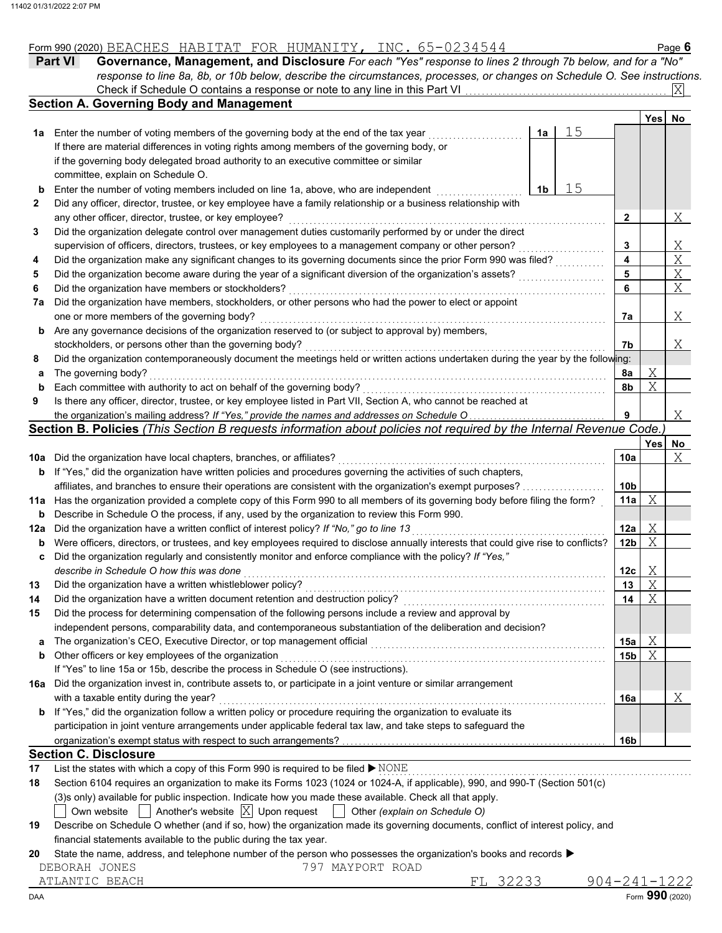| Form 990 (2020)<br><b>Н.</b> | $\Delta$<br>BLAURLD | HABITAT | JR | .1UMANITY. | ----<br>$\lrcorner$ NC $\lrcorner$ | $\circ$ age |
|------------------------------|---------------------|---------|----|------------|------------------------------------|-------------|
|                              |                     |         |    |            |                                    |             |

| <b>Part VI</b> | Governance, Management, and Disclosure For each "Yes" response to lines 2 through 7b below, and for a "No"                |
|----------------|---------------------------------------------------------------------------------------------------------------------------|
|                | response to line 8a, 8b, or 10b below, describe the circumstances, processes, or changes on Schedule O. See instructions. |
|                | Check if Schedule O contains a response or note to any line in this Part VI                                               |
|                |                                                                                                                           |

|     |                                                                                                                                     |    |    |                 | Yes | No. |
|-----|-------------------------------------------------------------------------------------------------------------------------------------|----|----|-----------------|-----|-----|
| 1а  | Enter the number of voting members of the governing body at the end of the tax year                                                 | 1a | 15 |                 |     |     |
|     | If there are material differences in voting rights among members of the governing body, or                                          |    |    |                 |     |     |
|     | if the governing body delegated broad authority to an executive committee or similar                                                |    |    |                 |     |     |
|     | committee, explain on Schedule O.                                                                                                   |    |    |                 |     |     |
| b   | Enter the number of voting members included on line 1a, above, who are independent                                                  | 1b | 15 |                 |     |     |
| 2   | Did any officer, director, trustee, or key employee have a family relationship or a business relationship with                      |    |    |                 |     |     |
|     | any other officer, director, trustee, or key employee?                                                                              |    |    | 2               |     | Χ   |
| 3   | Did the organization delegate control over management duties customarily performed by or under the direct                           |    |    |                 |     |     |
|     | supervision of officers, directors, trustees, or key employees to a management company or other person?                             |    |    | 3               |     | Χ   |
| 4   | Did the organization make any significant changes to its governing documents since the prior Form 990 was filed?                    |    |    | 4               |     | X   |
| 5   | Did the organization become aware during the year of a significant diversion of the organization's assets?                          |    |    | 5               |     | X   |
| 6   | Did the organization have members or stockholders?                                                                                  |    |    | 6               |     | X   |
| 7а  | Did the organization have members, stockholders, or other persons who had the power to elect or appoint                             |    |    |                 |     |     |
|     | one or more members of the governing body?                                                                                          |    |    | 7a              |     | Χ   |
| b   | Are any governance decisions of the organization reserved to (or subject to approval by) members,                                   |    |    |                 |     |     |
|     | stockholders, or persons other than the governing body?                                                                             |    |    | 7b              |     | Χ   |
| 8   | Did the organization contemporaneously document the meetings held or written actions undertaken during the year by the following:   |    |    |                 |     |     |
| а   | The governing body?                                                                                                                 |    |    | 8a              | Χ   |     |
| b   | Each committee with authority to act on behalf of the governing body?                                                               |    |    | 8b              | Χ   |     |
| 9   | Is there any officer, director, trustee, or key employee listed in Part VII, Section A, who cannot be reached at                    |    |    |                 |     |     |
|     | the organization's mailing address? If "Yes," provide the names and addresses on Schedule O                                         |    |    | 9               |     | Χ   |
|     | Section B. Policies (This Section B requests information about policies not required by the Internal Revenue Code.)                 |    |    |                 |     |     |
|     |                                                                                                                                     |    |    |                 | Yes | No  |
| 10a | Did the organization have local chapters, branches, or affiliates?                                                                  |    |    | 10a             |     | Χ   |
| b   | If "Yes," did the organization have written policies and procedures governing the activities of such chapters,                      |    |    |                 |     |     |
|     | affiliates, and branches to ensure their operations are consistent with the organization's exempt purposes?                         |    |    | 10 <sub>b</sub> |     |     |
| 11a | Has the organization provided a complete copy of this Form 990 to all members of its governing body before filing the form?         |    |    | 11a             | Χ   |     |
| b   | Describe in Schedule O the process, if any, used by the organization to review this Form 990.                                       |    |    |                 |     |     |
| 12a | Did the organization have a written conflict of interest policy? If "No," go to line 13                                             |    |    | 12a             | Χ   |     |
| b   | Were officers, directors, or trustees, and key employees required to disclose annually interests that could give rise to conflicts? |    |    | 12b             | Χ   |     |
| c   | Did the organization regularly and consistently monitor and enforce compliance with the policy? If "Yes,"                           |    |    |                 |     |     |
|     | describe in Schedule O how this was done                                                                                            |    |    | 12 <sub>c</sub> | Χ   |     |
| 13  | Did the organization have a written whistleblower policy?                                                                           |    |    | 13              | Χ   |     |
| 14  | Did the organization have a written document retention and destruction policy?                                                      |    |    | 14              | Χ   |     |
| 15  | Did the process for determining compensation of the following persons include a review and approval by                              |    |    |                 |     |     |
|     | independent persons, comparability data, and contemporaneous substantiation of the deliberation and decision?                       |    |    |                 |     |     |
| a   | The organization's CEO, Executive Director, or top management official                                                              |    |    | 15a             | Χ   |     |
| b   | Other officers or key employees of the organization                                                                                 |    |    | 15b             | X   |     |
|     | If "Yes" to line 15a or 15b, describe the process in Schedule O (see instructions).                                                 |    |    |                 |     |     |
| 16a | Did the organization invest in, contribute assets to, or participate in a joint venture or similar arrangement                      |    |    |                 |     |     |
|     | with a taxable entity during the year?                                                                                              |    |    | 16a             |     | Χ   |
| b   | If "Yes," did the organization follow a written policy or procedure requiring the organization to evaluate its                      |    |    |                 |     |     |
|     | participation in joint venture arrangements under applicable federal tax law, and take steps to safeguard the                       |    |    |                 |     |     |
|     |                                                                                                                                     |    |    | 16 <sub>b</sub> |     |     |
|     | <b>Section C. Disclosure</b>                                                                                                        |    |    |                 |     |     |
| 17  | List the states with which a copy of this Form 990 is required to be filed > NONE                                                   |    |    |                 |     |     |
| 18  | Section 6104 requires an organization to make its Forms 1023 (1024 or 1024-A, if applicable), 990, and 990-T (Section 501(c)        |    |    |                 |     |     |
|     |                                                                                                                                     |    |    |                 |     |     |

Own website Another's website Upon request Other *(explain on Schedule O)* X

| 19 Describe on Schedule O whether (and if so, how) the organization made its governing documents, conflict of interest policy, and |
|------------------------------------------------------------------------------------------------------------------------------------|
| financial statements available to the public during the tax year.                                                                  |

#### **20** State the name, address, and telephone number of the person who possesses the organization's books and records  $\blacktriangleright$

| DEBORAH JONES |  | 797 MAYPORT ROAD |  |
|---------------|--|------------------|--|
|               |  |                  |  |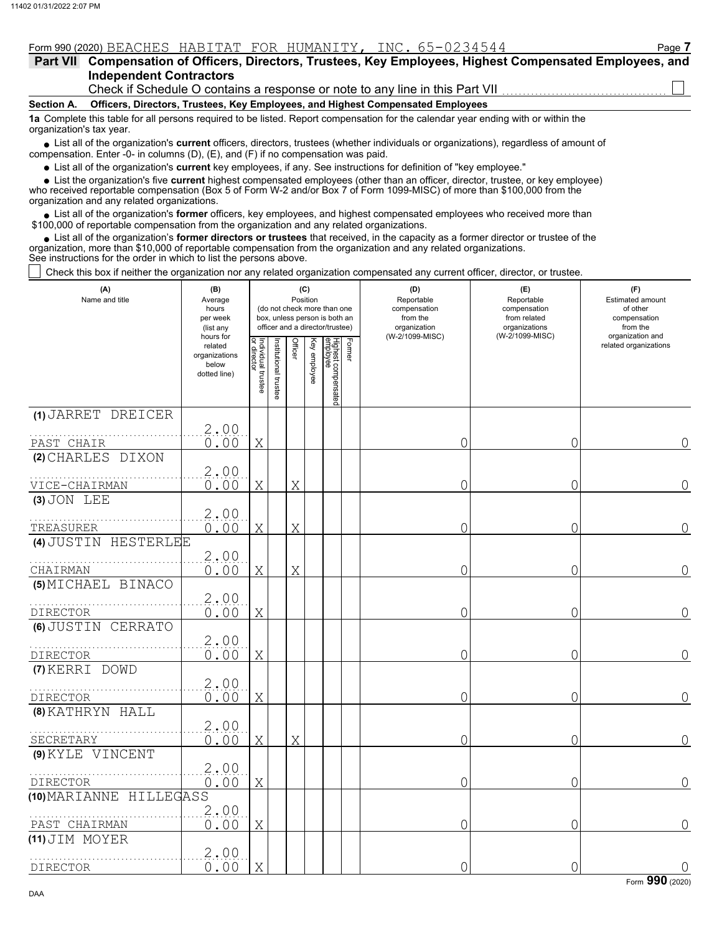| Form 990 (2020) BEACHES HABITAT FOR HUMANITY, INC. 65-0234544                                             |  |  |  |  | Page 7 |
|-----------------------------------------------------------------------------------------------------------|--|--|--|--|--------|
| Part VII Compensation of Officers, Directors, Trustees, Key Employees, Highest Compensated Employees, and |  |  |  |  |        |
| <b>Independent Contractors</b>                                                                            |  |  |  |  |        |

Check if Schedule O contains a response or note to any line in this Part VII

**Section A. Officers, Directors, Trustees, Key Employees, and Highest Compensated Employees**

**1a** Complete this table for all persons required to be listed. Report compensation for the calendar year ending with or within the organization's tax year.

■ List all of the organization's **current** officers, directors, trustees (whether individuals or organizations), regardless of amount of compensation. Enter -0- in columns (D), (E), and (F) if no compensation was paid.

List all of the organization's **current** key employees, if any. See instructions for definition of "key employee."

■ List all of the organization's **current** key employees, if any. See instructions for definition of "key employee."<br>■ List the organization's five **current** highest compensated employees (other than an officer, director,

who received reportable compensation (Box 5 of Form W-2 and/or Box 7 of Form 1099-MISC) of more than \$100,000 from the organization and any related organizations.

• List all of the organization's **former** officers, key employees, and highest compensated employees who received more than<br>00,000 of reportable compensation from the organization and any related erganizations. \$100,000 of reportable compensation from the organization and any related organizations.

• List all of the organization's **former directors or trustees** that received, in the capacity as a former director or trustee of the anization more than \$10,000 of reportable compensation from the organization and any rel organization, more than \$10,000 of reportable compensation from the organization and any related organizations. See instructions for the order in which to list the persons above.

Check this box if neither the organization nor any related organization compensated any current officer, director, or trustee.

| (A)<br>Name and title               | (B)<br>Average<br>hours<br>per week<br>(list any               |                                   |                       |         | (C)<br>Position | (do not check more than one<br>box, unless person is both an<br>officer and a director/trustee) |        | (D)<br>Reportable<br>compensation<br>from the<br>organization | (E)<br>Reportable<br>compensation<br>from related<br>organizations<br>(W-2/1099-MISC) | (F)<br><b>Estimated amount</b><br>of other<br>compensation<br>from the<br>organization and |
|-------------------------------------|----------------------------------------------------------------|-----------------------------------|-----------------------|---------|-----------------|-------------------------------------------------------------------------------------------------|--------|---------------------------------------------------------------|---------------------------------------------------------------------------------------|--------------------------------------------------------------------------------------------|
|                                     | hours for<br>related<br>organizations<br>below<br>dotted line) | Individual trustee<br>or director | Institutional trustee | Officer | Key employee    | Highest compensated<br> employee                                                                | Former | (W-2/1099-MISC)                                               |                                                                                       | related organizations                                                                      |
| (1) JARRET DREICER                  | 2.00                                                           |                                   |                       |         |                 |                                                                                                 |        |                                                               |                                                                                       |                                                                                            |
| PAST CHAIR                          | 0.00                                                           | Χ                                 |                       |         |                 |                                                                                                 |        | 0                                                             | 0                                                                                     | $\Omega$                                                                                   |
| (2) CHARLES DIXON                   |                                                                |                                   |                       |         |                 |                                                                                                 |        |                                                               |                                                                                       |                                                                                            |
| VICE-CHAIRMAN                       | 2.00<br>0.00                                                   | Χ                                 |                       | X       |                 |                                                                                                 |        | 0                                                             | 0                                                                                     | 0                                                                                          |
| $(3)$ JON LEE                       |                                                                |                                   |                       |         |                 |                                                                                                 |        |                                                               |                                                                                       |                                                                                            |
| TREASURER                           | 2,00<br>0.00                                                   | X                                 |                       | X       |                 |                                                                                                 |        | 0                                                             | 0                                                                                     | 0                                                                                          |
| (4) JUSTIN<br>HESTERLEE             |                                                                |                                   |                       |         |                 |                                                                                                 |        |                                                               |                                                                                       |                                                                                            |
| CHAIRMAN                            | 2.00<br>0.00                                                   | Χ                                 |                       | Χ       |                 |                                                                                                 |        | 0                                                             | 0                                                                                     | $\Omega$                                                                                   |
| (5) MICHAEL BINACO<br>DIRECTOR      | 2.00<br>0.00                                                   | Χ                                 |                       |         |                 |                                                                                                 |        | 0                                                             | 0                                                                                     | $\overline{0}$                                                                             |
| (6) JUSTIN CERRATO                  |                                                                |                                   |                       |         |                 |                                                                                                 |        |                                                               |                                                                                       |                                                                                            |
| DIRECTOR                            | 2.00<br>0.00                                                   | Χ                                 |                       |         |                 |                                                                                                 |        | 0                                                             | 0                                                                                     | 0                                                                                          |
| (7) KERRI DOWD                      | 2.00                                                           |                                   |                       |         |                 |                                                                                                 |        |                                                               |                                                                                       |                                                                                            |
| <b>DIRECTOR</b><br>(8) KATHRYN HALL | 0.00                                                           | X                                 |                       |         |                 |                                                                                                 |        | 0                                                             | 0                                                                                     | $\Omega$                                                                                   |
| SECRETARY                           | 2.00<br>0.00                                                   | Χ                                 |                       | Χ       |                 |                                                                                                 |        | 0                                                             | 0                                                                                     | $\overline{0}$                                                                             |
| (9) KYLE VINCENT<br><b>DIRECTOR</b> | 2.00<br>0.00                                                   | Χ                                 |                       |         |                 |                                                                                                 |        | 0                                                             | 0                                                                                     | 0                                                                                          |
| HILLEGASS<br>(10) MARIANNE          |                                                                |                                   |                       |         |                 |                                                                                                 |        |                                                               |                                                                                       |                                                                                            |
| PAST CHAIRMAN                       | 2.00<br>0.00                                                   | Χ                                 |                       |         |                 |                                                                                                 |        | 0                                                             | 0                                                                                     | $\Omega$                                                                                   |
| (11) JIM MOYER<br><b>DIRECTOR</b>   | 2.00<br>0.00                                                   | X                                 |                       |         |                 |                                                                                                 |        | 0                                                             | 0                                                                                     | $\overline{0}$                                                                             |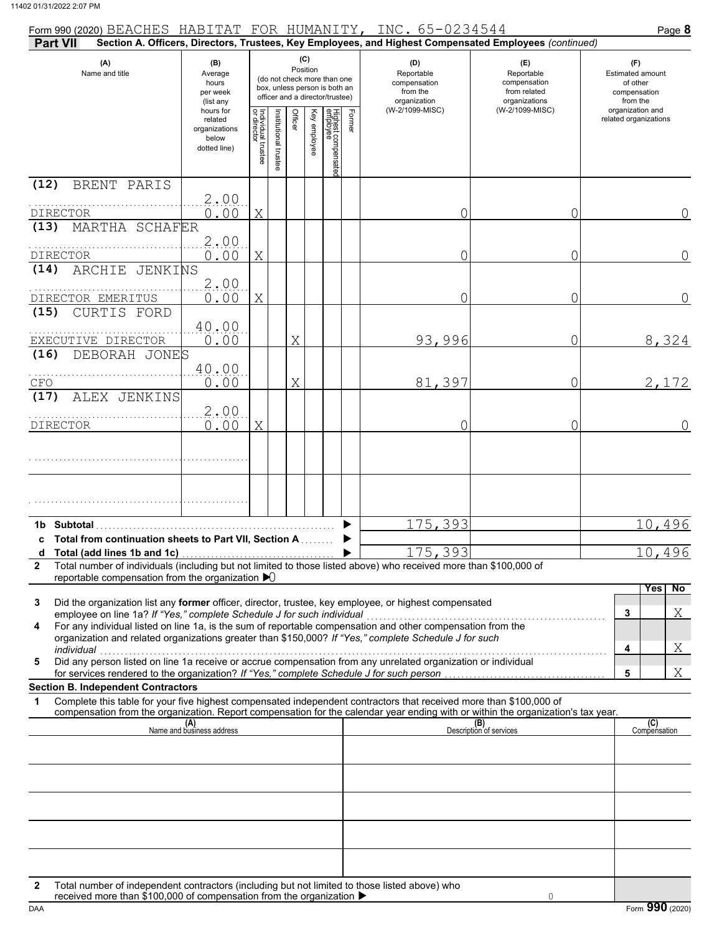| Form 990 (2020) BEACHES HABITAT FOR HUMANITY, INC. 65-0234544                                                                                                                                                                                                                                                                                                                                                                                                                                                                                                                                                                                                                                  |                                                                                                                              |   |                                                                                                 |              |                                 |        |                 |                                                                                                        |                                                                    | Page 8                                                          |
|------------------------------------------------------------------------------------------------------------------------------------------------------------------------------------------------------------------------------------------------------------------------------------------------------------------------------------------------------------------------------------------------------------------------------------------------------------------------------------------------------------------------------------------------------------------------------------------------------------------------------------------------------------------------------------------------|------------------------------------------------------------------------------------------------------------------------------|---|-------------------------------------------------------------------------------------------------|--------------|---------------------------------|--------|-----------------|--------------------------------------------------------------------------------------------------------|--------------------------------------------------------------------|-----------------------------------------------------------------|
| <b>Part VII</b>                                                                                                                                                                                                                                                                                                                                                                                                                                                                                                                                                                                                                                                                                |                                                                                                                              |   |                                                                                                 |              |                                 |        |                 | Section A. Officers, Directors, Trustees, Key Employees, and Highest Compensated Employees (continued) |                                                                    |                                                                 |
| (A)<br>Name and title                                                                                                                                                                                                                                                                                                                                                                                                                                                                                                                                                                                                                                                                          | (B)<br>Average<br>hours<br>per week<br>(list any                                                                             |   | (do not check more than one<br>box, unless person is both an<br>officer and a director/trustee) | Position     | (C)                             |        |                 | (D)<br>Reportable<br>compensation<br>from the<br>organization                                          | (E)<br>Reportable<br>compensation<br>from related<br>organizations | (F)<br>Estimated amount<br>of other<br>compensation<br>from the |
|                                                                                                                                                                                                                                                                                                                                                                                                                                                                                                                                                                                                                                                                                                | hours for<br>Individual trustee<br>or director<br>Institutional trustee<br>related<br>organizations<br>below<br>dotted line) |   | Officer                                                                                         | Key employee | Highest compensatec<br>employee | Former | (W-2/1099-MISC) | (W-2/1099-MISC)                                                                                        | organization and<br>related organizations                          |                                                                 |
| (12)<br>BRENT PARIS<br><b>DIRECTOR</b>                                                                                                                                                                                                                                                                                                                                                                                                                                                                                                                                                                                                                                                         | 2,00<br>0.00                                                                                                                 | X |                                                                                                 |              |                                 |        |                 | 0                                                                                                      | 0                                                                  | 0                                                               |
| MARTHA SCHAFER<br>(13)<br><b>DIRECTOR</b>                                                                                                                                                                                                                                                                                                                                                                                                                                                                                                                                                                                                                                                      | 2.00<br>0.00                                                                                                                 | X |                                                                                                 |              |                                 |        |                 | 0                                                                                                      | 0                                                                  | 0                                                               |
| ARCHIE JENKINS<br>(14)                                                                                                                                                                                                                                                                                                                                                                                                                                                                                                                                                                                                                                                                         | 2.00                                                                                                                         |   |                                                                                                 |              |                                 |        |                 |                                                                                                        |                                                                    |                                                                 |
| DIRECTOR EMERITUS<br>(15)<br>CURTIS FORD                                                                                                                                                                                                                                                                                                                                                                                                                                                                                                                                                                                                                                                       | 0.00<br>40.00                                                                                                                | X |                                                                                                 |              |                                 |        |                 | 0                                                                                                      | 0                                                                  | 0                                                               |
| EXECUTIVE DIRECTOR<br>DEBORAH JONES<br>(16)                                                                                                                                                                                                                                                                                                                                                                                                                                                                                                                                                                                                                                                    | 0.00<br>40.00                                                                                                                |   |                                                                                                 | Χ            |                                 |        |                 | 93,996                                                                                                 | 0                                                                  | 8,324                                                           |
| CFO<br>ALEX JENKINS<br>(17)                                                                                                                                                                                                                                                                                                                                                                                                                                                                                                                                                                                                                                                                    | 0.00                                                                                                                         |   |                                                                                                 | Χ            |                                 |        |                 | 81,397                                                                                                 | 0                                                                  | 2,172                                                           |
| <b>DIRECTOR</b>                                                                                                                                                                                                                                                                                                                                                                                                                                                                                                                                                                                                                                                                                | 2.00<br>0.00                                                                                                                 | X |                                                                                                 |              |                                 |        |                 | 0                                                                                                      | 0                                                                  | $\Omega$                                                        |
|                                                                                                                                                                                                                                                                                                                                                                                                                                                                                                                                                                                                                                                                                                |                                                                                                                              |   |                                                                                                 |              |                                 |        |                 |                                                                                                        |                                                                    |                                                                 |
| 1b Subtotal<br>c Total from continuation sheets to Part VII, Section A                                                                                                                                                                                                                                                                                                                                                                                                                                                                                                                                                                                                                         |                                                                                                                              |   |                                                                                                 |              |                                 |        |                 | 175,393                                                                                                |                                                                    | 10,496                                                          |
| Total number of individuals (including but not limited to those listed above) who received more than \$100,000 of<br>$\mathbf{2}$<br>reportable compensation from the organization $\blacktriangleright$                                                                                                                                                                                                                                                                                                                                                                                                                                                                                       |                                                                                                                              |   |                                                                                                 |              |                                 |        |                 | 175,393                                                                                                |                                                                    | 10,496                                                          |
| Did the organization list any former officer, director, trustee, key employee, or highest compensated<br>3<br>employee on line 1a? If "Yes," complete Schedule J for such individual<br>For any individual listed on line 1a, is the sum of reportable compensation and other compensation from the<br>4<br>organization and related organizations greater than \$150,000? If "Yes," complete Schedule J for such<br>individual<br>Did any person listed on line 1a receive or accrue compensation from any unrelated organization or individual<br>5<br>for services rendered to the organization? If "Yes," complete Schedule J for such person<br><b>Section B. Independent Contractors</b> |                                                                                                                              |   |                                                                                                 |              |                                 |        |                 |                                                                                                        |                                                                    | No<br>Yes<br>Χ<br>3<br>4<br>Χ<br>Χ<br>5                         |
| Complete this table for your five highest compensated independent contractors that received more than \$100,000 of<br>1<br>compensation from the organization. Report compensation for the calendar year ending with or within the organization's tax year.                                                                                                                                                                                                                                                                                                                                                                                                                                    |                                                                                                                              |   |                                                                                                 |              |                                 |        |                 |                                                                                                        |                                                                    |                                                                 |
|                                                                                                                                                                                                                                                                                                                                                                                                                                                                                                                                                                                                                                                                                                | (A)<br>Name and business address                                                                                             |   |                                                                                                 |              |                                 |        |                 |                                                                                                        | (B)<br>Description of services                                     | (C)<br>Compensation                                             |
|                                                                                                                                                                                                                                                                                                                                                                                                                                                                                                                                                                                                                                                                                                |                                                                                                                              |   |                                                                                                 |              |                                 |        |                 |                                                                                                        |                                                                    |                                                                 |
|                                                                                                                                                                                                                                                                                                                                                                                                                                                                                                                                                                                                                                                                                                |                                                                                                                              |   |                                                                                                 |              |                                 |        |                 |                                                                                                        |                                                                    |                                                                 |
| Total number of independent contractors (including but not limited to those listed above) who<br>2                                                                                                                                                                                                                                                                                                                                                                                                                                                                                                                                                                                             |                                                                                                                              |   |                                                                                                 |              |                                 |        |                 |                                                                                                        |                                                                    |                                                                 |
| received more than \$100,000 of compensation from the organization ▶                                                                                                                                                                                                                                                                                                                                                                                                                                                                                                                                                                                                                           |                                                                                                                              |   |                                                                                                 |              |                                 |        |                 |                                                                                                        | $\Omega$                                                           |                                                                 |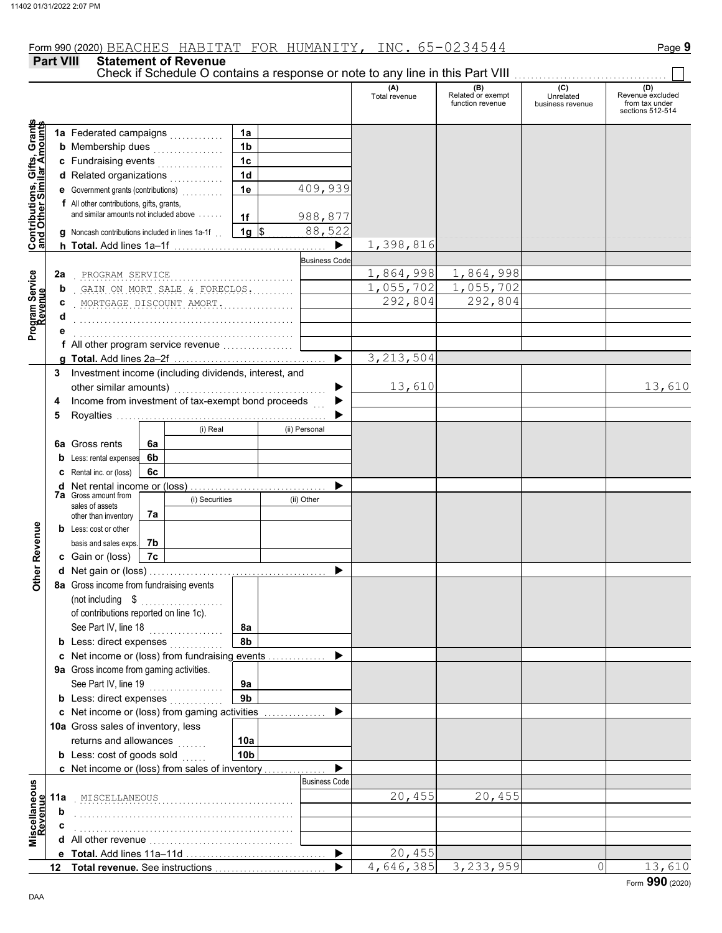**Part VIII Statement of Revenue**

Check if Schedule O contains a response or note to any line in this Part VIII

#### (A) (B) (C) (C) (D)<br>Total revenue Related or exempt Unrelated Revenue e: Total revenue Related or exempt Unrelated Revenue excluded function revenue business revenue from tax under sections 512-514 **Contributions, Gifts, Grants and Other Similar Amounts** Grant **1a 1a** Federated campaigns . . . . . . . . . . . , Gifts, Gra<br>iilar Amou **1b b** Membership dues  $\ldots$  . . . . . . . . . . . . **1c c** Fundraising events . . . . . . . . . . . . . . . . **1d d** Related organizations <sub>.</sub> . . . . . . . . . . **Contributions,<br>and Other Simi 1e** 409,939 **e** Government grants (contributions) . . . . . . . . . . **f** All other contributions, gifts, grants, and similar amounts not included above  $\dots$ . **1f** 988,877 **1g**  $\frac{88,522}{5}$ **g** Noncash contributions included in lines 1a-1f . . 1,398,816 ▶ **h Total.** Add lines 1a–1f . . . . . . . . . . . . . . . . . . . . . . . . . . . . . . . . . . . . . **Business Code** Program Service<br>Revenue . . . . . . . . . . . . . . . . . . . . . . . . . . . . . . . . . . . . . . . . . . . . . . . . . . . . . PROGRAM SERVICE 1,864,998 1,864,998 **2a Program Service** . GAIN ON MORT SALE & FORECLOS. .......... | 1,055,702 1,055,702 **b** . . . . . . . . . . . . . . . . . . . . . . . . . . . . . . . . . . . . . . . . . . . . . . . . . . . . . MORTGAGE DISCOUNT AMORT. 292,804 292,804 **c d** . . . . . . . . . . . . . . . . . . . . . . . . . . . . . . . . . . . . . . . . . . . . . . . . . . . . . **e** . . . . . . . . . . . . . . . . . . . . . . . . . . . . . . . . . . . . . . . . . . . . . . . . . . . . . **f** All other program service revenue . . . . . . . . . . . . . . . . . 3,213,504 **g Total.** Add lines 2a–2f . . . . . . . . . . . . . . . . . . . . . . . . . . . . . . . . . . . . . **3** Investment income (including dividends, interest, and other similar amounts) ............... ь 13,610 13,610 Income from investment of tax-exempt bond proceeds **4** b **5** Royalties .... ▶ (i) Real (ii) Personal **6a** Gross rents **6a 6b b** Less: rental expenses **c** Rental inc. or (loss) **6c** ь **d** Net rental income or (loss) . . . . . . . . . . . . . . . . . . . . . . . . . . . . . . . . . **7a** Gross amount from (i) Securities (ii) Other sales of assets **7a** other than inventory **Other Revenue Other Revenue b** Less: cost or other **7b** basis and sales exps. **c** Gain or (loss) **7c d** Net gain or (loss) . . . . . . . . . . . . . . . . . . . . . . . . . . . . . . . . . . . . . . . . . . . **8a** Gross income from fundraising events (not including \$ . . . . . . . . . . . . . . . . . . . . of contributions reported on line 1c). See Part IV, line 18 . . . . . . . . . . . . . . . . . . **8a 8b b** Less: direct expenses <sub>.</sub> . . . . . . . . . . **c** Net income or (loss) from fundraising events . . . . . . . . . . . . . . ▶ **9a** Gross income from gaming activities. See Part IV, line 19 . . . . . . . . . . . . . . . . . . **9a 9b b** Less: direct expenses  $\ldots$ ь Net income or (loss) from gaming activities . . . . . . . . . . . . . . . **c** 10a Gross sales of inventory, less returns and allowances **10a 10b b** Less:  $\cosh$  of goods  $\sinh$  $\blacktriangleright$ Net income or (loss) from sales of inventory . . . . . . . . . . . . . . . **c** cellaneous<br>Revenue Business Code **Miscellaneous** . . . . . . . . . . . . . . . . . . . . . . . . . . . . . . . . . . . . . . . . . . . . . . . . . . . . . MISCELLANEOUS 20,455 20,455 **11a Revenue b** . . . . . . . . . . . . . . . . . . . . . . . . . . . . . . . . . . . . . . . . . . . . . . . . . . . . . **c** . . . . . . . . . . . . . . . . . . . . . . . . . . . . . . . . . . . . . . . . . . . . . . . . . . . . . ă<br>Nă **d** All other revenue . . . . . . . . . . . . . . . . . . . . . . . . . . . . . . . . . . . ь 20,455 **e Total.** Add lines 11a–11d . . . . . . . . . . . . . . . . . . . . . . . . . . . . . . . . . . 4,646,385 3,233,959 0 13,610 **Total revenue.** See instructions  $\blacktriangleright$ **12**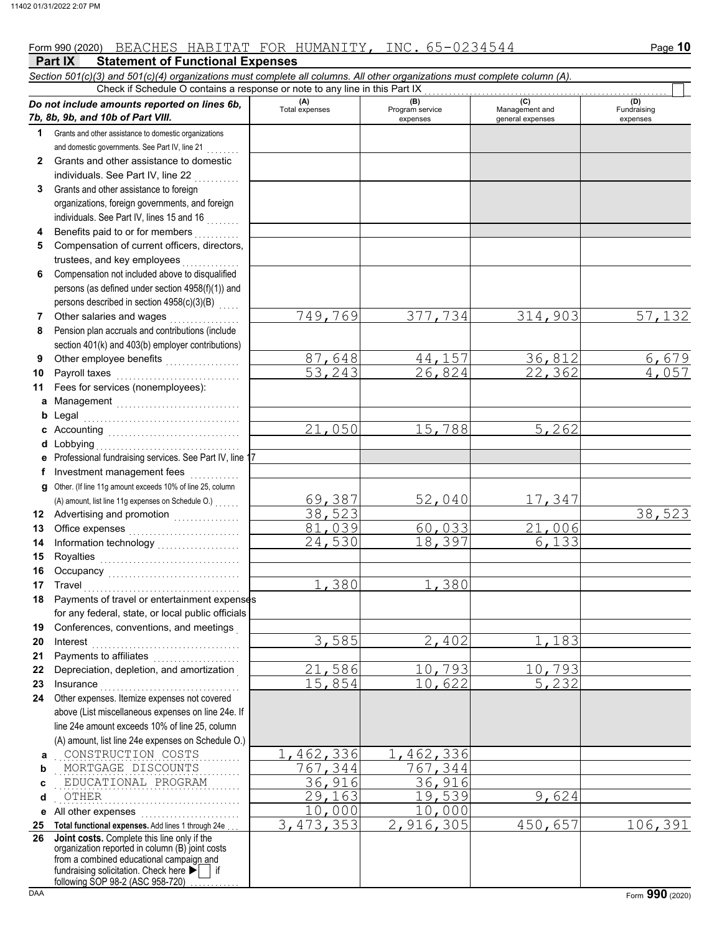### **Part IX Statement of Functional Expenses** Form 990 (2020) Page **10** BEACHES HABITAT FOR HUMANITY, INC. 65-0234544

|             | Section 501(c)(3) and 501(c)(4) organizations must complete all columns. All other organizations must complete column (A). |                         |                           |                  |                       |
|-------------|----------------------------------------------------------------------------------------------------------------------------|-------------------------|---------------------------|------------------|-----------------------|
|             | Check if Schedule O contains a response or note to any line in this Part IX                                                | (A)                     | (B)                       | (C)              | (D)                   |
|             | Do not include amounts reported on lines 6b,<br>7b, 8b, 9b, and 10b of Part VIII.                                          | Total expenses          | Program service           | Management and   | Fundraising           |
| $\mathbf 1$ | Grants and other assistance to domestic organizations                                                                      |                         | expenses                  | general expenses | expenses              |
|             | and domestic governments. See Part IV, line 21                                                                             |                         |                           |                  |                       |
| 2           | Grants and other assistance to domestic                                                                                    |                         |                           |                  |                       |
|             | individuals. See Part IV, line 22                                                                                          |                         |                           |                  |                       |
| 3           | Grants and other assistance to foreign                                                                                     |                         |                           |                  |                       |
|             | organizations, foreign governments, and foreign                                                                            |                         |                           |                  |                       |
|             | individuals. See Part IV, lines 15 and 16                                                                                  |                         |                           |                  |                       |
| 4           | Benefits paid to or for members                                                                                            |                         |                           |                  |                       |
| 5           | Compensation of current officers, directors,                                                                               |                         |                           |                  |                       |
|             | trustees, and key employees                                                                                                |                         |                           |                  |                       |
| 6           | Compensation not included above to disqualified                                                                            |                         |                           |                  |                       |
|             | persons (as defined under section 4958(f)(1)) and                                                                          |                         |                           |                  |                       |
|             | persons described in section 4958(c)(3)(B)                                                                                 |                         |                           |                  |                       |
| 7           | Other salaries and wages                                                                                                   | 749,769                 | 377,734                   | 314,903          | 57,132                |
| 8           | Pension plan accruals and contributions (include                                                                           |                         |                           |                  |                       |
|             | section 401(k) and 403(b) employer contributions)                                                                          |                         |                           |                  |                       |
| 9           | Other employee benefits                                                                                                    |                         |                           |                  |                       |
| 10          | Payroll taxes                                                                                                              | $\frac{87,648}{53,243}$ | $\frac{44,157}{26,824}$   | 36,812<br>22,362 | $\frac{6,679}{4,057}$ |
| 11          | Fees for services (nonemployees):                                                                                          |                         |                           |                  |                       |
| a           |                                                                                                                            |                         |                           |                  |                       |
| b           | Legal                                                                                                                      |                         |                           |                  |                       |
| C           | Accounting                                                                                                                 | 21,050                  | 15,788                    | 5,262            |                       |
| d           | Lobbying                                                                                                                   |                         |                           |                  |                       |
|             | Professional fundraising services. See Part IV, line 17                                                                    |                         |                           |                  |                       |
|             | Investment management fees                                                                                                 |                         |                           |                  |                       |
| g           | Other. (If line 11g amount exceeds 10% of line 25, column                                                                  |                         |                           |                  |                       |
|             | (A) amount, list line 11g expenses on Schedule O.)                                                                         | <u>69,387</u><br>38,523 | 52,040                    | 17,347           |                       |
| 12          | Advertising and promotion                                                                                                  |                         |                           |                  | 38, 523               |
| 13          |                                                                                                                            | 81,039                  | 60,033                    | 21,006           |                       |
| 14          |                                                                                                                            | 24,530                  | 18,397                    | 6,133            |                       |
| 15          |                                                                                                                            |                         |                           |                  |                       |
| 16          |                                                                                                                            |                         |                           |                  |                       |
| 17          |                                                                                                                            | 1,380                   | 1,380                     |                  |                       |
|             | 18 Payments of travel or entertainment expenses                                                                            |                         |                           |                  |                       |
|             | for any federal, state, or local public officials                                                                          |                         |                           |                  |                       |
| 19          | Conferences, conventions, and meetings                                                                                     |                         |                           |                  |                       |
| 20          | Interest                                                                                                                   | 3,585                   | 2,402                     | 1,183            |                       |
| 21<br>22    | Payments to affiliates<br>Depreciation, depletion, and amortization                                                        | 21,586                  | 10,793                    | 10,793           |                       |
| 23          | Insurance                                                                                                                  | 15,854                  | 10,622                    | 5,232            |                       |
|             | 24 Other expenses. Itemize expenses not covered                                                                            |                         |                           |                  |                       |
|             | above (List miscellaneous expenses on line 24e. If                                                                         |                         |                           |                  |                       |
|             | line 24e amount exceeds 10% of line 25, column                                                                             |                         |                           |                  |                       |
|             | (A) amount, list line 24e expenses on Schedule O.)                                                                         |                         |                           |                  |                       |
| a           | CONSTRUCTION COSTS                                                                                                         | 1,462,336               | 1,462,336                 |                  |                       |
| b           | MORTGAGE DISCOUNTS                                                                                                         | 767,344                 | 767,344                   |                  |                       |
| c           | EDUCATIONAL PROGRAM                                                                                                        | 36,916                  | 36,916                    |                  |                       |
| d           | OTHER                                                                                                                      | $\overline{29,163}$     | 19,539                    | 9,624            |                       |
|             | e All other expenses                                                                                                       | 10,000                  | 10,000                    |                  |                       |
| 25          | Total functional expenses. Add lines 1 through 24e                                                                         | 3, 473, 353             | $\overline{2}$ , 916, 305 | 450,657          | 106,391               |
|             | 26 Joint costs. Complete this line only if the                                                                             |                         |                           |                  |                       |
|             | organization reported in column (B) joint costs<br>from a combined educational campaign and                                |                         |                           |                  |                       |
|             | fundraising solicitation. Check here $\blacktriangleright$<br>if                                                           |                         |                           |                  |                       |
|             | following SOP 98-2 (ASC 958-720)                                                                                           |                         |                           |                  |                       |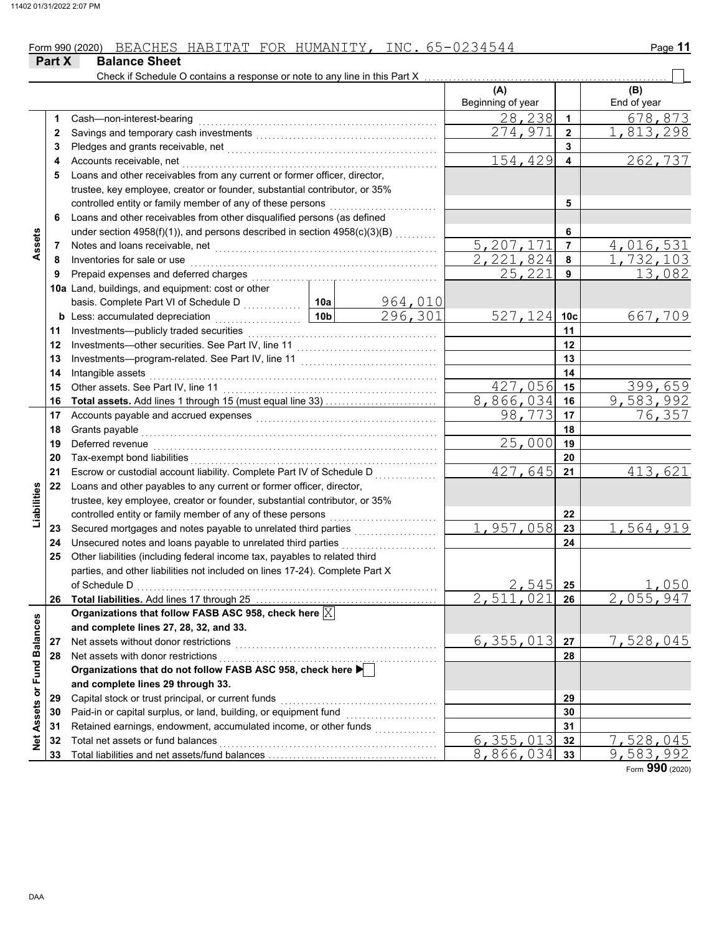|                   | Part X | <b>Balance Sheet</b>                                                                                                                                                                                                           |                 |                           |                          |                      |                        |
|-------------------|--------|--------------------------------------------------------------------------------------------------------------------------------------------------------------------------------------------------------------------------------|-----------------|---------------------------|--------------------------|----------------------|------------------------|
|                   |        | Check if Schedule O contains a response or note to any line in this Part X                                                                                                                                                     |                 |                           | (A)<br>Beginning of year |                      | (B)<br>End of year     |
|                   | 1      | Cash-non-interest-bearing                                                                                                                                                                                                      |                 |                           | $\overline{28}$ , 238    | $\blacktriangleleft$ | 678,873                |
|                   | 2      | Savings and temporary cash investments [11] [11] contract the same state of the same state of the same state of the state of the state of the state of the state of the state of the state of the state of the state of the st |                 |                           | 274,971                  | $\mathbf{2}$         | 813,298                |
|                   | 3      |                                                                                                                                                                                                                                |                 |                           |                          | 3                    |                        |
|                   | 4      | Accounts receivable, net                                                                                                                                                                                                       |                 |                           | 154,429                  | 4                    | 262,737                |
|                   | 5      | Loans and other receivables from any current or former officer, director,                                                                                                                                                      |                 |                           |                          |                      |                        |
|                   |        | trustee, key employee, creator or founder, substantial contributor, or 35%                                                                                                                                                     |                 |                           |                          |                      |                        |
|                   |        | controlled entity or family member of any of these persons                                                                                                                                                                     |                 |                           |                          | 5                    |                        |
|                   | 6      | Loans and other receivables from other disqualified persons (as defined                                                                                                                                                        |                 |                           |                          |                      |                        |
|                   |        | under section 4958(f)(1)), and persons described in section 4958(c)(3)(B)                                                                                                                                                      |                 |                           |                          | 6                    |                        |
| Assets            | 7      |                                                                                                                                                                                                                                |                 |                           | 5,207,171                | $\overline{7}$       | 4,016,531              |
|                   | 8      | Inventories for sale or use                                                                                                                                                                                                    |                 |                           | 2,221,824                | 8                    | $\overline{1,732,103}$ |
|                   | 9      | Prepaid expenses and deferred charges                                                                                                                                                                                          |                 |                           | 25,221                   | 9                    | 13,082                 |
|                   |        | 10a Land, buildings, and equipment: cost or other                                                                                                                                                                              |                 |                           |                          |                      |                        |
|                   |        |                                                                                                                                                                                                                                | 10a             |                           |                          |                      |                        |
|                   | b      | Less: accumulated depreciation<br>.                                                                                                                                                                                            | 10 <sub>b</sub> | $\frac{964,010}{296,301}$ | 527,124                  | 10 <sub>c</sub>      | 667,709                |
|                   | 11     | Investments-publicly traded securities                                                                                                                                                                                         |                 |                           |                          | 11                   |                        |
|                   | 12     | Investments-other securities. See Part IV, line 11                                                                                                                                                                             |                 |                           |                          | 12                   |                        |
|                   | 13     |                                                                                                                                                                                                                                |                 |                           |                          | 13                   |                        |
|                   | 14     | Intangible assets                                                                                                                                                                                                              |                 |                           |                          | 14                   |                        |
|                   | 15     | Other assets. See Part IV, line 11                                                                                                                                                                                             |                 |                           | 427,056                  | 15                   | 399,659                |
|                   | 16     |                                                                                                                                                                                                                                |                 |                           | 8,866,034                | 16                   | $\overline{9,583,992}$ |
|                   | 17     |                                                                                                                                                                                                                                |                 |                           | 98,773                   | 17                   | 76,357                 |
|                   | 18     | Grants payable                                                                                                                                                                                                                 |                 |                           |                          | 18                   |                        |
|                   | 19     | Deferred revenue                                                                                                                                                                                                               |                 |                           | 25,000                   | 19                   |                        |
|                   | 20     | Tax-exempt bond liabilities                                                                                                                                                                                                    |                 |                           |                          | 20                   |                        |
|                   | 21     | Escrow or custodial account liability. Complete Part IV of Schedule D                                                                                                                                                          |                 |                           | 427,645                  | 21                   | 413,621                |
|                   | 22     | Loans and other payables to any current or former officer, director,                                                                                                                                                           |                 |                           |                          |                      |                        |
| Liabilities       |        | trustee, key employee, creator or founder, substantial contributor, or 35%                                                                                                                                                     |                 |                           |                          |                      |                        |
|                   |        | controlled entity or family member of any of these persons                                                                                                                                                                     |                 |                           |                          | 22                   |                        |
|                   | 23     | Secured mortgages and notes payable to unrelated third parties                                                                                                                                                                 |                 |                           | 1,957,058                | 23                   | 1,564,919              |
|                   | 24     | Unsecured notes and loans payable to unrelated third parties                                                                                                                                                                   |                 |                           |                          | 24                   |                        |
|                   | 25     | Other liabilities (including federal income tax, payables to related third                                                                                                                                                     |                 |                           |                          |                      |                        |
|                   |        | parties, and other liabilities not included on lines 17-24). Complete Part X                                                                                                                                                   |                 |                           |                          |                      |                        |
|                   |        | of Schedule D                                                                                                                                                                                                                  |                 |                           | 2,545                    | 25                   | 1,050                  |
|                   | 26     |                                                                                                                                                                                                                                |                 |                           | 2,511,021                | 26                   | 2,055,947              |
|                   |        | Organizations that follow FASB ASC 958, check here $\boxed{\mathbb{X}}$                                                                                                                                                        |                 |                           |                          |                      |                        |
|                   |        | and complete lines 27, 28, 32, and 33.                                                                                                                                                                                         |                 |                           |                          |                      |                        |
|                   | 27     | Net assets without donor restrictions                                                                                                                                                                                          |                 |                           | 6, 355, 013              | 27                   | 7,528,045              |
|                   | 28     | Net assets with donor restrictions                                                                                                                                                                                             |                 |                           |                          | 28                   |                        |
| or Fund Balances  |        | Organizations that do not follow FASB ASC 958, check here ▶                                                                                                                                                                    |                 |                           |                          |                      |                        |
|                   |        | and complete lines 29 through 33.                                                                                                                                                                                              |                 |                           |                          |                      |                        |
|                   | 29     | Capital stock or trust principal, or current funds                                                                                                                                                                             |                 |                           |                          | 29                   |                        |
|                   | 30     | Paid-in or capital surplus, or land, building, or equipment fund                                                                                                                                                               |                 |                           |                          | 30                   |                        |
| <b>Net Assets</b> | 31     | Retained earnings, endowment, accumulated income, or other funds                                                                                                                                                               |                 | .                         |                          | 31                   |                        |
|                   | 32     | Total net assets or fund balances                                                                                                                                                                                              |                 |                           | 6, 355, 013              | 32                   | 7,528,045              |
|                   | 33     |                                                                                                                                                                                                                                |                 |                           | 8,866,034                | 33                   | 9,583,992              |

Form **990** (2020)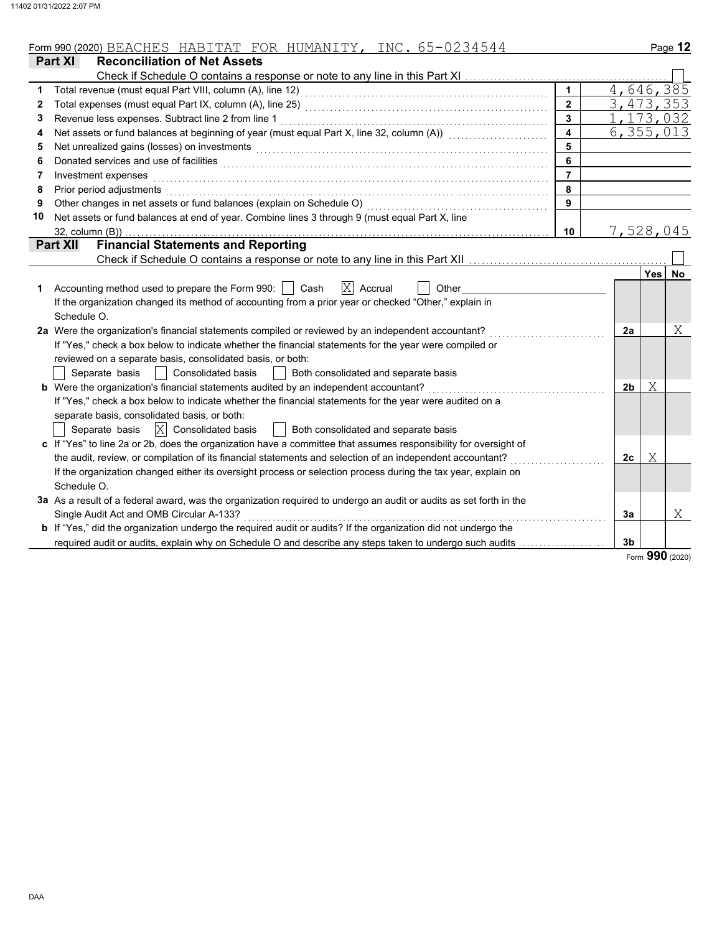| Form 990 (2020)<br>, ,<br>∸ | $\mathbf{v}$<br>$\bot \bot \top \bot \bot \bot \bot \bot$ | TOR | . T T .<br>htima<br>- IN | ----<br>$\overline{\phantom{a}}$<br>NC<br>. . | Page |
|-----------------------------|-----------------------------------------------------------|-----|--------------------------|-----------------------------------------------|------|
|                             |                                                           |     |                          |                                               |      |

|    | Part XI<br><b>Reconciliation of Net Assets</b>                                                                                                                                                                                 |                         |                |            |             |
|----|--------------------------------------------------------------------------------------------------------------------------------------------------------------------------------------------------------------------------------|-------------------------|----------------|------------|-------------|
|    | Check if Schedule O contains a response or note to any line in this Part XI                                                                                                                                                    |                         |                |            |             |
|    |                                                                                                                                                                                                                                | $\blacktriangleleft$    |                |            | 4,646,385   |
| 2  |                                                                                                                                                                                                                                | $\overline{2}$          |                |            | 3, 473, 353 |
| 3  | Revenue less expenses. Subtract line 2 from line 1                                                                                                                                                                             | $\mathbf{3}$            |                |            | 1, 173, 032 |
| 4  | Net assets or fund balances at beginning of year (must equal Part X, line 32, column (A)) [[[[[[[[[[[[[[[[[[[                                                                                                                  | $\overline{\mathbf{4}}$ |                |            | 6, 355, 013 |
| 5  | Net unrealized gains (losses) on investments [11] with an intervention of the state of the state of the state of the state of the state of the state of the state of the state of the state of the state of the state of the s | 5                       |                |            |             |
| 6  | Donated services and use of facilities                                                                                                                                                                                         | 6                       |                |            |             |
| 7  | Investment expenses                                                                                                                                                                                                            | $\overline{7}$          |                |            |             |
| 8  | Prior period adjustments                                                                                                                                                                                                       | 8                       |                |            |             |
| 9  | Other changes in net assets or fund balances (explain on Schedule O)                                                                                                                                                           | 9                       |                |            |             |
| 10 | Net assets or fund balances at end of year. Combine lines 3 through 9 (must equal Part X, line                                                                                                                                 |                         |                |            |             |
|    | $32$ , column $(B)$ )                                                                                                                                                                                                          | 10                      |                |            | 7,528,045   |
|    | <b>Financial Statements and Reporting</b><br><b>Part XII</b>                                                                                                                                                                   |                         |                |            |             |
|    |                                                                                                                                                                                                                                |                         |                |            |             |
|    |                                                                                                                                                                                                                                |                         |                | <b>Yes</b> | No          |
| 1  | $ X $ Accrual<br>Accounting method used to prepare the Form 990:     Cash<br>Other                                                                                                                                             |                         |                |            |             |
|    | If the organization changed its method of accounting from a prior year or checked "Other," explain in                                                                                                                          |                         |                |            |             |
|    | Schedule O.                                                                                                                                                                                                                    |                         |                |            |             |
|    | 2a Were the organization's financial statements compiled or reviewed by an independent accountant?                                                                                                                             |                         | 2a             |            | Χ           |
|    | If "Yes," check a box below to indicate whether the financial statements for the year were compiled or                                                                                                                         |                         |                |            |             |
|    | reviewed on a separate basis, consolidated basis, or both:                                                                                                                                                                     |                         |                |            |             |
|    | Separate basis<br><b>Consolidated basis</b><br>Both consolidated and separate basis                                                                                                                                            |                         |                |            |             |
|    | <b>b</b> Were the organization's financial statements audited by an independent accountant?                                                                                                                                    |                         | 2 <sub>b</sub> | Χ          |             |
|    | If "Yes," check a box below to indicate whether the financial statements for the year were audited on a                                                                                                                        |                         |                |            |             |
|    | separate basis, consolidated basis, or both:                                                                                                                                                                                   |                         |                |            |             |
|    | $ X $ Consolidated basis<br>Separate basis<br>Both consolidated and separate basis                                                                                                                                             |                         |                |            |             |
|    | c If "Yes" to line 2a or 2b, does the organization have a committee that assumes responsibility for oversight of                                                                                                               |                         |                |            |             |
|    | the audit, review, or compilation of its financial statements and selection of an independent accountant?                                                                                                                      |                         | 2c             | Χ          |             |
|    | If the organization changed either its oversight process or selection process during the tax year, explain on                                                                                                                  |                         |                |            |             |
|    | Schedule O.                                                                                                                                                                                                                    |                         |                |            |             |
|    | 3a As a result of a federal award, was the organization required to undergo an audit or audits as set forth in the                                                                                                             |                         |                |            |             |
|    | Single Audit Act and OMB Circular A-133?                                                                                                                                                                                       |                         | 3a             |            | Χ           |
|    | b If "Yes," did the organization undergo the required audit or audits? If the organization did not undergo the                                                                                                                 |                         |                |            |             |
|    | required audit or audits, explain why on Schedule O and describe any steps taken to undergo such audits                                                                                                                        |                         | 3 <sub>b</sub> |            |             |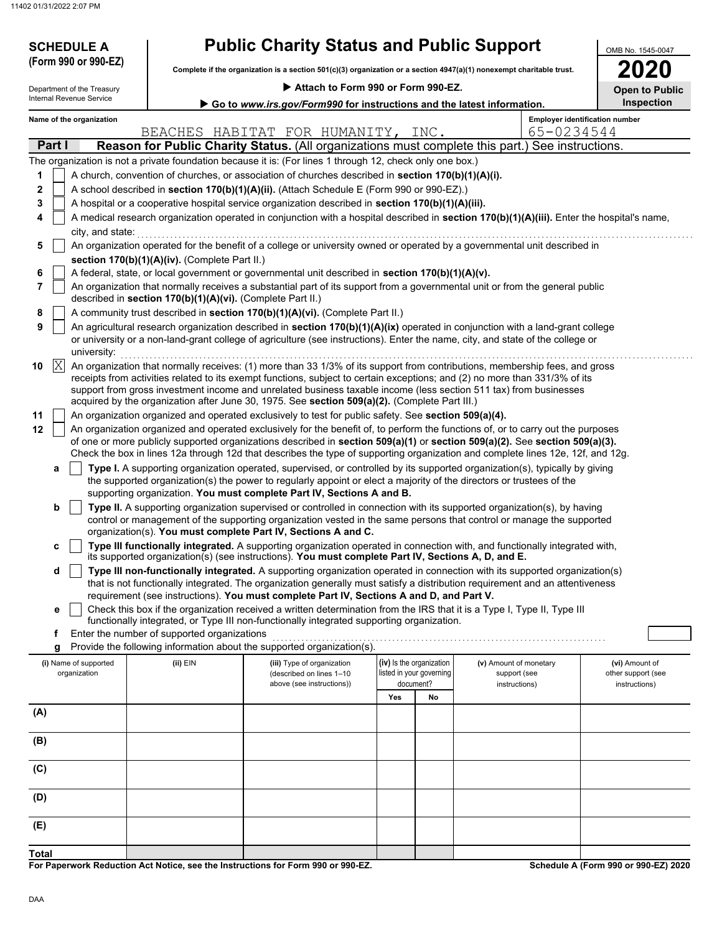| <b>SCHEDULE A</b><br>(Form 990 or 990-EZ)              |                                                            | <b>Public Charity Status and Public Support</b>                                                                      |                                                                        |                          |                                                                                                                                                                                                                                                                        | OMB No. 1545-0047  |  |  |  |
|--------------------------------------------------------|------------------------------------------------------------|----------------------------------------------------------------------------------------------------------------------|------------------------------------------------------------------------|--------------------------|------------------------------------------------------------------------------------------------------------------------------------------------------------------------------------------------------------------------------------------------------------------------|--------------------|--|--|--|
|                                                        |                                                            | Complete if the organization is a section 501(c)(3) organization or a section 4947(a)(1) nonexempt charitable trust. |                                                                        |                          |                                                                                                                                                                                                                                                                        | <b>2020</b>        |  |  |  |
| Department of the Treasury<br>Internal Revenue Service |                                                            | Attach to Form 990 or Form 990-EZ.                                                                                   | <b>Open to Public</b><br><b>Inspection</b>                             |                          |                                                                                                                                                                                                                                                                        |                    |  |  |  |
|                                                        |                                                            |                                                                                                                      | Go to www.irs.gov/Form990 for instructions and the latest information. |                          |                                                                                                                                                                                                                                                                        |                    |  |  |  |
| Name of the organization                               |                                                            |                                                                                                                      |                                                                        |                          | <b>Employer identification number</b>                                                                                                                                                                                                                                  |                    |  |  |  |
|                                                        |                                                            | BEACHES HABITAT FOR HUMANITY, INC.                                                                                   |                                                                        |                          | 65-0234544                                                                                                                                                                                                                                                             |                    |  |  |  |
| Part I                                                 |                                                            |                                                                                                                      |                                                                        |                          | <b>Reason for Public Charity Status.</b> (All organizations must complete this part.) See instructions.                                                                                                                                                                |                    |  |  |  |
|                                                        |                                                            | The organization is not a private foundation because it is: (For lines 1 through 12, check only one box.)            |                                                                        |                          |                                                                                                                                                                                                                                                                        |                    |  |  |  |
| 1                                                      |                                                            | A church, convention of churches, or association of churches described in section 170(b)(1)(A)(i).                   |                                                                        |                          |                                                                                                                                                                                                                                                                        |                    |  |  |  |
| $\mathbf{2}$                                           |                                                            | A school described in section 170(b)(1)(A)(ii). (Attach Schedule E (Form 990 or 990-EZ).)                            |                                                                        |                          |                                                                                                                                                                                                                                                                        |                    |  |  |  |
| 3                                                      |                                                            | A hospital or a cooperative hospital service organization described in section 170(b)(1)(A)(iii).                    |                                                                        |                          |                                                                                                                                                                                                                                                                        |                    |  |  |  |
| 4                                                      |                                                            |                                                                                                                      |                                                                        |                          | A medical research organization operated in conjunction with a hospital described in section 170(b)(1)(A)(iii). Enter the hospital's name,                                                                                                                             |                    |  |  |  |
| city, and state:                                       |                                                            |                                                                                                                      |                                                                        |                          |                                                                                                                                                                                                                                                                        |                    |  |  |  |
| 5                                                      |                                                            |                                                                                                                      |                                                                        |                          | An organization operated for the benefit of a college or university owned or operated by a governmental unit described in                                                                                                                                              |                    |  |  |  |
| 6                                                      | section 170(b)(1)(A)(iv). (Complete Part II.)              | A federal, state, or local government or governmental unit described in section 170(b)(1)(A)(v).                     |                                                                        |                          |                                                                                                                                                                                                                                                                        |                    |  |  |  |
| 7                                                      |                                                            |                                                                                                                      |                                                                        |                          | An organization that normally receives a substantial part of its support from a governmental unit or from the general public                                                                                                                                           |                    |  |  |  |
|                                                        | described in section 170(b)(1)(A)(vi). (Complete Part II.) |                                                                                                                      |                                                                        |                          |                                                                                                                                                                                                                                                                        |                    |  |  |  |
| 8                                                      |                                                            | A community trust described in section 170(b)(1)(A)(vi). (Complete Part II.)                                         |                                                                        |                          |                                                                                                                                                                                                                                                                        |                    |  |  |  |
| 9                                                      |                                                            |                                                                                                                      |                                                                        |                          | An agricultural research organization described in section 170(b)(1)(A)(ix) operated in conjunction with a land-grant college                                                                                                                                          |                    |  |  |  |
|                                                        |                                                            |                                                                                                                      |                                                                        |                          | or university or a non-land-grant college of agriculture (see instructions). Enter the name, city, and state of the college or                                                                                                                                         |                    |  |  |  |
| university:                                            |                                                            |                                                                                                                      |                                                                        |                          |                                                                                                                                                                                                                                                                        |                    |  |  |  |
| $\mathbb{X}$<br>10                                     |                                                            |                                                                                                                      |                                                                        |                          | An organization that normally receives: (1) more than 33 1/3% of its support from contributions, membership fees, and gross                                                                                                                                            |                    |  |  |  |
|                                                        |                                                            |                                                                                                                      |                                                                        |                          | receipts from activities related to its exempt functions, subject to certain exceptions; and (2) no more than 331/3% of its                                                                                                                                            |                    |  |  |  |
|                                                        |                                                            |                                                                                                                      |                                                                        |                          | support from gross investment income and unrelated business taxable income (less section 511 tax) from businesses                                                                                                                                                      |                    |  |  |  |
|                                                        |                                                            | acquired by the organization after June 30, 1975. See section 509(a)(2). (Complete Part III.)                        |                                                                        |                          |                                                                                                                                                                                                                                                                        |                    |  |  |  |
| 11                                                     |                                                            | An organization organized and operated exclusively to test for public safety. See section 509(a)(4).                 |                                                                        |                          |                                                                                                                                                                                                                                                                        |                    |  |  |  |
| 12                                                     |                                                            |                                                                                                                      |                                                                        |                          | An organization organized and operated exclusively for the benefit of, to perform the functions of, or to carry out the purposes                                                                                                                                       |                    |  |  |  |
|                                                        |                                                            |                                                                                                                      |                                                                        |                          | of one or more publicly supported organizations described in section $509(a)(1)$ or section $509(a)(2)$ . See section $509(a)(3)$ .<br>Check the box in lines 12a through 12d that describes the type of supporting organization and complete lines 12e, 12f, and 12g. |                    |  |  |  |
| а                                                      |                                                            |                                                                                                                      |                                                                        |                          | Type I. A supporting organization operated, supervised, or controlled by its supported organization(s), typically by giving                                                                                                                                            |                    |  |  |  |
|                                                        |                                                            | the supported organization(s) the power to regularly appoint or elect a majority of the directors or trustees of the |                                                                        |                          |                                                                                                                                                                                                                                                                        |                    |  |  |  |
|                                                        |                                                            | supporting organization. You must complete Part IV, Sections A and B.                                                |                                                                        |                          |                                                                                                                                                                                                                                                                        |                    |  |  |  |
| b                                                      |                                                            |                                                                                                                      |                                                                        |                          | Type II. A supporting organization supervised or controlled in connection with its supported organization(s), by having                                                                                                                                                |                    |  |  |  |
|                                                        |                                                            |                                                                                                                      |                                                                        |                          | control or management of the supporting organization vested in the same persons that control or manage the supported                                                                                                                                                   |                    |  |  |  |
|                                                        |                                                            | organization(s). You must complete Part IV, Sections A and C.                                                        |                                                                        |                          |                                                                                                                                                                                                                                                                        |                    |  |  |  |
| c                                                      |                                                            |                                                                                                                      |                                                                        |                          | Type III functionally integrated. A supporting organization operated in connection with, and functionally integrated with,                                                                                                                                             |                    |  |  |  |
|                                                        |                                                            | its supported organization(s) (see instructions). You must complete Part IV, Sections A, D, and E.                   |                                                                        |                          |                                                                                                                                                                                                                                                                        |                    |  |  |  |
| d                                                      |                                                            |                                                                                                                      |                                                                        |                          | Type III non-functionally integrated. A supporting organization operated in connection with its supported organization(s)                                                                                                                                              |                    |  |  |  |
|                                                        |                                                            | requirement (see instructions). You must complete Part IV, Sections A and D, and Part V.                             |                                                                        |                          | that is not functionally integrated. The organization generally must satisfy a distribution requirement and an attentiveness                                                                                                                                           |                    |  |  |  |
| е                                                      |                                                            |                                                                                                                      |                                                                        |                          | Check this box if the organization received a written determination from the IRS that it is a Type I, Type II, Type III                                                                                                                                                |                    |  |  |  |
|                                                        |                                                            | functionally integrated, or Type III non-functionally integrated supporting organization.                            |                                                                        |                          |                                                                                                                                                                                                                                                                        |                    |  |  |  |
| f                                                      | Enter the number of supported organizations                |                                                                                                                      |                                                                        |                          |                                                                                                                                                                                                                                                                        |                    |  |  |  |
|                                                        |                                                            | Provide the following information about the supported organization(s).                                               |                                                                        |                          |                                                                                                                                                                                                                                                                        |                    |  |  |  |
| g                                                      | $(ii)$ EIN                                                 | (iii) Type of organization                                                                                           |                                                                        | (iv) Is the organization | (v) Amount of monetary                                                                                                                                                                                                                                                 | (vi) Amount of     |  |  |  |
| (i) Name of supported                                  |                                                            | (described on lines 1-10                                                                                             |                                                                        | listed in your governing | support (see                                                                                                                                                                                                                                                           | other support (see |  |  |  |
| organization                                           |                                                            |                                                                                                                      |                                                                        | document?                | instructions)                                                                                                                                                                                                                                                          |                    |  |  |  |
|                                                        |                                                            | above (see instructions))                                                                                            |                                                                        |                          |                                                                                                                                                                                                                                                                        | instructions)      |  |  |  |
|                                                        |                                                            |                                                                                                                      | Yes                                                                    | No                       |                                                                                                                                                                                                                                                                        |                    |  |  |  |
|                                                        |                                                            |                                                                                                                      |                                                                        |                          |                                                                                                                                                                                                                                                                        |                    |  |  |  |
|                                                        |                                                            |                                                                                                                      |                                                                        |                          |                                                                                                                                                                                                                                                                        |                    |  |  |  |
|                                                        |                                                            |                                                                                                                      |                                                                        |                          |                                                                                                                                                                                                                                                                        |                    |  |  |  |
|                                                        |                                                            |                                                                                                                      |                                                                        |                          |                                                                                                                                                                                                                                                                        |                    |  |  |  |
|                                                        |                                                            |                                                                                                                      |                                                                        |                          |                                                                                                                                                                                                                                                                        |                    |  |  |  |
|                                                        |                                                            |                                                                                                                      |                                                                        |                          |                                                                                                                                                                                                                                                                        |                    |  |  |  |
| (A)<br>(B)<br>(C)<br>(D)                               |                                                            |                                                                                                                      |                                                                        |                          |                                                                                                                                                                                                                                                                        |                    |  |  |  |
| (E)                                                    |                                                            |                                                                                                                      |                                                                        |                          |                                                                                                                                                                                                                                                                        |                    |  |  |  |

**For Paperwork Reduction Act Notice, see the Instructions for Form 990 or 990-EZ. Total**

**Schedule A (Form 990 or 990-EZ) 2020**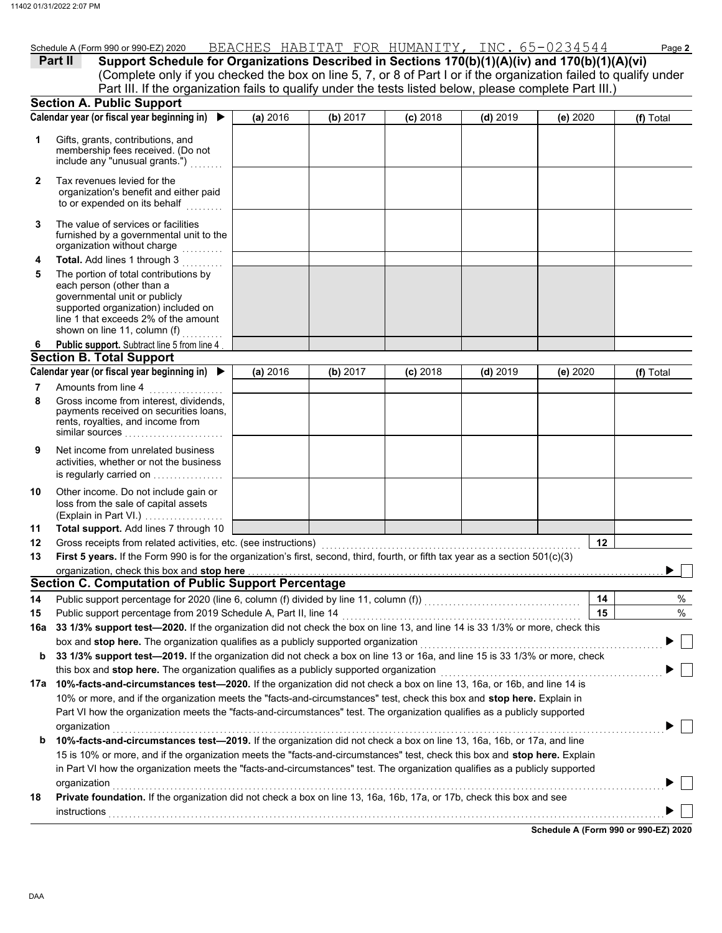|                | Schedule A (Form 990 or 990-EZ) 2020                                                                              |          |            |            | BEACHES HABITAT FOR HUMANITY, INC. 65-0234544 |          | Page 2      |
|----------------|-------------------------------------------------------------------------------------------------------------------|----------|------------|------------|-----------------------------------------------|----------|-------------|
|                | Support Schedule for Organizations Described in Sections 170(b)(1)(A)(iv) and 170(b)(1)(A)(vi)<br>Part II         |          |            |            |                                               |          |             |
|                | (Complete only if you checked the box on line 5, 7, or 8 of Part I or if the organization failed to qualify under |          |            |            |                                               |          |             |
|                | Part III. If the organization fails to qualify under the tests listed below, please complete Part III.)           |          |            |            |                                               |          |             |
|                | <b>Section A. Public Support</b>                                                                                  |          |            |            |                                               |          |             |
|                | Calendar year (or fiscal year beginning in)                                                                       | (a) 2016 | (b) $2017$ | $(c)$ 2018 | $(d)$ 2019                                    | (e) 2020 | $(f)$ Total |
|                | Gifts, grants, contributions, and<br>membership fees received. (Do not<br>include any "unusual grants.")          |          |            |            |                                               |          |             |
| $\mathbf{2}$   | Tax revenues levied for the<br>organization's benefit and either paid<br>to or expended on its behalf             |          |            |            |                                               |          |             |
| 3              | The value of services or facilities<br>furnished by a governmental unit to the<br>organization without charge     |          |            |            |                                               |          |             |
| $\overline{4}$ | <b>Total.</b> Add lines 1 through 3                                                                               |          |            |            |                                               |          |             |
|                |                                                                                                                   |          |            |            |                                               |          |             |

| 5 | The portion of total contributions by<br>each person (other than a<br>governmental unit or publicly<br>supported organization) included on<br>line 1 that exceeds 2% of the amount<br>shown on line 11, column (f) |  |
|---|--------------------------------------------------------------------------------------------------------------------------------------------------------------------------------------------------------------------|--|
| 6 | <b>Public support.</b> Subtract line 5 from line 4                                                                                                                                                                 |  |

### **Section B. Total Support**

|    | Calendar year (or fiscal year beginning in) $\blacktriangleright$                                                                        | (a) 2016 | (b) 2017 | $(c)$ 2018 | $(d)$ 2019 | (e) $2020$ | (f) Total |
|----|------------------------------------------------------------------------------------------------------------------------------------------|----------|----------|------------|------------|------------|-----------|
|    | Amounts from line 4                                                                                                                      |          |          |            |            |            |           |
| 8  | Gross income from interest, dividends,<br>payments received on securities loans,<br>rents, royalties, and income from<br>similar sources |          |          |            |            |            |           |
| 9  | Net income from unrelated business<br>activities, whether or not the business<br>is regularly carried on                                 |          |          |            |            |            |           |
| 10 | Other income. Do not include gain or                                                                                                     |          |          |            |            |            |           |

| 4 A | Total cunnant, Add lines 7 through 10        |
|-----|----------------------------------------------|
|     | (Explain in Part VI.) $\ldots$               |
|     | loss from the sale of capital assets         |
|     | <b>Other informe: Do not include gain or</b> |

| 11 Total support. Add lines 7 through 10                                                                       |
|----------------------------------------------------------------------------------------------------------------|
| 40. One can be called the model of a called called the control of the control of the control of the control of |

| 12 <sup>12</sup> | Gross receipts from related activities, etc. (see instructions)                                                                          |    |  |
|------------------|------------------------------------------------------------------------------------------------------------------------------------------|----|--|
| 13               | <b>First 5 years.</b> If the Form 990 is for the organization's first, second, third, fourth, or fifth tax year as a section $501(c)(3)$ |    |  |
|                  |                                                                                                                                          |    |  |
|                  | Section C. Computation of Public Support Percentage                                                                                      |    |  |
|                  | 14 Public support percentage for 2020 (line 6, column (f) divided by line 11, column (f))                                                | 14 |  |

| 14  | Public support percentage for 2020 (line 6, column (f) divided by line 11, column (f))                                               | 14 | $\%$ |  |  |  |
|-----|--------------------------------------------------------------------------------------------------------------------------------------|----|------|--|--|--|
| 15  | Public support percentage from 2019 Schedule A, Part II, line 14                                                                     | 15 | %    |  |  |  |
| 16а | 33 1/3% support test-2020. If the organization did not check the box on line 13, and line 14 is 33 1/3% or more, check this          |    |      |  |  |  |
|     | box and stop here. The organization qualifies as a publicly supported organization                                                   |    |      |  |  |  |
|     | <b>b</b> 33 1/3% support test—2019. If the organization did not check a box on line 13 or 16a, and line 15 is 33 1/3% or more, check |    |      |  |  |  |
|     | this box and stop here. The organization qualifies as a publicly supported organization                                              |    |      |  |  |  |
| 17a | 10%-facts-and-circumstances test-2020. If the organization did not check a box on line 13, 16a, or 16b, and line 14 is               |    |      |  |  |  |
|     | 10% or more, and if the organization meets the "facts-and-circumstances" test, check this box and <b>stop here.</b> Explain in       |    |      |  |  |  |
|     | Part VI how the organization meets the "facts-and-circumstances" test. The organization qualifies as a publicly supported            |    |      |  |  |  |
|     | organization                                                                                                                         |    |      |  |  |  |
| b   | 10%-facts-and-circumstances test-2019. If the organization did not check a box on line 13, 16a, 16b, or 17a, and line                |    |      |  |  |  |
|     | 15 is 10% or more, and if the organization meets the "facts-and-circumstances" test, check this box and stop here. Explain           |    |      |  |  |  |
|     | in Part VI how the organization meets the "facts-and-circumstances" test. The organization qualifies as a publicly supported         |    |      |  |  |  |

|    | organization                                                                                                                 |
|----|------------------------------------------------------------------------------------------------------------------------------|
| 18 | <b>Private foundation.</b> If the organization did not check a box on line 13, 16a, 16b, 17a, or 17b, check this box and see |
|    | instructions                                                                                                                 |

**Schedule A (Form 990 or 990-EZ) 2020**

 $\blacktriangleright \Box$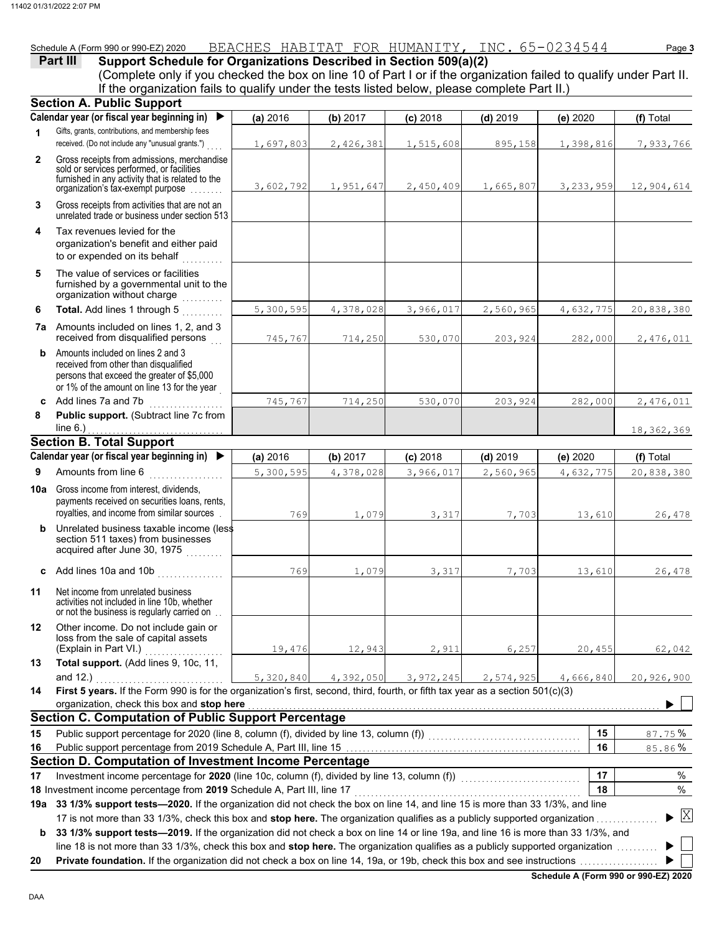### Schedule A (Form 990 or 990-EZ) 2020 BEACHES HABITAT FOR HUMANITY**,** INC. 65-0234544 Page **3**

## **Part III** Support Schedule for Organizations Described in Section 509(a)(2)

(Complete only if you checked the box on line 10 of Part I or if the organization failed to qualify under Part II. If the organization fails to qualify under the tests listed below, please complete Part II.)

|              | <b>Section A. Public Support</b>                                                                                                                                                                                                                                |           |           |             |            |           |                 |
|--------------|-----------------------------------------------------------------------------------------------------------------------------------------------------------------------------------------------------------------------------------------------------------------|-----------|-----------|-------------|------------|-----------|-----------------|
|              | Calendar year (or fiscal year beginning in)                                                                                                                                                                                                                     | (a) 2016  | (b) 2017  | $(c)$ 2018  | $(d)$ 2019 | (e) 2020  | (f) Total       |
| 1            | Gifts, grants, contributions, and membership fees<br>received. (Do not include any "unusual grants.")                                                                                                                                                           | 1,697,803 | 2,426,381 | 1,515,608   | 895,158    | 1,398,816 | 7,933,766       |
| $\mathbf{2}$ | Gross receipts from admissions, merchandise<br>sold or services performed, or facilities<br>furnished in any activity that is related to the<br>organization's tax-exempt purpose                                                                               | 3,602,792 | 1,951,647 | 2,450,409   | 1,665,807  | 3,233,959 | 12,904,614      |
| 3            | Gross receipts from activities that are not an<br>unrelated trade or business under section 513                                                                                                                                                                 |           |           |             |            |           |                 |
| 4            | Tax revenues levied for the<br>organization's benefit and either paid<br>to or expended on its behalf                                                                                                                                                           |           |           |             |            |           |                 |
| 5            | The value of services or facilities<br>furnished by a governmental unit to the<br>organization without charge                                                                                                                                                   |           |           |             |            |           |                 |
| 6            | Total. Add lines 1 through 5                                                                                                                                                                                                                                    | 5,300,595 | 4,378,028 | 3,966,017   | 2,560,965  | 4,632,775 | 20,838,380      |
|              | <b>7a</b> Amounts included on lines 1, 2, and 3<br>received from disqualified persons                                                                                                                                                                           | 745,767   | 714,250   | 530,070     | 203,924    | 282,000   | 2,476,011       |
| b            | Amounts included on lines 2 and 3<br>received from other than disqualified<br>persons that exceed the greater of \$5,000<br>or 1% of the amount on line 13 for the year                                                                                         |           |           |             |            |           |                 |
|              | c Add lines 7a and 7b<br>.                                                                                                                                                                                                                                      | 745,767   | 714,250   | 530,070     | 203,924    | 282,000   | 2,476,011       |
| 8            | Public support. (Subtract line 7c from                                                                                                                                                                                                                          |           |           |             |            |           |                 |
|              | line $6.$ )                                                                                                                                                                                                                                                     |           |           |             |            |           | 18, 362, 369    |
|              | <b>Section B. Total Support</b>                                                                                                                                                                                                                                 |           |           |             |            |           |                 |
|              | Calendar year (or fiscal year beginning in) $\blacktriangleright$                                                                                                                                                                                               | (a) 2016  | (b) 2017  | $(c)$ 2018  | $(d)$ 2019 | (e) 2020  | (f) Total       |
| 9            | Amounts from line 6<br>.                                                                                                                                                                                                                                        | 5,300,595 | 4,378,028 | 3,966,017   | 2,560,965  | 4,632,775 | 20,838,380      |
| 10a l        | Gross income from interest, dividends,<br>payments received on securities loans, rents,<br>royalties, and income from similar sources                                                                                                                           | 769       | 1,079     | 3,317       | 7,703      | 13,610    | 26,478          |
| b            | Unrelated business taxable income (less<br>section 511 taxes) from businesses<br>acquired after June 30, 1975                                                                                                                                                   |           |           |             |            |           |                 |
|              | c Add lines 10a and 10b $\ldots$                                                                                                                                                                                                                                | 769       | 1,079     | 3,317       | 7,703      | 13,610    | 26,478          |
| 11           | Net income from unrelated business<br>activities not included in line 10b, whether<br>or not the business is regularly carried on                                                                                                                               |           |           |             |            |           |                 |
| 12           | Other income. Do not include gain or<br>loss from the sale of capital assets<br>(Explain in Part VI.)                                                                                                                                                           | 19,476    | 12,943    | 2,911       | 6,257      | 20,455    | 62,042          |
| 13           | Total support. (Add lines 9, 10c, 11,                                                                                                                                                                                                                           |           |           |             |            |           |                 |
|              | and $12.$ )                                                                                                                                                                                                                                                     | 5,320,840 | 4,392,050 | 3, 972, 245 | 2,574,925  | 4,666,840 | 20,926,900      |
| 14           | First 5 years. If the Form 990 is for the organization's first, second, third, fourth, or fifth tax year as a section 501(c)(3)<br>organization, check this box and stop here                                                                                   |           |           |             |            |           |                 |
|              | <b>Section C. Computation of Public Support Percentage</b>                                                                                                                                                                                                      |           |           |             |            |           |                 |
| 15           | Public support percentage for 2020 (line 8, column (f), divided by line 13, column (f)) [[[[[[[[[[[[[[[[[[[[[                                                                                                                                                   |           |           |             |            | 15        | 87.75%          |
| 16           |                                                                                                                                                                                                                                                                 |           |           |             |            | 16        | 85.86%          |
|              | <b>Section D. Computation of Investment Income Percentage</b>                                                                                                                                                                                                   |           |           |             |            |           |                 |
| 17           | Investment income percentage for 2020 (line 10c, column (f), divided by line 13, column (f)) [[[[[[[[[[[[[[[[                                                                                                                                                   |           |           |             |            | 17        | %               |
|              | 18 Investment income percentage from 2019 Schedule A, Part III, line 17                                                                                                                                                                                         |           |           |             |            | 18        | $\%$            |
|              | 19a 33 1/3% support tests—2020. If the organization did not check the box on line 14, and line 15 is more than 33 1/3%, and line                                                                                                                                |           |           |             |            |           |                 |
| b            | 17 is not more than 33 1/3%, check this box and stop here. The organization qualifies as a publicly supported organization<br>33 1/3% support tests-2019. If the organization did not check a box on line 14 or line 19a, and line 16 is more than 33 1/3%, and |           |           |             |            |           | $\vert X \vert$ |
|              | line 18 is not more than 33 1/3%, check this box and stop here. The organization qualifies as a publicly supported organization                                                                                                                                 |           |           |             |            |           |                 |
| 20           |                                                                                                                                                                                                                                                                 |           |           |             |            |           |                 |

**Schedule A (Form 990 or 990-EZ) 2020**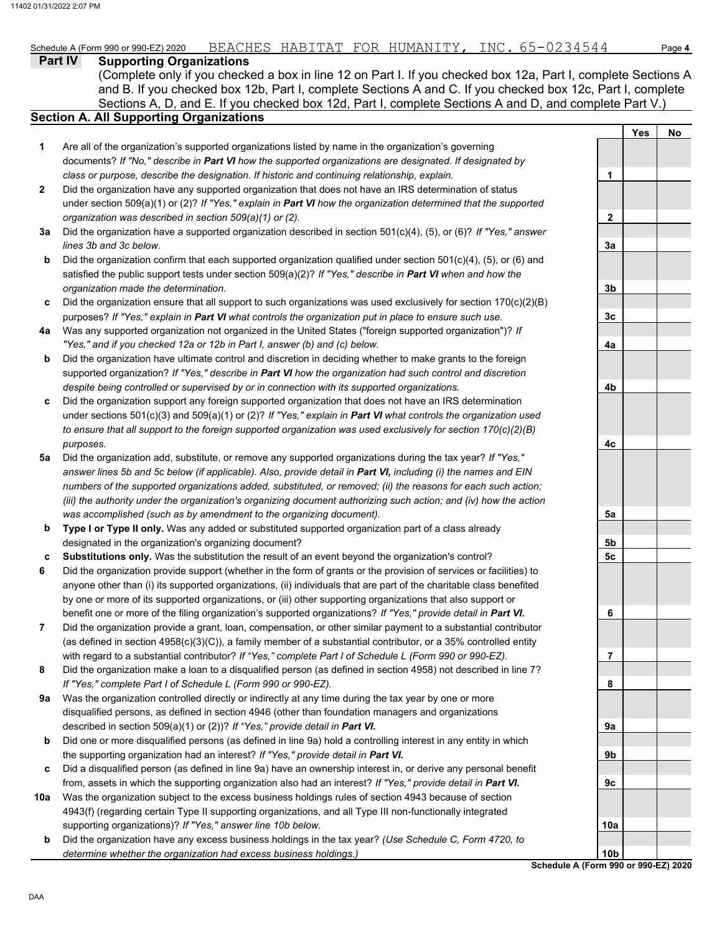#### **Part IV Supporting Organizations** Sections A, D, and E. If you checked box 12d, Part I, complete Sections A and D, and complete Part V.) **Section A. All Supporting Organizations** (Complete only if you checked a box in line 12 on Part I. If you checked box 12a, Part I, complete Sections A and B. If you checked box 12b, Part I, complete Sections A and C. If you checked box 12c, Part I, complete Are all of the organization's supported organizations listed by name in the organization's governing documents? *If "No," describe in Part VI how the supported organizations are designated. If designated by class or purpose, describe the designation. If historic and continuing relationship, explain.* Did the organization have any supported organization that does not have an IRS determination of status under section 509(a)(1) or (2)? *If "Yes," explain in Part VI how the organization determined that the supported organization was described in section 509(a)(1) or (2).* **1 2 3a** Did the organization have a supported organization described in section 501(c)(4), (5), or (6)? *If "Yes," answer* **b c** Did the organization ensure that all support to such organizations was used exclusively for section 170(c)(2)(B) **4a** Was any supported organization not organized in the United States ("foreign supported organization")? *If* **b c** Did the organization support any foreign supported organization that does not have an IRS determination **5a** Did the organization add, substitute, or remove any supported organizations during the tax year? *If "Yes,"* **b c 6 7 8 9a b c 10a b** *lines 3b and 3c below.* Did the organization confirm that each supported organization qualified under section 501(c)(4), (5), or (6) and satisfied the public support tests under section 509(a)(2)? *If "Yes," describe in Part VI when and how the organization made the determination.* purposes? *If "Yes," explain in Part VI what controls the organization put in place to ensure such use. "Yes," and if you checked 12a or 12b in Part I, answer (b) and (c) below.* Did the organization have ultimate control and discretion in deciding whether to make grants to the foreign supported organization? *If "Yes," describe in Part VI how the organization had such control and discretion despite being controlled or supervised by or in connection with its supported organizations.* under sections 501(c)(3) and 509(a)(1) or (2)? *If "Yes," explain in Part VI what controls the organization used to ensure that all support to the foreign supported organization was used exclusively for section 170(c)(2)(B) purposes. answer lines 5b and 5c below (if applicable). Also, provide detail in Part VI, including (i) the names and EIN numbers of the supported organizations added, substituted, or removed; (ii) the reasons for each such action; (iii) the authority under the organization's organizing document authorizing such action; and (iv) how the action was accomplished (such as by amendment to the organizing document).* **Type I or Type II only.** Was any added or substituted supported organization part of a class already designated in the organization's organizing document? **Substitutions only.** Was the substitution the result of an event beyond the organization's control? Did the organization provide support (whether in the form of grants or the provision of services or facilities) to anyone other than (i) its supported organizations, (ii) individuals that are part of the charitable class benefited by one or more of its supported organizations, or (iii) other supporting organizations that also support or benefit one or more of the filing organization's supported organizations? *If "Yes," provide detail in Part VI.* Did the organization provide a grant, loan, compensation, or other similar payment to a substantial contributor (as defined in section 4958(c)(3)(C)), a family member of a substantial contributor, or a 35% controlled entity with regard to a substantial contributor? *If "Yes," complete Part I of Schedule L (Form 990 or 990-EZ).* Did the organization make a loan to a disqualified person (as defined in section 4958) not described in line 7? *If "Yes," complete Part I of Schedule L (Form 990 or 990-EZ).* Was the organization controlled directly or indirectly at any time during the tax year by one or more disqualified persons, as defined in section 4946 (other than foundation managers and organizations described in section 509(a)(1) or (2))? *If "Yes," provide detail in Part VI.* Did one or more disqualified persons (as defined in line 9a) hold a controlling interest in any entity in which the supporting organization had an interest? *If "Yes," provide detail in Part VI.* Did a disqualified person (as defined in line 9a) have an ownership interest in, or derive any personal benefit from, assets in which the supporting organization also had an interest? *If "Yes," provide detail in Part VI.* Was the organization subject to the excess business holdings rules of section 4943 because of section 4943(f) (regarding certain Type II supporting organizations, and all Type III non-functionally integrated supporting organizations)? *If "Yes," answer line 10b below.* Did the organization have any excess business holdings in the tax year? *(Use Schedule C, Form 4720, to determine whether the organization had excess business holdings.)* **Yes No 1 2 3a 3b 3c 4a 4b 4c 5a 5b 5c 6 7 8 9a 9b 9c 10a**

**Schedule A (Form 990 or 990-EZ) 2020 10b**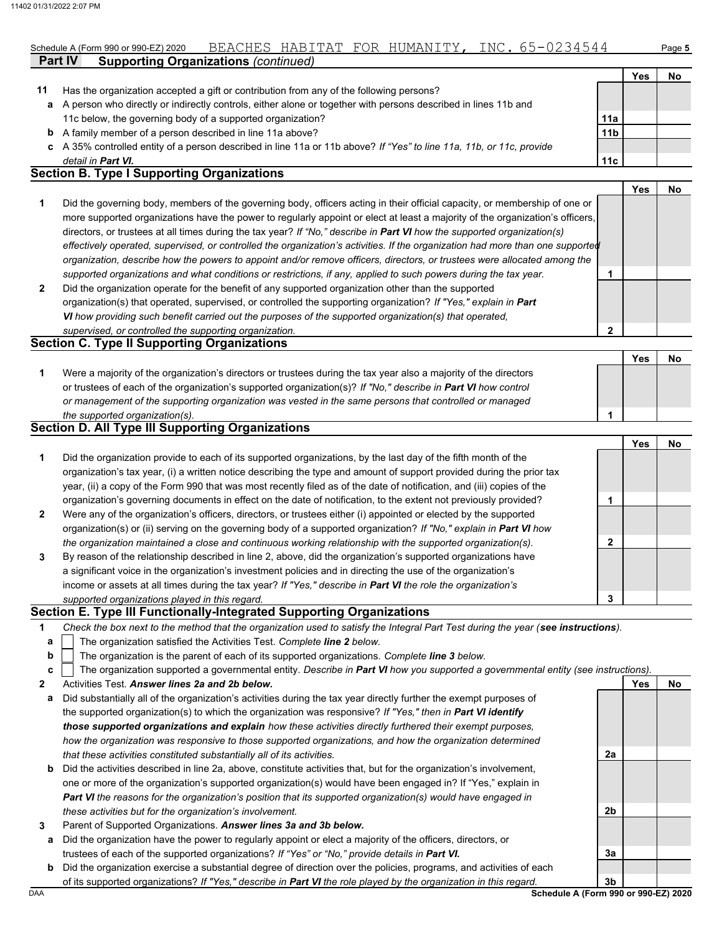## Schedule A (Form 990 or 990-EZ) 2020 BEACHES HABITAT FOR HUMANITY**,** INC. 65-0234544 Page **5**

|    |                                                                                                                    |                 | Yes                        | No |
|----|--------------------------------------------------------------------------------------------------------------------|-----------------|----------------------------|----|
| 11 | Has the organization accepted a gift or contribution from any of the following persons?                            |                 |                            |    |
| a  | A person who directly or indirectly controls, either alone or together with persons described in lines 11b and     |                 |                            |    |
|    | 11c below, the governing body of a supported organization?                                                         | 11a             |                            |    |
| b  | A family member of a person described in line 11a above?                                                           | 11 <sub>b</sub> |                            |    |
| C. | A 35% controlled entity of a person described in line 11a or 11b above? If "Yes" to line 11a, 11b, or 11c, provide |                 |                            |    |
|    | detail in <b>Part VI.</b>                                                                                          | 11c             |                            |    |
|    | <b>Section B. Type I Supporting Organizations</b>                                                                  |                 |                            |    |
|    |                                                                                                                    |                 | $V_{\mathbf{a}\mathbf{c}}$ | ᄓ  |

|                |                                                                                                                                | Yes |  |
|----------------|--------------------------------------------------------------------------------------------------------------------------------|-----|--|
|                | Did the governing body, members of the governing body, officers acting in their official capacity, or membership of one or     |     |  |
|                | more supported organizations have the power to regularly appoint or elect at least a majority of the organization's officers,  |     |  |
|                | directors, or trustees at all times during the tax year? If "No," describe in Part VI how the supported organization(s)        |     |  |
|                | effectively operated, supervised, or controlled the organization's activities. If the organization had more than one supported |     |  |
|                | organization, describe how the powers to appoint and/or remove officers, directors, or trustees were allocated among the       |     |  |
|                | supported organizations and what conditions or restrictions, if any, applied to such powers during the tax year.               |     |  |
| $\overline{2}$ | Did the organization operate for the benefit of any supported organization other than the supported                            |     |  |
|                | organization(s) that operated, supervised, or controlled the supporting organization? If "Yes," explain in Part                |     |  |
|                | VI how providing such benefit carried out the purposes of the supported organization(s) that operated,                         |     |  |

#### *supervised, or controlled the supporting organization.* **Section C. Type II Supporting Organizations**

**Part IV Supporting Organizations** *(continued)*

|                                                                                                                  | Yes |  |
|------------------------------------------------------------------------------------------------------------------|-----|--|
| Were a majority of the organization's directors or trustees during the tax year also a majority of the directors |     |  |
| or trustees of each of the organization's supported organization(s)? If "No," describe in Part VI how control    |     |  |
| or management of the supporting organization was vested in the same persons that controlled or managed           |     |  |
| the supported organization(s).                                                                                   |     |  |

### **Section D. All Type III Supporting Organizations**

|                |                                                                                                                        |   | Yes | No |
|----------------|------------------------------------------------------------------------------------------------------------------------|---|-----|----|
| 1              | Did the organization provide to each of its supported organizations, by the last day of the fifth month of the         |   |     |    |
|                | organization's tax year, (i) a written notice describing the type and amount of support provided during the prior tax  |   |     |    |
|                | year, (ii) a copy of the Form 990 that was most recently filed as of the date of notification, and (iii) copies of the |   |     |    |
|                | organization's governing documents in effect on the date of notification, to the extent not previously provided?       |   |     |    |
| $\overline{2}$ | Were any of the organization's officers, directors, or trustees either (i) appointed or elected by the supported       |   |     |    |
|                | organization(s) or (ii) serving on the governing body of a supported organization? If "No," explain in Part VI how     |   |     |    |
|                | the organization maintained a close and continuous working relationship with the supported organization(s).            | າ |     |    |
| 3              | By reason of the relationship described in line 2, above, did the organization's supported organizations have          |   |     |    |
|                | a significant voice in the organization's investment policies and in directing the use of the organization's           |   |     |    |
|                | income or assets at all times during the tax year? If "Yes," describe in Part VI the role the organization's           |   |     |    |
|                | supported organizations played in this regard.                                                                         | 3 |     |    |

#### **Section E. Type III Functionally-Integrated Supporting Organizations**

| Check the box next to the method that the organization used to satisfy the Integral Part Test during the year (see instructions). |  |
|-----------------------------------------------------------------------------------------------------------------------------------|--|

- The organization satisfied the Activities Test. *Complete line 2 below.* **a**
- The organization is the parent of each of its supported organizations. *Complete line 3 below.* **b**

- **2** Activities Test. *Answer lines 2a and 2b below.*
- **a** Did substantially all of the organization's activities during the tax year directly further the exempt purposes of the supported organization(s) to which the organization was responsive? *If "Yes," then in Part VI identify those supported organizations and explain how these activities directly furthered their exempt purposes, how the organization was responsive to those supported organizations, and how the organization determined that these activities constituted substantially all of its activities.*
- **b** Did the activities described in line 2a, above, constitute activities that, but for the organization's involvement, one or more of the organization's supported organization(s) would have been engaged in? If "Yes," explain in *Part VI the reasons for the organization's position that its supported organization(s) would have engaged in these activities but for the organization's involvement.*
- **3** Parent of Supported Organizations. *Answer lines 3a and 3b below.*
	- **a** Did the organization have the power to regularly appoint or elect a majority of the officers, directors, or trustees of each of the supported organizations? *If "Yes" or "No," provide details in Part VI.*
	- **b** Did the organization exercise a substantial degree of direction over the policies, programs, and activities of each of its supported organizations? *If "Yes," describe in Part VI the role played by the organization in this regard.*

**2a**

**2b**

**3a**

**Yes No**

**2**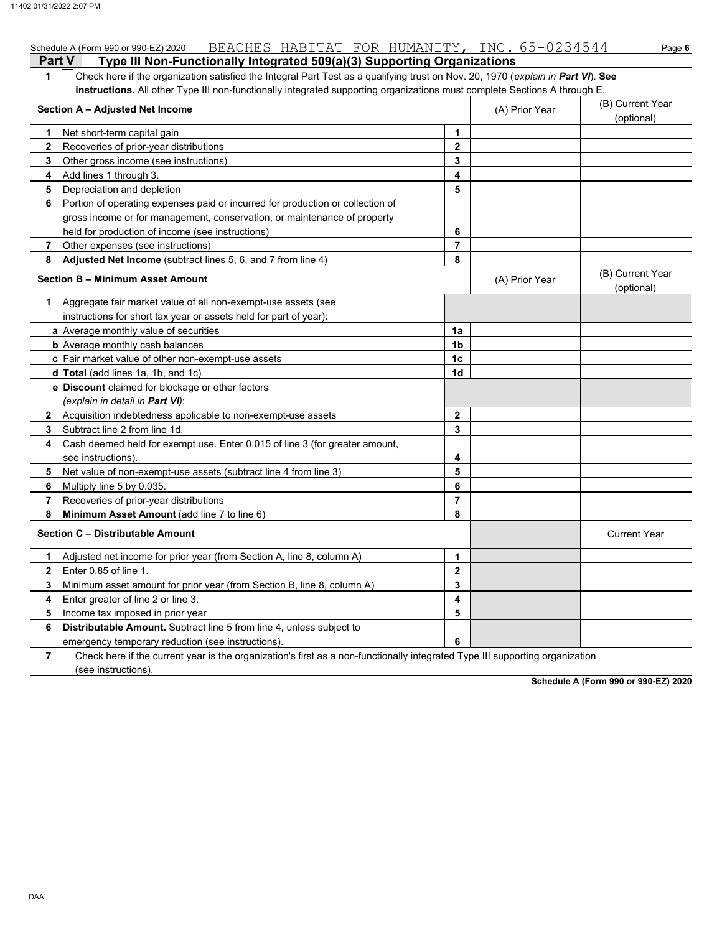| BEACHES HABITAT FOR HUMANITY, INC. 65-0234544<br>Schedule A (Form 990 or 990-EZ) 2020                                                 |                |                | Page 6                         |  |  |  |
|---------------------------------------------------------------------------------------------------------------------------------------|----------------|----------------|--------------------------------|--|--|--|
| <b>Part V</b><br>Type III Non-Functionally Integrated 509(a)(3) Supporting Organizations                                              |                |                |                                |  |  |  |
| Check here if the organization satisfied the Integral Part Test as a qualifying trust on Nov. 20, 1970 (explain in Part VI). See<br>1 |                |                |                                |  |  |  |
| instructions. All other Type III non-functionally integrated supporting organizations must complete Sections A through E.             |                |                |                                |  |  |  |
| Section A - Adjusted Net Income                                                                                                       | (A) Prior Year |                |                                |  |  |  |
| Net short-term capital gain<br>1                                                                                                      | 1              |                |                                |  |  |  |
| $\mathbf{2}$<br>Recoveries of prior-year distributions                                                                                | $\mathbf 2$    |                |                                |  |  |  |
| 3<br>Other gross income (see instructions)                                                                                            | 3              |                |                                |  |  |  |
| 4<br>Add lines 1 through 3.                                                                                                           | 4              |                |                                |  |  |  |
| Depreciation and depletion<br>5                                                                                                       | 5              |                |                                |  |  |  |
| Portion of operating expenses paid or incurred for production or collection of<br>6                                                   |                |                |                                |  |  |  |
| gross income or for management, conservation, or maintenance of property                                                              |                |                |                                |  |  |  |
| held for production of income (see instructions)                                                                                      | 6              |                |                                |  |  |  |
| Other expenses (see instructions)<br>7                                                                                                | $\overline{7}$ |                |                                |  |  |  |
| Adjusted Net Income (subtract lines 5, 6, and 7 from line 4)<br>8                                                                     | 8              |                |                                |  |  |  |
| Section B - Minimum Asset Amount                                                                                                      |                | (A) Prior Year | (B) Current Year<br>(optional) |  |  |  |
| Aggregate fair market value of all non-exempt-use assets (see<br>1.                                                                   |                |                |                                |  |  |  |
| instructions for short tax year or assets held for part of year):                                                                     |                |                |                                |  |  |  |
| a Average monthly value of securities                                                                                                 | 1a             |                |                                |  |  |  |
| <b>b</b> Average monthly cash balances                                                                                                | 1 <sub>b</sub> |                |                                |  |  |  |
| c Fair market value of other non-exempt-use assets                                                                                    | 1 <sub>c</sub> |                |                                |  |  |  |
| <b>d Total</b> (add lines 1a, 1b, and 1c)                                                                                             | 1d             |                |                                |  |  |  |
| e Discount claimed for blockage or other factors                                                                                      |                |                |                                |  |  |  |
| (explain in detail in <b>Part VI</b> ):                                                                                               |                |                |                                |  |  |  |
| 2 Acquisition indebtedness applicable to non-exempt-use assets                                                                        | $\mathbf{2}$   |                |                                |  |  |  |
| 3<br>Subtract line 2 from line 1d.                                                                                                    | 3              |                |                                |  |  |  |
| Cash deemed held for exempt use. Enter 0.015 of line 3 (for greater amount,<br>4                                                      |                |                |                                |  |  |  |
| see instructions)                                                                                                                     | 4              |                |                                |  |  |  |
| 5<br>Net value of non-exempt-use assets (subtract line 4 from line 3)                                                                 | 5              |                |                                |  |  |  |
| 6<br>Multiply line 5 by 0.035.                                                                                                        | 6              |                |                                |  |  |  |
| 7<br>Recoveries of prior-year distributions                                                                                           | 7              |                |                                |  |  |  |
| 8<br>Minimum Asset Amount (add line 7 to line 6)                                                                                      | 8              |                |                                |  |  |  |
| <b>Section C - Distributable Amount</b>                                                                                               |                |                | <b>Current Year</b>            |  |  |  |
| Adjusted net income for prior year (from Section A, line 8, column A)<br>1                                                            | 1              |                |                                |  |  |  |
| $\mathbf{2}$<br>Enter 0.85 of line 1.                                                                                                 | $\mathbf{2}$   |                |                                |  |  |  |
| Minimum asset amount for prior year (from Section B, line 8, column A)<br>3                                                           | 3              |                |                                |  |  |  |
| Enter greater of line 2 or line 3.<br>4                                                                                               | 4              |                |                                |  |  |  |
| 5<br>Income tax imposed in prior year                                                                                                 | 5              |                |                                |  |  |  |
| Distributable Amount. Subtract line 5 from line 4, unless subject to<br>6                                                             |                |                |                                |  |  |  |
| emergency temporary reduction (see instructions)                                                                                      | 6              |                |                                |  |  |  |

**7** | Check here if the current year is the organization's first as a non-functionally integrated Type III supporting organization (see instructions).

**Schedule A (Form 990 or 990-EZ) 2020**

DAA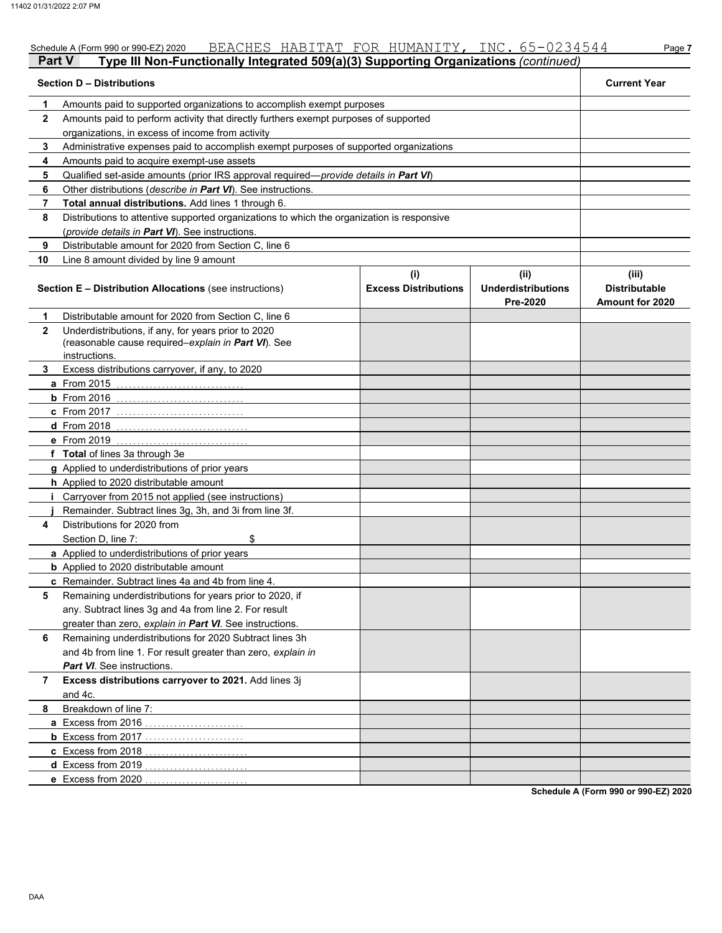|              | BEACHES HABITAT FOR HUMANITY, INC. 65-0234544<br>Schedule A (Form 990 or 990-EZ) 2020                                       |                                    |                                               | Page 7                                                  |
|--------------|-----------------------------------------------------------------------------------------------------------------------------|------------------------------------|-----------------------------------------------|---------------------------------------------------------|
| Part V       | Type III Non-Functionally Integrated 509(a)(3) Supporting Organizations (continued)                                         |                                    |                                               |                                                         |
|              | <b>Section D - Distributions</b>                                                                                            |                                    |                                               | <b>Current Year</b>                                     |
| 1            | Amounts paid to supported organizations to accomplish exempt purposes                                                       |                                    |                                               |                                                         |
| $\mathbf{2}$ | Amounts paid to perform activity that directly furthers exempt purposes of supported                                        |                                    |                                               |                                                         |
|              | organizations, in excess of income from activity                                                                            |                                    |                                               |                                                         |
| 3            | Administrative expenses paid to accomplish exempt purposes of supported organizations                                       |                                    |                                               |                                                         |
| 4            | Amounts paid to acquire exempt-use assets                                                                                   |                                    |                                               |                                                         |
| 5            | Qualified set-aside amounts (prior IRS approval required-provide details in Part VI)                                        |                                    |                                               |                                                         |
| 6            | Other distributions (describe in Part VI). See instructions.                                                                |                                    |                                               |                                                         |
| 7            | Total annual distributions. Add lines 1 through 6.                                                                          |                                    |                                               |                                                         |
| 8            | Distributions to attentive supported organizations to which the organization is responsive                                  |                                    |                                               |                                                         |
|              | (provide details in Part VI). See instructions.                                                                             |                                    |                                               |                                                         |
| 9            | Distributable amount for 2020 from Section C, line 6                                                                        |                                    |                                               |                                                         |
| 10           | Line 8 amount divided by line 9 amount                                                                                      |                                    |                                               |                                                         |
|              | <b>Section E - Distribution Allocations (see instructions)</b>                                                              | (i)<br><b>Excess Distributions</b> | (ii)<br><b>Underdistributions</b><br>Pre-2020 | (iii)<br><b>Distributable</b><br><b>Amount for 2020</b> |
| 1            | Distributable amount for 2020 from Section C, line 6                                                                        |                                    |                                               |                                                         |
| $\mathbf{2}$ | Underdistributions, if any, for years prior to 2020<br>(reasonable cause required-explain in Part VI). See<br>instructions. |                                    |                                               |                                                         |
| 3.           | Excess distributions carryover, if any, to 2020                                                                             |                                    |                                               |                                                         |
|              | <b>a</b> From 2015                                                                                                          |                                    |                                               |                                                         |
|              | $b$ From 2016                                                                                                               |                                    |                                               |                                                         |
|              | <b>c</b> From 2017                                                                                                          |                                    |                                               |                                                         |
|              | <b>d</b> From 2018                                                                                                          |                                    |                                               |                                                         |
|              | e From 2019                                                                                                                 |                                    |                                               |                                                         |
|              | f Total of lines 3a through 3e                                                                                              |                                    |                                               |                                                         |
|              | g Applied to underdistributions of prior years                                                                              |                                    |                                               |                                                         |
|              | h Applied to 2020 distributable amount                                                                                      |                                    |                                               |                                                         |
|              | Carryover from 2015 not applied (see instructions)                                                                          |                                    |                                               |                                                         |
|              | Remainder. Subtract lines 3g, 3h, and 3i from line 3f.                                                                      |                                    |                                               |                                                         |
| 4            | Distributions for 2020 from                                                                                                 |                                    |                                               |                                                         |
|              | \$<br>Section D. line 7:                                                                                                    |                                    |                                               |                                                         |
|              | a Applied to underdistributions of prior years                                                                              |                                    |                                               |                                                         |
|              | <b>b</b> Applied to 2020 distributable amount                                                                               |                                    |                                               |                                                         |
|              | c Remainder. Subtract lines 4a and 4b from line 4.                                                                          |                                    |                                               |                                                         |
| 5            | Remaining underdistributions for years prior to 2020, if                                                                    |                                    |                                               |                                                         |
|              | any. Subtract lines 3g and 4a from line 2. For result                                                                       |                                    |                                               |                                                         |
|              | greater than zero, explain in Part VI. See instructions.                                                                    |                                    |                                               |                                                         |
| 6            | Remaining underdistributions for 2020 Subtract lines 3h                                                                     |                                    |                                               |                                                         |
|              | and 4b from line 1. For result greater than zero, explain in                                                                |                                    |                                               |                                                         |
|              | <b>Part VI</b> . See instructions.                                                                                          |                                    |                                               |                                                         |
| 7            | Excess distributions carryover to 2021. Add lines 3j                                                                        |                                    |                                               |                                                         |
|              | and 4c.                                                                                                                     |                                    |                                               |                                                         |
| 8            | Breakdown of line 7:                                                                                                        |                                    |                                               |                                                         |
|              | a Excess from 2016                                                                                                          |                                    |                                               |                                                         |
|              | <b>b</b> Excess from 2017                                                                                                   |                                    |                                               |                                                         |
|              | c Excess from 2018                                                                                                          |                                    |                                               |                                                         |
|              | d Excess from 2019                                                                                                          |                                    |                                               |                                                         |
|              | e Excess from 2020                                                                                                          |                                    |                                               |                                                         |

**Schedule A (Form 990 or 990-EZ) 2020**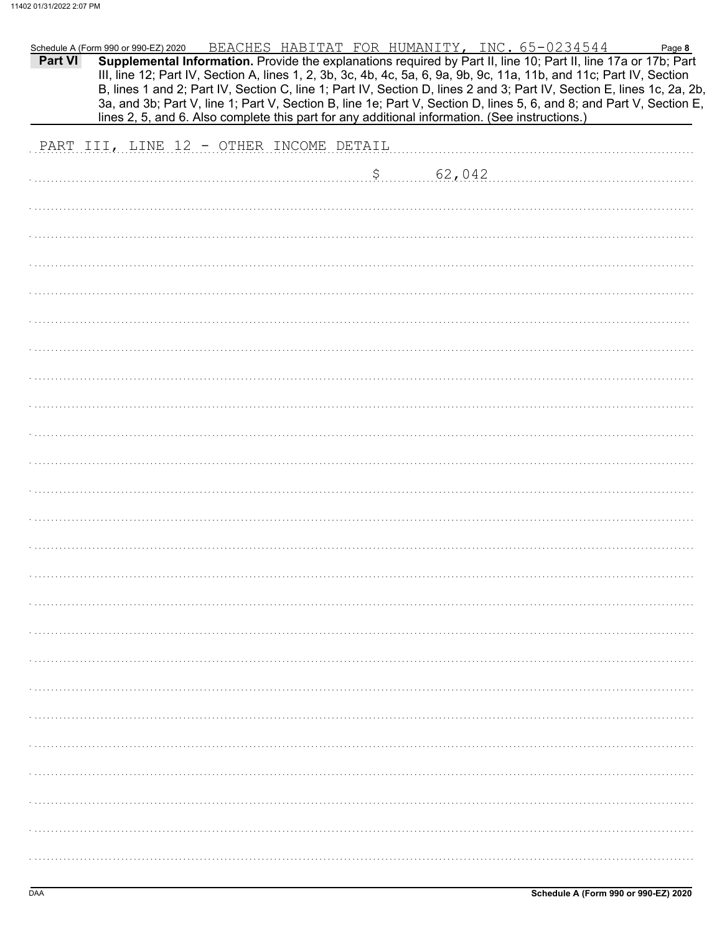| PART III, LINE 12 - OTHER INCOME DETAIL<br>\$ 62,042 | Part VI | Schedule A (Form 990 or 990-EZ) 2020 | lines 2, 5, and 6. Also complete this part for any additional information. (See instructions.) |  | BEACHES HABITAT FOR HUMANITY, INC. 65-0234544<br>Supplemental Information. Provide the explanations required by Part II, line 10; Part II, line 17a or 17b; Part<br>III, line 12; Part IV, Section A, lines 1, 2, 3b, 3c, 4b, 4c, 5a, 6, 9a, 9b, 9c, 11a, 11b, and 11c; Part IV, Section<br>B, lines 1 and 2; Part IV, Section C, line 1; Part IV, Section D, lines 2 and 3; Part IV, Section E, lines 1c, 2a, 2b,<br>3a, and 3b; Part V, line 1; Part V, Section B, line 1e; Part V, Section D, lines 5, 6, and 8; and Part V, Section E, | Page 8 |
|------------------------------------------------------|---------|--------------------------------------|------------------------------------------------------------------------------------------------|--|--------------------------------------------------------------------------------------------------------------------------------------------------------------------------------------------------------------------------------------------------------------------------------------------------------------------------------------------------------------------------------------------------------------------------------------------------------------------------------------------------------------------------------------------|--------|
|                                                      |         |                                      |                                                                                                |  |                                                                                                                                                                                                                                                                                                                                                                                                                                                                                                                                            |        |
|                                                      |         |                                      |                                                                                                |  |                                                                                                                                                                                                                                                                                                                                                                                                                                                                                                                                            |        |
|                                                      |         |                                      |                                                                                                |  |                                                                                                                                                                                                                                                                                                                                                                                                                                                                                                                                            |        |
|                                                      |         |                                      |                                                                                                |  |                                                                                                                                                                                                                                                                                                                                                                                                                                                                                                                                            |        |
|                                                      |         |                                      |                                                                                                |  |                                                                                                                                                                                                                                                                                                                                                                                                                                                                                                                                            |        |
|                                                      |         |                                      |                                                                                                |  |                                                                                                                                                                                                                                                                                                                                                                                                                                                                                                                                            |        |
|                                                      |         |                                      |                                                                                                |  |                                                                                                                                                                                                                                                                                                                                                                                                                                                                                                                                            |        |
|                                                      |         |                                      |                                                                                                |  |                                                                                                                                                                                                                                                                                                                                                                                                                                                                                                                                            |        |
|                                                      |         |                                      |                                                                                                |  |                                                                                                                                                                                                                                                                                                                                                                                                                                                                                                                                            |        |
|                                                      |         |                                      |                                                                                                |  |                                                                                                                                                                                                                                                                                                                                                                                                                                                                                                                                            |        |
|                                                      |         |                                      |                                                                                                |  |                                                                                                                                                                                                                                                                                                                                                                                                                                                                                                                                            |        |
|                                                      |         |                                      |                                                                                                |  |                                                                                                                                                                                                                                                                                                                                                                                                                                                                                                                                            |        |
|                                                      |         |                                      |                                                                                                |  |                                                                                                                                                                                                                                                                                                                                                                                                                                                                                                                                            |        |
|                                                      |         |                                      |                                                                                                |  |                                                                                                                                                                                                                                                                                                                                                                                                                                                                                                                                            |        |
|                                                      |         |                                      |                                                                                                |  |                                                                                                                                                                                                                                                                                                                                                                                                                                                                                                                                            |        |
|                                                      |         |                                      |                                                                                                |  |                                                                                                                                                                                                                                                                                                                                                                                                                                                                                                                                            |        |
|                                                      |         |                                      |                                                                                                |  |                                                                                                                                                                                                                                                                                                                                                                                                                                                                                                                                            |        |
|                                                      |         |                                      |                                                                                                |  |                                                                                                                                                                                                                                                                                                                                                                                                                                                                                                                                            |        |
|                                                      |         |                                      |                                                                                                |  |                                                                                                                                                                                                                                                                                                                                                                                                                                                                                                                                            |        |
|                                                      |         |                                      |                                                                                                |  |                                                                                                                                                                                                                                                                                                                                                                                                                                                                                                                                            |        |
|                                                      |         |                                      |                                                                                                |  |                                                                                                                                                                                                                                                                                                                                                                                                                                                                                                                                            |        |
|                                                      |         |                                      |                                                                                                |  |                                                                                                                                                                                                                                                                                                                                                                                                                                                                                                                                            |        |
|                                                      |         |                                      |                                                                                                |  |                                                                                                                                                                                                                                                                                                                                                                                                                                                                                                                                            |        |
|                                                      |         |                                      |                                                                                                |  |                                                                                                                                                                                                                                                                                                                                                                                                                                                                                                                                            |        |
|                                                      |         |                                      |                                                                                                |  |                                                                                                                                                                                                                                                                                                                                                                                                                                                                                                                                            |        |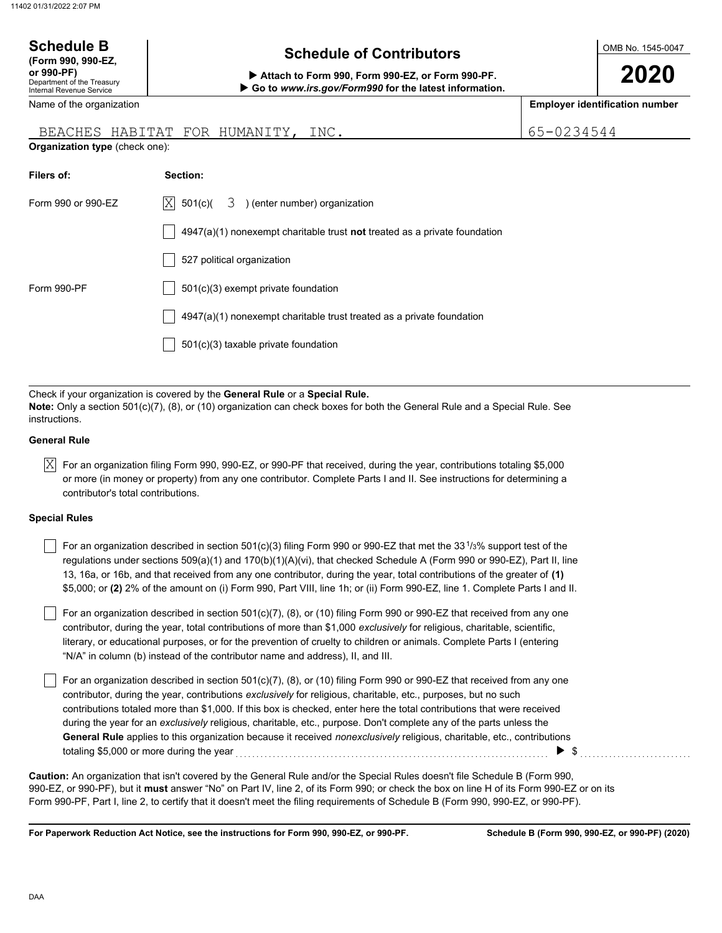| <b>Schedule B</b><br>(Form 990, 990-EZ,                                     | <b>Schedule of Contributors</b>                                                                                                                                                                             |            | OMB No. 1545-0047                     |
|-----------------------------------------------------------------------------|-------------------------------------------------------------------------------------------------------------------------------------------------------------------------------------------------------------|------------|---------------------------------------|
| or 990-PF)<br>Department of the Treasury<br><b>Internal Revenue Service</b> | Attach to Form 990, Form 990-EZ, or Form 990-PF.<br>Go to www.irs.gov/Form990 for the latest information.                                                                                                   |            | 2020                                  |
| Name of the organization                                                    |                                                                                                                                                                                                             |            | <b>Employer identification number</b> |
| Organization type (check one):                                              | BEACHES HABITAT FOR HUMANITY, INC.                                                                                                                                                                          | 65-0234544 |                                       |
| Filers of:                                                                  | Section:                                                                                                                                                                                                    |            |                                       |
| Form 990 or 990-EZ                                                          | X <br>3 ) (enter number) organization<br>501(c)(                                                                                                                                                            |            |                                       |
|                                                                             | $4947(a)(1)$ nonexempt charitable trust not treated as a private foundation                                                                                                                                 |            |                                       |
|                                                                             | 527 political organization                                                                                                                                                                                  |            |                                       |
| Form 990-PF                                                                 | 501(c)(3) exempt private foundation                                                                                                                                                                         |            |                                       |
|                                                                             | $4947(a)(1)$ nonexempt charitable trust treated as a private foundation                                                                                                                                     |            |                                       |
|                                                                             | 501(c)(3) taxable private foundation                                                                                                                                                                        |            |                                       |
|                                                                             |                                                                                                                                                                                                             |            |                                       |
| instructions.                                                               | Check if your organization is covered by the General Rule or a Special Rule.<br>Note: Only a section 501(c)(7), (8), or (10) organization can check boxes for both the General Rule and a Special Rule. See |            |                                       |

#### **General Rule**

 $\overline{\rm X}$  For an organization filing Form 990, 990-EZ, or 990-PF that received, during the year, contributions totaling \$5,000 or more (in money or property) from any one contributor. Complete Parts I and II. See instructions for determining a contributor's total contributions.

#### **Special Rules**

| For an organization described in section 501(c)(3) filing Form 990 or 990-EZ that met the 33 <sup>1</sup> /3% support test of the |
|-----------------------------------------------------------------------------------------------------------------------------------|
| regulations under sections $509(a)(1)$ and $170(b)(1)(A)(vi)$ , that checked Schedule A (Form 990 or 990-EZ), Part II, line       |
| 13, 16a, or 16b, and that received from any one contributor, during the year, total contributions of the greater of (1)           |
| \$5,000; or (2) 2% of the amount on (i) Form 990, Part VIII, line 1h; or (ii) Form 990-EZ, line 1. Complete Parts I and II.       |

literary, or educational purposes, or for the prevention of cruelty to children or animals. Complete Parts I (entering For an organization described in section 501(c)(7), (8), or (10) filing Form 990 or 990-EZ that received from any one contributor, during the year, total contributions of more than \$1,000 *exclusively* for religious, charitable, scientific, "N/A" in column (b) instead of the contributor name and address), II, and III.

For an organization described in section 501(c)(7), (8), or (10) filing Form 990 or 990-EZ that received from any one contributor, during the year, contributions *exclusively* for religious, charitable, etc., purposes, but no such contributions totaled more than \$1,000. If this box is checked, enter here the total contributions that were received during the year for an *exclusively* religious, charitable, etc., purpose. Don't complete any of the parts unless the **General Rule** applies to this organization because it received *nonexclusively* religious, charitable, etc., contributions totaling \$5,000 or more during the year . . . . . . . . . . . . . . . . . . . . . . . . . . . . . . . . . . . . . . . . . . . . . . . . . . . . . . . . . . . . . . . . . . . . . . . . . . . . \$ . . . . . . . . . . . . . . . . . . . . . . . . . . .

990-EZ, or 990-PF), but it **must** answer "No" on Part IV, line 2, of its Form 990; or check the box on line H of its Form 990-EZ or on its Form 990-PF, Part I, line 2, to certify that it doesn't meet the filing requirements of Schedule B (Form 990, 990-EZ, or 990-PF). **Caution:** An organization that isn't covered by the General Rule and/or the Special Rules doesn't file Schedule B (Form 990,

**For Paperwork Reduction Act Notice, see the instructions for Form 990, 990-EZ, or 990-PF.**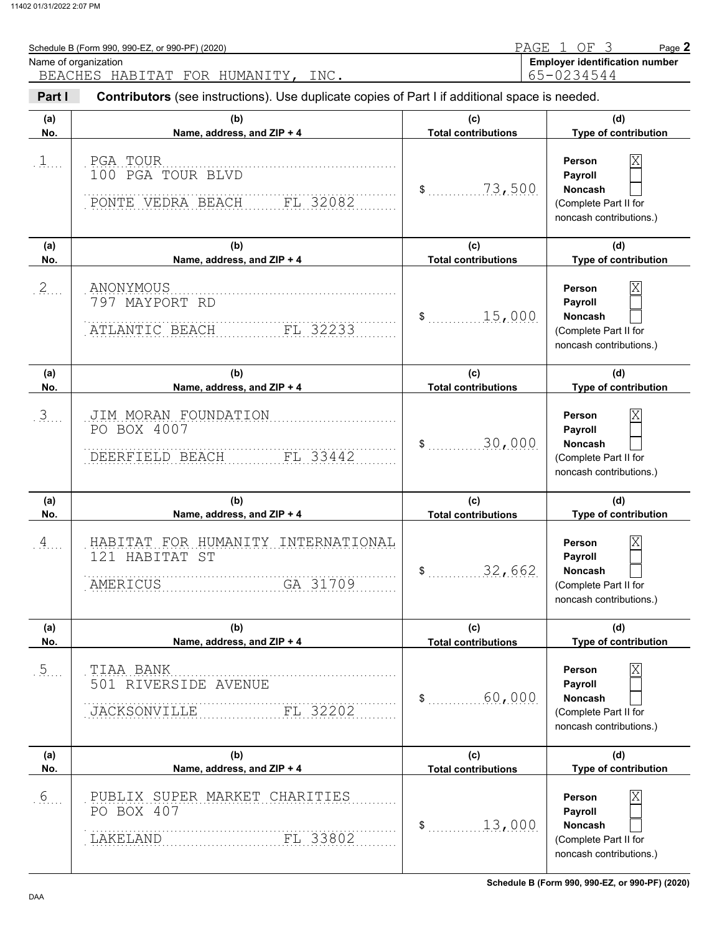| Schedule B (Form 990, 990-EZ, or 990-PF) (2020)<br>Name of organization |                                                                                                |                                                       | PAGE 1 OF 3<br>Page 2<br><b>Employer identification number</b>                                              |
|-------------------------------------------------------------------------|------------------------------------------------------------------------------------------------|-------------------------------------------------------|-------------------------------------------------------------------------------------------------------------|
|                                                                         | BEACHES HABITAT FOR HUMANITY, INC.                                                             |                                                       | 65-0234544                                                                                                  |
| Part I                                                                  | Contributors (see instructions). Use duplicate copies of Part I if additional space is needed. |                                                       |                                                                                                             |
| (a)<br>No.                                                              | (b)<br>Name, address, and ZIP + 4                                                              | (c)<br><b>Total contributions</b>                     | (d)<br>Type of contribution                                                                                 |
| $1$                                                                     | PGA TOUR<br>100 PGA TOUR BLVD<br>FL 32082<br>PONTE VEDRA BEACH                                 | 73,500<br>$\frac{1}{2}$                               | Χ<br>Person<br>Payroll<br>Noncash<br>(Complete Part II for                                                  |
| (a)                                                                     | (b)                                                                                            | (c)                                                   | noncash contributions.)<br>(d)                                                                              |
| No.                                                                     | Name, address, and ZIP + 4                                                                     | <b>Total contributions</b>                            | Type of contribution                                                                                        |
| 2                                                                       | ANONYMOUS<br>797 MAYPORT RD<br>FL 32233<br>ATLANTIC BEACH                                      | 15,000<br>$\sim$                                      | Χ<br>Person<br>Payroll<br>Noncash<br>(Complete Part II for<br>noncash contributions.)                       |
| (a)                                                                     | (b)                                                                                            | (c)                                                   | (d)                                                                                                         |
| No.                                                                     | Name, address, and ZIP + 4                                                                     | <b>Total contributions</b>                            | Type of contribution                                                                                        |
| 3                                                                       | JIM MORAN FOUNDATION<br>PO BOX 4007<br>DEERFIELD BEACH<br>FL 33442                             | 30,000<br>$\mathsf{\$}$                               | Χ<br>Person<br>Payroll<br><b>Noncash</b><br>(Complete Part II for<br>noncash contributions.)                |
| (a)<br>No.                                                              | (b)<br>Name, address, and ZIP + 4                                                              | (c)<br><b>Total contributions</b>                     | (d)<br>Type of contribution                                                                                 |
| $\overline{A}$                                                          | HABITAT FOR HUMANITY INTERNATIONAL<br>121 HABITAT ST<br>GA 31709<br>AMERICUS                   | \$<br>32,662                                          | $\overline{\mathrm{X}}$<br>Person<br>Payroll<br>Noncash<br>(Complete Part II for<br>noncash contributions.) |
| (a)<br>No.                                                              | (b)<br>Name, address, and ZIP + 4                                                              | (c)<br><b>Total contributions</b>                     | (d)<br>Type of contribution                                                                                 |
| 5                                                                       | TIAA BANK<br>501 RIVERSIDE AVENUE<br><b>JACKSONVILLE</b><br>FL 32202                           | 60,000<br>$\sim$                                      | $\overline{\mathrm{X}}$<br>Person<br>Payroll<br>Noncash<br>(Complete Part II for<br>noncash contributions.) |
| (a)<br>No.                                                              | (b)<br>Name, address, and ZIP + 4                                                              | (c)                                                   | (d)<br>Type of contribution                                                                                 |
| 6                                                                       | PUBLIX SUPER MARKET CHARITIES<br>PO BOX 407<br>FL 33802<br>LAKELAND                            | <b>Total contributions</b><br>13,000<br>$\mathsf{\$}$ | $\overline{\mathrm{X}}$<br>Person<br>Payroll<br>Noncash<br>(Complete Part II for                            |

noncash contributions.)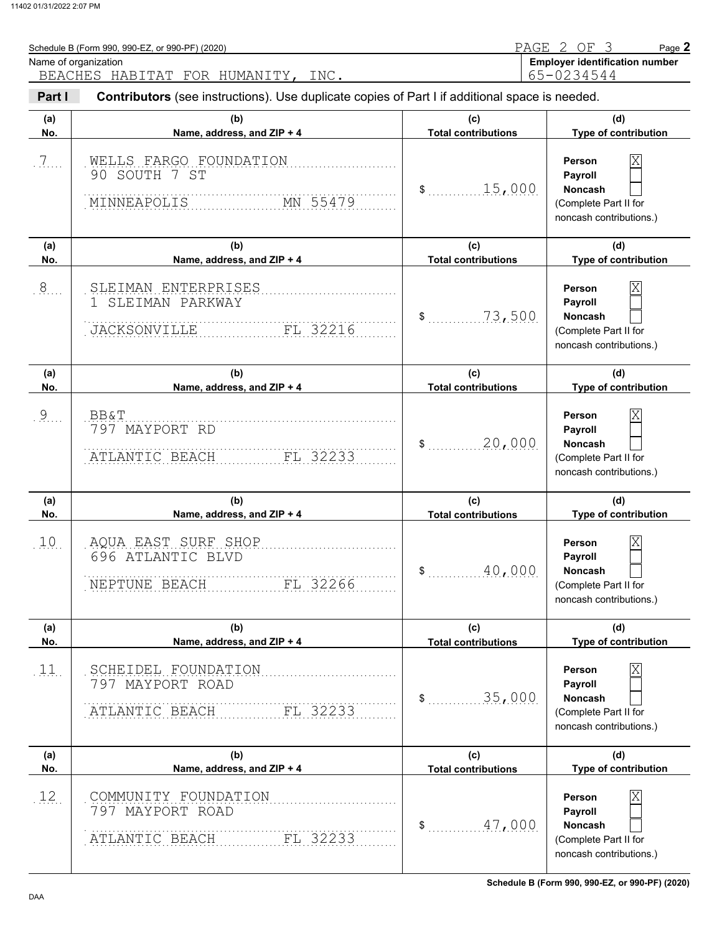|               | Schedule B (Form 990, 990-EZ, or 990-PF) (2020)<br>Name of organization<br>BEACHES HABITAT FOR HUMANITY,<br>INC. |                                   | PAGE 2 OF 3<br>Page 2<br><b>Employer identification number</b><br>65-0234544                                       |
|---------------|------------------------------------------------------------------------------------------------------------------|-----------------------------------|--------------------------------------------------------------------------------------------------------------------|
| Part I        | Contributors (see instructions). Use duplicate copies of Part I if additional space is needed.                   |                                   |                                                                                                                    |
| (a)<br>No.    | (b)<br>Name, address, and ZIP + 4                                                                                | (c)<br><b>Total contributions</b> | (d)<br>Type of contribution                                                                                        |
| $\frac{7}{2}$ | WELLS FARGO FOUNDATION<br>90 SOUTH 7 ST<br>MN 55479<br>MINNEAPOLIS                                               | 15,000<br>\$                      | $\overline{\mathrm{X}}$<br>Person<br>Payroll<br><b>Noncash</b><br>(Complete Part II for<br>noncash contributions.) |
| (a)<br>No.    | (b)<br>Name, address, and ZIP + 4                                                                                | (c)<br><b>Total contributions</b> | (d)<br>Type of contribution                                                                                        |
| $.8$ .        | SLEIMAN ENTERPRISES<br>SLEIMAN PARKWAY<br>FL 32216<br><b>JACKSONVILLE</b>                                        | 73,500<br>\$                      | $\overline{\mathrm{X}}$<br>Person<br>Payroll<br><b>Noncash</b><br>(Complete Part II for<br>noncash contributions.) |
|               | (b)                                                                                                              | (c)                               | (d)                                                                                                                |
| (a)<br>No.    | Name, address, and ZIP + 4                                                                                       | <b>Total contributions</b>        | <b>Type of contribution</b>                                                                                        |

|                 | FL 32233<br>ATLANTIC BEACH                                             |                            | (Complete Part II for<br>noncash contributions.)                                                                   |
|-----------------|------------------------------------------------------------------------|----------------------------|--------------------------------------------------------------------------------------------------------------------|
| (a)             | (b)                                                                    | (c)                        | (d)                                                                                                                |
| No.             | Name, address, and ZIP + 4                                             | <b>Total contributions</b> | Type of contribution                                                                                               |
| 10              | AQUA EAST SURF SHOP<br>696 ATLANTIC BLVD<br>FL 32266<br>NEPTUNE BEACH  | 40,000<br>\$               | $\overline{\mathbf{X}}$<br>Person<br>Payroll<br><b>Noncash</b><br>(Complete Part II for<br>noncash contributions.) |
| (a)             | (b)                                                                    | (c)                        | (d)                                                                                                                |
| No.             | Name, address, and ZIP + 4                                             | <b>Total contributions</b> | Type of contribution                                                                                               |
| 11              | SCHEIDEL FOUNDATION<br>797 MAYPORT ROAD<br>FL 32233<br>ATLANTIC BEACH  | 35,000<br>\$               | $\overline{\mathbf{X}}$<br>Person<br>Payroll<br><b>Noncash</b><br>(Complete Part II for<br>noncash contributions.) |
| (a)             | (b)                                                                    | (c)                        | (d)                                                                                                                |
| No.             | Name, address, and ZIP + 4                                             | <b>Total contributions</b> | Type of contribution                                                                                               |
| 12 <sub>1</sub> | COMMUNITY FOUNDATION<br>797 MAYPORT ROAD<br>FL 32233<br>ATLANTIC BEACH | 47,000<br>\$               | $\overline{\mathbf{X}}$<br>Person<br>Payroll<br><b>Noncash</b><br>(Complete Part II for<br>noncash contributions.) |

**Schedule B (Form 990, 990-EZ, or 990-PF) (2020)**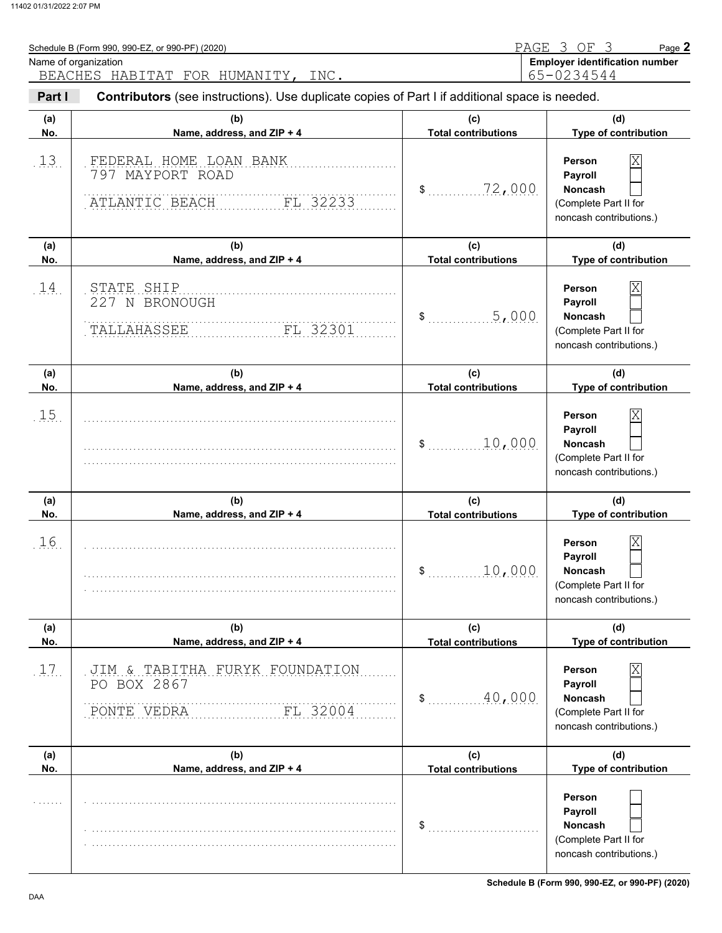|            | Schedule B (Form 990, 990-EZ, or 990-PF) (2020)                                                |                                   | PAGE 3 OF<br>3<br>Page 2                                                                                           |
|------------|------------------------------------------------------------------------------------------------|-----------------------------------|--------------------------------------------------------------------------------------------------------------------|
|            | Name of organization<br>BEACHES HABITAT FOR HUMANITY,<br>INC.                                  |                                   | <b>Employer identification number</b><br>65-0234544                                                                |
| Part I     | Contributors (see instructions). Use duplicate copies of Part I if additional space is needed. |                                   |                                                                                                                    |
| (a)<br>No. | (b)<br>Name, address, and ZIP + 4                                                              | (c)<br><b>Total contributions</b> | (d)<br>Type of contribution                                                                                        |
| 13.        | FEDERAL HOME LOAN BANK<br>797 MAYPORT ROAD<br>ATLANTIC BEACH<br>FL 32233                       | 72,000<br>$\mathsf{\$}$           | $\overline{\mathrm{X}}$<br>Person<br>Payroll<br>Noncash<br>(Complete Part II for<br>noncash contributions.)        |
| (a)<br>No. | (b)<br>Name, address, and ZIP + 4                                                              | (c)<br><b>Total contributions</b> | (d)<br>Type of contribution                                                                                        |
| 14.        | STATE SHIP<br>227 N BRONOUGH<br>TALLAHASSEE<br>FL 32301                                        | 5,000<br>\$                       | $\overline{\mathrm{X}}$<br>Person<br>Payroll<br>Noncash<br>(Complete Part II for<br>noncash contributions.)        |
| (a)<br>No. | (b)<br>Name, address, and ZIP + 4                                                              | (c)<br><b>Total contributions</b> | (d)<br>Type of contribution                                                                                        |
| 1.5        |                                                                                                | 10,000<br>$\mathfrak s$           | $\overline{\mathrm{X}}$<br>Person<br>Payroll<br>Noncash<br>(Complete Part II for<br>noncash contributions.)        |
| (a)<br>No. | (b)<br>Name, address, and ZIP + 4                                                              | (c)<br><b>Total contributions</b> | (d)<br>Type of contribution                                                                                        |
| 16         |                                                                                                | 10,000<br>\$                      | $\overline{\text{X}}$<br>Person<br>Payroll<br>Noncash<br>(Complete Part II for<br>noncash contributions.)          |
| (a)<br>No. | (b)<br>Name, address, and ZIP + 4                                                              | (c)<br><b>Total contributions</b> | (d)<br>Type of contribution                                                                                        |
| 17.        | JIM & TABITHA FURYK FOUNDATION<br>PO BOX 2867<br>FL 32004<br>PONTE VEDRA                       | 40,000<br>\$                      | $\overline{\mathrm{X}}$<br>Person<br>Payroll<br><b>Noncash</b><br>(Complete Part II for<br>noncash contributions.) |
| (a)        | (b)                                                                                            | (c)                               | (d)                                                                                                                |
| No.        | Name, address, and ZIP + 4                                                                     | <b>Total contributions</b><br>\$  | Type of contribution<br>Person<br>Payroll<br><b>Noncash</b><br>(Complete Part II for<br>noncash contributions.)    |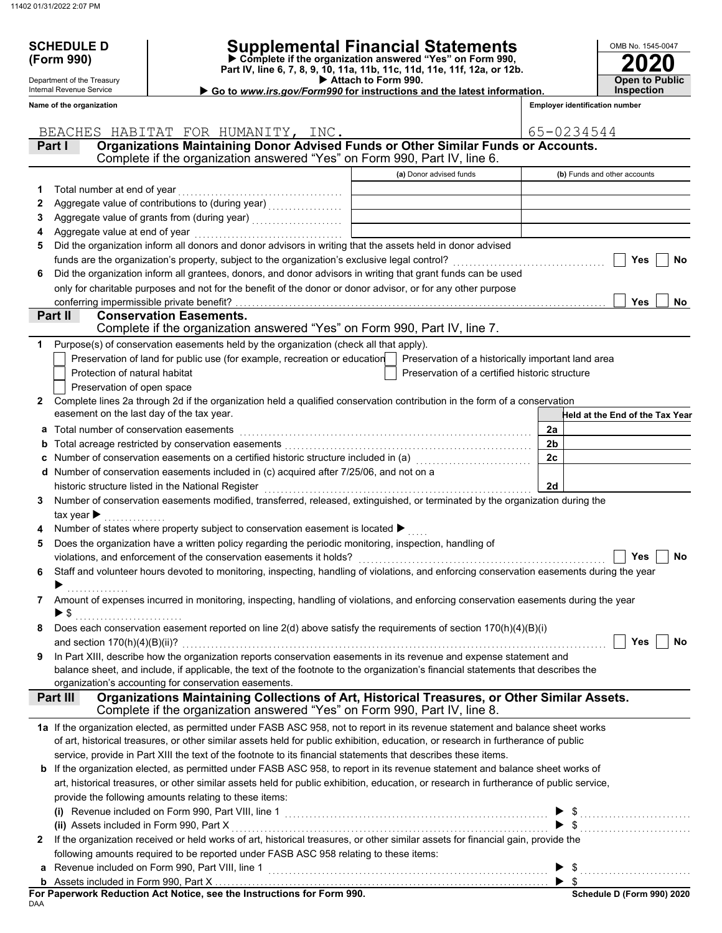**6**

**2**

**2**

**1**

**Part II**

Department of the Treasury Internal Revenue Service

## **SCHEDULE D Supplemental Financial Statements**

Part IV, line 6, 7, 8, 9, 10, 11a, 11b, 11c, 11d, 11e, 11f, 12a, or 12b.<br>▶ Attach to Form 990. **(Form 990) Part IV, line 6, 7, 8, 9, 10, 11a, 11b, 11c, 11d, 11e, 11f, 12a, or 12b. Complete if the organization answered "Yes" on Form 990,**

 **Go to** *www.irs.gov/Form990* **for instructions and the latest information.**

| OMB No. 1545-0047     |
|-----------------------|
| <b>2020</b>           |
|                       |
| <b>Open to Public</b> |
| Inspection            |

**Yes**

**No**

**No**

**Yes**

**Employer identification number**

| Name of the organization |  |
|--------------------------|--|
|--------------------------|--|

**Conservation Easements.** 

easement on the last day of the tax year.

conferring impermissible private benefit?

Protection of natural habitat Preservation of open space

Part I **Organizations Maintaining Donor Advised Funds or Other Similar Funds or Accounts. (a)** Donor advised funds **(b)** Funds and other accounts **Held at the End of the Tax Year** Complete if the organization answered "Yes" on Form 990, Part IV, line 6. Total number at end of year . . . . . . . . . . . . . . . . . . . . . . . . . . . . . . . . . . . . . . . . Aggregate value of contributions to (during year) . . . . . . . . . . . . . . . . . . Aggregate value of grants from (during year) ....................... Aggregate value at end of year . . . . . . . . . . . . . . . . . . . . . . . . . . . . . . . . . . . . Did the organization inform all donors and donor advisors in writing that the assets held in donor advised funds are the organization's property, subject to the organization's exclusive legal control? Did the organization inform all grantees, donors, and donor advisors in writing that grant funds can be used only for charitable purposes and not for the benefit of the donor or donor advisor, or for any other purpose Complete lines 2a through 2d if the organization held a qualified conservation contribution in the form of a conservation Purpose(s) of conservation easements held by the organization (check all that apply). Preservation of land for public use (for example, recreation or education) Preservation of a certified historic structure Preservation of a historically important land area **2a** Complete if the organization answered "Yes" on Form 990, Part IV, line 7. BEACHES HABITAT FOR HUMANITY, INC.  $(65-0234544)$ 

|    |                                                                                                                                                                                       | 2a             |                  |
|----|---------------------------------------------------------------------------------------------------------------------------------------------------------------------------------------|----------------|------------------|
|    | <b>b</b> Total acreage restricted by conservation easements                                                                                                                           | 2 <sub>b</sub> |                  |
|    |                                                                                                                                                                                       | 2c             |                  |
|    | d Number of conservation easements included in (c) acquired after 7/25/06, and not on a                                                                                               |                |                  |
|    | historic structure listed in the National Register                                                                                                                                    | 2d             |                  |
| 3  | Number of conservation easements modified, transferred, released, extinguished, or terminated by the organization during the                                                          |                |                  |
|    | tax year $\blacktriangleright$                                                                                                                                                        |                |                  |
| 4  | Number of states where property subject to conservation easement is located >                                                                                                         |                |                  |
| 5  | Does the organization have a written policy regarding the periodic monitoring, inspection, handling of                                                                                |                |                  |
|    | violations, and enforcement of the conservation easements it holds?                                                                                                                   |                | Yes<br>No        |
| 6. | Staff and volunteer hours devoted to monitoring, inspecting, handling of violations, and enforcing conservation easements during the year                                             |                |                  |
|    |                                                                                                                                                                                       |                |                  |
| 7  | Amount of expenses incurred in monitoring, inspecting, handling of violations, and enforcing conservation easements during the year                                                   |                |                  |
|    | $\triangleright$ \$                                                                                                                                                                   |                |                  |
| 8  | Does each conservation easement reported on line $2(d)$ above satisfy the requirements of section $170(h)(4)(B)(i)$                                                                   |                |                  |
|    | and section $170(h)(4)(B)(ii)$ ?                                                                                                                                                      |                | Yes<br><b>No</b> |
| 9  | In Part XIII, describe how the organization reports conservation easements in its revenue and expense statement and                                                                   |                |                  |
|    | balance sheet, and include, if applicable, the text of the footnote to the organization's financial statements that describes the                                                     |                |                  |
|    | organization's accounting for conservation easements.                                                                                                                                 |                |                  |
|    | Organizations Maintaining Collections of Art, Historical Treasures, or Other Similar Assets.<br>Part III<br>Complete if the organization answered "Yes" on Form 990, Part IV, line 8. |                |                  |
|    | 1a If the organization elected, as permitted under FASB ASC 958, not to report in its revenue statement and balance sheet works                                                       |                |                  |
|    | of art, historical treasures, or other similar assets held for public exhibition, education, or research in furtherance of public                                                     |                |                  |
|    | service, provide in Part XIII the text of the footnote to its financial statements that describes these items.                                                                        |                |                  |
|    | <b>b</b> If the organization elected, as permitted under FASB ASC 958, to report in its revenue statement and balance sheet works of                                                  |                |                  |
|    | art, historical treasures, or other similar assets held for public exhibition, education, or research in furtherance of public service,                                               |                |                  |
|    | provide the following amounts relating to these items:                                                                                                                                |                |                  |
|    | (i) Revenue included on Form 990, Part VIII, line 1                                                                                                                                   |                |                  |
|    |                                                                                                                                                                                       |                |                  |

#### Revenue included on Form 990, Part VIII, line 1 . . . . . . . . . . . . . . . . . . . . . . . . . . . . . . . . . . . . . . . . . . . . . . . . . . . . . . . . . . . . . . . . . . . . following amounts required to be reported under FASB ASC 958 relating to these items: **a b**

If the organization received or held works of art, historical treasures, or other similar assets for financial gain, provide the

Assets included in Form 990, Part X . . . . . . . . . . . . . . . . . . . . . . . . . . . . . . . . . . . . . . . . . . . . . . . . . . . . . . . . . . . . . . . . . . . . . . . . . . . . . **(ii)**

|     | For Paperwork Reduction Act Notice, see the Instructions for Form 990. |  |
|-----|------------------------------------------------------------------------|--|
| DAA |                                                                        |  |

\$

▶  $\blacktriangleright$  \$ . . . . . . . . . . . . . . . . . . . . . . . . . . .

\$ . . . . . . . . . . . . . . . . . . . . . . . . . . .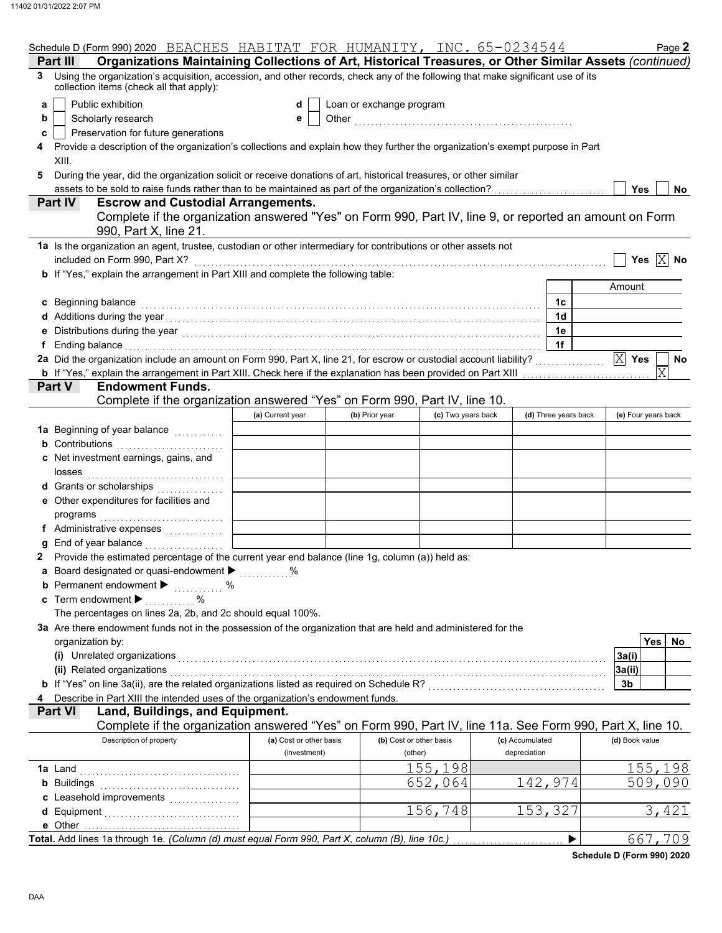|   | Schedule D (Form 990) 2020 BEACHES HABITAT FOR HUMANITY, INC. 65-0234544                                                                                                                                                       |                         |                          |                         |                 |                      |                | Page 2                  |
|---|--------------------------------------------------------------------------------------------------------------------------------------------------------------------------------------------------------------------------------|-------------------------|--------------------------|-------------------------|-----------------|----------------------|----------------|-------------------------|
|   | Organizations Maintaining Collections of Art, Historical Treasures, or Other Similar Assets (continued)<br>Part II                                                                                                             |                         |                          |                         |                 |                      |                |                         |
| 3 | Using the organization's acquisition, accession, and other records, check any of the following that make significant use of its<br>collection items (check all that apply):                                                    |                         |                          |                         |                 |                      |                |                         |
| a | Public exhibition                                                                                                                                                                                                              | d                       | Loan or exchange program |                         |                 |                      |                |                         |
| b | Scholarly research                                                                                                                                                                                                             | е                       |                          |                         |                 |                      |                |                         |
| c | Preservation for future generations                                                                                                                                                                                            |                         |                          |                         |                 |                      |                |                         |
|   | Provide a description of the organization's collections and explain how they further the organization's exempt purpose in Part                                                                                                 |                         |                          |                         |                 |                      |                |                         |
|   | XIII.                                                                                                                                                                                                                          |                         |                          |                         |                 |                      |                |                         |
| 5 | During the year, did the organization solicit or receive donations of art, historical treasures, or other similar                                                                                                              |                         |                          |                         |                 |                      |                |                         |
|   | assets to be sold to raise funds rather than to be maintained as part of the organization's collection?                                                                                                                        |                         |                          |                         |                 |                      | Yes            | <b>No</b>               |
|   | <b>Escrow and Custodial Arrangements.</b><br>Part IV                                                                                                                                                                           |                         |                          |                         |                 |                      |                |                         |
|   | Complete if the organization answered "Yes" on Form 990, Part IV, line 9, or reported an amount on Form                                                                                                                        |                         |                          |                         |                 |                      |                |                         |
|   | 990, Part X, line 21.                                                                                                                                                                                                          |                         |                          |                         |                 |                      |                |                         |
|   | 1a Is the organization an agent, trustee, custodian or other intermediary for contributions or other assets not                                                                                                                |                         |                          |                         |                 |                      |                |                         |
|   | included on Form 990, Part X?                                                                                                                                                                                                  |                         |                          |                         |                 |                      |                | Yes $\boxed{\times}$ No |
|   | <b>b</b> If "Yes," explain the arrangement in Part XIII and complete the following table:                                                                                                                                      |                         |                          |                         |                 |                      |                |                         |
|   |                                                                                                                                                                                                                                |                         |                          |                         |                 |                      | Amount         |                         |
|   | c Beginning balance                                                                                                                                                                                                            |                         |                          |                         |                 | 1c                   |                |                         |
|   |                                                                                                                                                                                                                                |                         |                          |                         |                 | 1 <sub>d</sub>       |                |                         |
|   |                                                                                                                                                                                                                                |                         |                          |                         |                 | 1e                   |                |                         |
|   | Ending balance with a continuum and continuum and continuum and continuum and continuum and continuum and continuum and continuum and continuum and continuum and continuum and continuum and continuum and continuum and cont |                         |                          |                         |                 | 1f                   |                |                         |
|   | 2a Did the organization include an amount on Form 990, Part X, line 21, for escrow or custodial account liability?                                                                                                             |                         |                          |                         |                 |                      | $ X $ Yes      | No                      |
|   | <b>b</b> If "Yes," explain the arrangement in Part XIII. Check here if the explanation has been provided on Part XIII                                                                                                          |                         |                          |                         |                 |                      |                | $\overline{\mathrm{X}}$ |
|   | Part V<br><b>Endowment Funds.</b>                                                                                                                                                                                              |                         |                          |                         |                 |                      |                |                         |
|   | Complete if the organization answered "Yes" on Form 990, Part IV, line 10.                                                                                                                                                     |                         |                          |                         |                 |                      |                |                         |
|   |                                                                                                                                                                                                                                | (a) Current year        | (b) Prior year           | (c) Two years back      |                 | (d) Three years back |                | (e) Four years back     |
|   |                                                                                                                                                                                                                                |                         |                          |                         |                 |                      |                |                         |
|   | <b>b</b> Contributions                                                                                                                                                                                                         |                         |                          |                         |                 |                      |                |                         |
|   | c Net investment earnings, gains, and                                                                                                                                                                                          |                         |                          |                         |                 |                      |                |                         |
|   | losses                                                                                                                                                                                                                         |                         |                          |                         |                 |                      |                |                         |
|   | d Grants or scholarships                                                                                                                                                                                                       |                         |                          |                         |                 |                      |                |                         |
|   | e Other expenditures for facilities and                                                                                                                                                                                        |                         |                          |                         |                 |                      |                |                         |
|   | programs                                                                                                                                                                                                                       |                         |                          |                         |                 |                      |                |                         |
|   | f Administrative expenses                                                                                                                                                                                                      |                         |                          |                         |                 |                      |                |                         |
|   | End of year balance                                                                                                                                                                                                            |                         |                          |                         |                 |                      |                |                         |
|   | Provide the estimated percentage of the current year end balance (line 1g, column (a)) held as:                                                                                                                                |                         |                          |                         |                 |                      |                |                         |
|   | a Board designated or quasi-endowment > %                                                                                                                                                                                      |                         |                          |                         |                 |                      |                |                         |
|   | <b>b</b> Permanent endowment $\blacktriangleright$<br>$\%$                                                                                                                                                                     |                         |                          |                         |                 |                      |                |                         |
|   | c Term endowment $\blacktriangleright$<br>%                                                                                                                                                                                    |                         |                          |                         |                 |                      |                |                         |
|   | The percentages on lines 2a, 2b, and 2c should equal 100%.                                                                                                                                                                     |                         |                          |                         |                 |                      |                |                         |
|   | 3a Are there endowment funds not in the possession of the organization that are held and administered for the                                                                                                                  |                         |                          |                         |                 |                      |                |                         |
|   | organization by:                                                                                                                                                                                                               |                         |                          |                         |                 |                      |                | Yes<br>No.              |
|   | (i) Unrelated organizations                                                                                                                                                                                                    |                         |                          |                         |                 |                      | 3a(i)          |                         |
|   | (ii) Related organizations                                                                                                                                                                                                     |                         |                          |                         |                 |                      | 3a(ii)         |                         |
|   |                                                                                                                                                                                                                                |                         |                          |                         |                 |                      | 3b             |                         |
|   | Describe in Part XIII the intended uses of the organization's endowment funds.                                                                                                                                                 |                         |                          |                         |                 |                      |                |                         |
|   | Land, Buildings, and Equipment.<br>Part VI                                                                                                                                                                                     |                         |                          |                         |                 |                      |                |                         |
|   | Complete if the organization answered "Yes" on Form 990, Part IV, line 11a. See Form 990, Part X, line 10.                                                                                                                     |                         |                          |                         |                 |                      |                |                         |
|   | Description of property                                                                                                                                                                                                        | (a) Cost or other basis |                          | (b) Cost or other basis | (c) Accumulated |                      | (d) Book value |                         |
|   |                                                                                                                                                                                                                                | (investment)            |                          | (other)                 | depreciation    |                      |                |                         |
|   | 1a Land                                                                                                                                                                                                                        |                         |                          | 155,198                 |                 |                      |                | 155,198                 |
|   | <b>b</b> Buildings                                                                                                                                                                                                             |                         |                          | 652,064                 | 142,974         |                      |                | 509,090                 |
|   |                                                                                                                                                                                                                                |                         |                          |                         |                 |                      |                |                         |
|   | d Equipment                                                                                                                                                                                                                    |                         |                          | 156,748                 | 153,327         |                      |                | 3,421                   |
|   |                                                                                                                                                                                                                                |                         |                          |                         |                 |                      |                |                         |
|   |                                                                                                                                                                                                                                |                         |                          |                         |                 | ▶                    |                | 667,709                 |

**Schedule D (Form 990) 2020**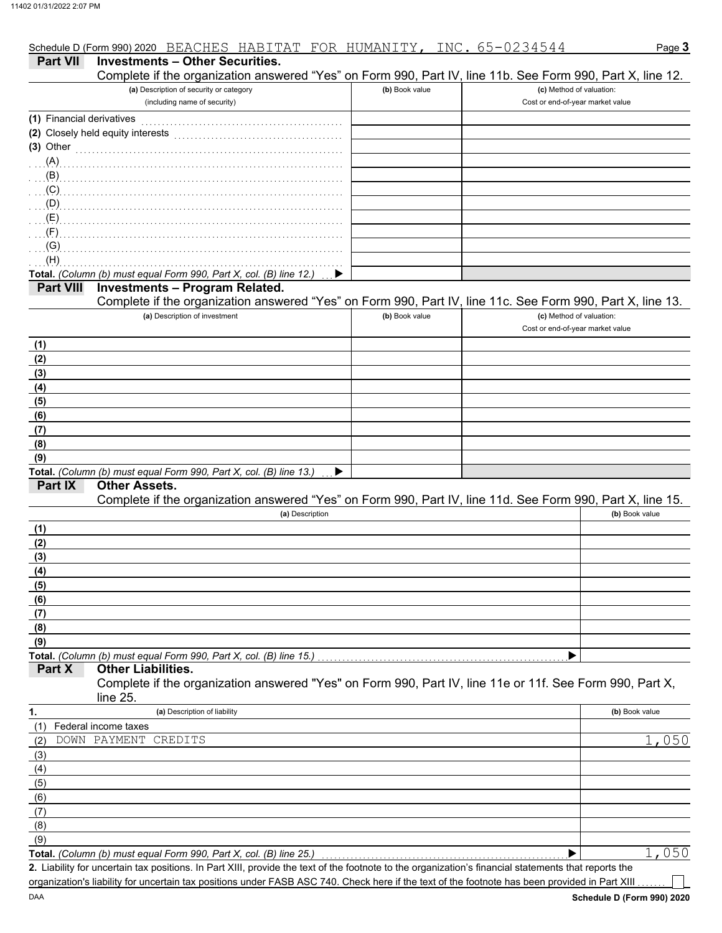|                  | Schedule D (Form 990) 2020 BEACHES HABITAT FOR HUMANITY,                                                   |                | <u>INC. 65-0234544</u> | Page 3                                                       |
|------------------|------------------------------------------------------------------------------------------------------------|----------------|------------------------|--------------------------------------------------------------|
| <b>Part VII</b>  | <b>Investments - Other Securities.</b>                                                                     |                |                        |                                                              |
|                  | Complete if the organization answered "Yes" on Form 990, Part IV, line 11b. See Form 990, Part X, line 12. |                |                        |                                                              |
|                  | (a) Description of security or category<br>(including name of security)                                    | (b) Book value |                        | (c) Method of valuation:<br>Cost or end-of-year market value |
|                  | (1) Financial derivatives                                                                                  |                |                        |                                                              |
|                  | (2) Closely held equity interests                                                                          |                |                        |                                                              |
| $(3)$ Other      |                                                                                                            |                |                        |                                                              |
| $(A)$ .          |                                                                                                            |                |                        |                                                              |
| (B)              |                                                                                                            |                |                        |                                                              |
| (C)              |                                                                                                            |                |                        |                                                              |
| (D)              |                                                                                                            |                |                        |                                                              |
| (E)              |                                                                                                            |                |                        |                                                              |
| $(F)$ .          |                                                                                                            |                |                        |                                                              |
| (G)<br>(H)       |                                                                                                            |                |                        |                                                              |
|                  | Total. (Column (b) must equal Form 990, Part X, col. (B) line 12.)                                         |                |                        |                                                              |
| <b>Part VIII</b> | <b>Investments - Program Related.</b>                                                                      |                |                        |                                                              |
|                  | Complete if the organization answered "Yes" on Form 990, Part IV, line 11c. See Form 990, Part X, line 13. |                |                        |                                                              |
|                  | (a) Description of investment                                                                              | (b) Book value |                        | (c) Method of valuation:                                     |
|                  |                                                                                                            |                |                        | Cost or end-of-year market value                             |
| (1)              |                                                                                                            |                |                        |                                                              |
| (2)              |                                                                                                            |                |                        |                                                              |
| (3)              |                                                                                                            |                |                        |                                                              |
| (4)              |                                                                                                            |                |                        |                                                              |
| (5)              |                                                                                                            |                |                        |                                                              |
| (6)              |                                                                                                            |                |                        |                                                              |
| (7)              |                                                                                                            |                |                        |                                                              |
| (8)              |                                                                                                            |                |                        |                                                              |
| (9)              | Total. (Column (b) must equal Form 990, Part X, col. (B) line 13.)                                         |                |                        |                                                              |
| Part IX          | <b>Other Assets.</b>                                                                                       |                |                        |                                                              |
|                  | Complete if the organization answered "Yes" on Form 990, Part IV, line 11d. See Form 990, Part X, line 15. |                |                        |                                                              |
|                  | (a) Description                                                                                            |                |                        | (b) Book value                                               |
| (1)              |                                                                                                            |                |                        |                                                              |
| (2)              |                                                                                                            |                |                        |                                                              |
| (3)              |                                                                                                            |                |                        |                                                              |
| (4)              |                                                                                                            |                |                        |                                                              |
| (5)              |                                                                                                            |                |                        |                                                              |
| (6)              |                                                                                                            |                |                        |                                                              |
| (7)              |                                                                                                            |                |                        |                                                              |
| (8)              |                                                                                                            |                |                        |                                                              |
| (9)              | Total. (Column (b) must equal Form 990, Part X, col. (B) line 15.)                                         |                |                        |                                                              |
| Part X           | <b>Other Liabilities.</b>                                                                                  |                |                        |                                                              |
|                  | Complete if the organization answered "Yes" on Form 990, Part IV, line 11e or 11f. See Form 990, Part X,   |                |                        |                                                              |
|                  | line 25.                                                                                                   |                |                        |                                                              |
| 1.               | (a) Description of liability                                                                               |                |                        | (b) Book value                                               |
| (1)              | Federal income taxes                                                                                       |                |                        |                                                              |
| (2)              | DOWN PAYMENT<br>CREDITS                                                                                    |                |                        | 1,050                                                        |
| (3)              |                                                                                                            |                |                        |                                                              |
| (4)              |                                                                                                            |                |                        |                                                              |
| (5)              |                                                                                                            |                |                        |                                                              |
| (6)              |                                                                                                            |                |                        |                                                              |
| (7)              |                                                                                                            |                |                        |                                                              |
| (8)              |                                                                                                            |                |                        |                                                              |

(9)

**Total.** *(Column (b) must equal Form 990, Part X, col. (B) line 25.)* 

Liability for uncertain tax positions. In Part XIII, provide the text of the footnote to the organization's financial statements that reports the **2.** organization's liability for uncertain tax positions under FASB ASC 740. Check here if the text of the footnote has been provided in Part XIII

1,050

 $\blacktriangleright$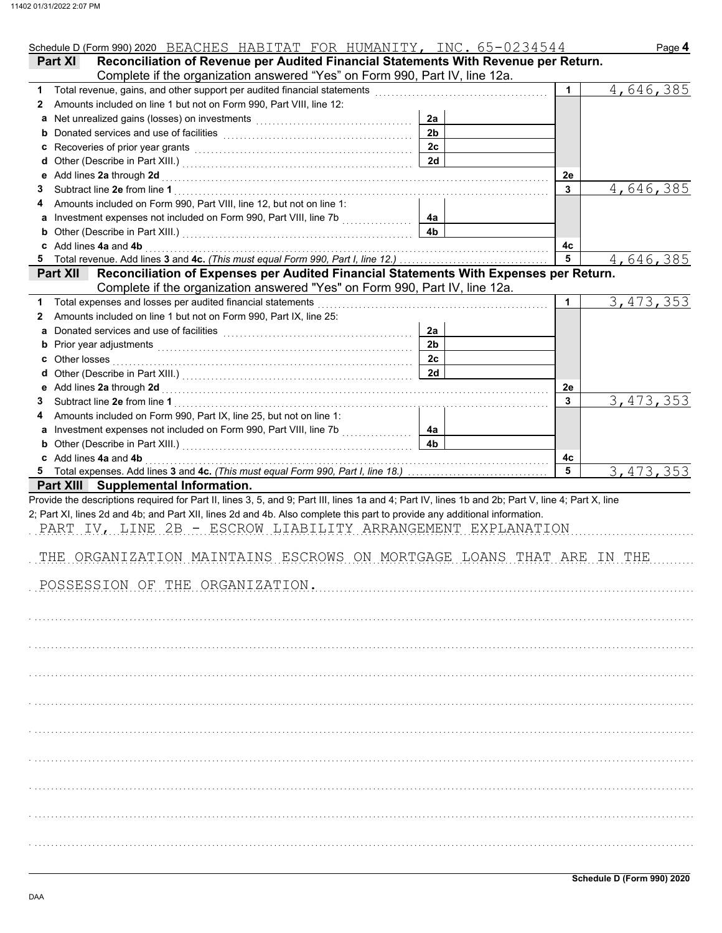|        | Schedule D (Form 990) 2020 BEACHES HABITAT FOR HUMANITY, INC. 65-0234544                                                                                                                                                                 |                |             | Page 4      |
|--------|------------------------------------------------------------------------------------------------------------------------------------------------------------------------------------------------------------------------------------------|----------------|-------------|-------------|
|        | Reconciliation of Revenue per Audited Financial Statements With Revenue per Return.<br>Part XI                                                                                                                                           |                |             |             |
|        | Complete if the organization answered "Yes" on Form 990, Part IV, line 12a.                                                                                                                                                              |                |             |             |
| 1      | Total revenue, gains, and other support per audited financial statements                                                                                                                                                                 |                | $\mathbf 1$ | 4,646,385   |
| 2      | Amounts included on line 1 but not on Form 990, Part VIII, line 12:                                                                                                                                                                      |                |             |             |
|        | Net unrealized gains (losses) on investments [11] contains the unrealized gains (losses) on investments [11] contained the unrealized gains (losses) on investments [11] and the unrealized gains (losses) on the unrealized g           | 2a             |             |             |
| b      |                                                                                                                                                                                                                                          | 2 <sub>b</sub> |             |             |
| C      | Recoveries of prior year grants <b>contained a set of prior</b> year grants <b>contained a set of prior</b> year and the set of the set of the set of the set of the set of the set of the set of the set of the set of the set of the s | 2c             |             |             |
| d      |                                                                                                                                                                                                                                          | 2d             |             |             |
| е      | Add lines 2a through 2d                                                                                                                                                                                                                  |                | 2e          |             |
| 3      |                                                                                                                                                                                                                                          |                | 3           | 4,646,385   |
|        | Amounts included on Form 990, Part VIII, line 12, but not on line 1:                                                                                                                                                                     |                |             |             |
| а      | Investment expenses not included on Form 990, Part VIII, line 7b                                                                                                                                                                         | 4a             |             |             |
| b      |                                                                                                                                                                                                                                          | 4 <sub>b</sub> |             |             |
|        | c Add lines 4a and 4b                                                                                                                                                                                                                    |                | 4с          |             |
|        | Total revenue. Add lines 3 and 4c. (This must equal Form 990, Part I, line 12.)                                                                                                                                                          |                | 5           | 4,646,385   |
|        | Part XII Reconciliation of Expenses per Audited Financial Statements With Expenses per Return.                                                                                                                                           |                |             |             |
|        | Complete if the organization answered "Yes" on Form 990, Part IV, line 12a.                                                                                                                                                              |                |             |             |
| 1      | Total expenses and losses per audited financial statements                                                                                                                                                                               |                | 1           | 3, 473, 353 |
| 2      | Amounts included on line 1 but not on Form 990, Part IX, line 25:                                                                                                                                                                        |                |             |             |
| a      | Donated services and use of facilities [11] contain the service of the service of the service of the service of the service of the service of the service of the service of the service of the service of the service of the s           | 2a             |             |             |
| b      | Prior year adjustments [ will continue to a set of the set of the set of the set of the set of the set of the set of the set of the set of the set of the set of the set of the set of the set of the set of the set of the se           | 2 <sub>b</sub> |             |             |
| c      | Other losses                                                                                                                                                                                                                             | 2 <sub>c</sub> |             |             |
| d      |                                                                                                                                                                                                                                          | 2d             |             |             |
| е      |                                                                                                                                                                                                                                          |                | 2e          |             |
| 3      | Add lines 2a through 2d [11] Martin Martin Martin Martin Martin Martin Martin Martin Martin Martin Martin Martin Martin Martin Martin Martin Martin Martin Martin Martin Martin Martin Martin Martin Martin Martin Martin Mart           |                | 3           | 3, 473, 353 |
|        | Amounts included on Form 990, Part IX, line 25, but not on line 1:                                                                                                                                                                       |                |             |             |
|        | Investment expenses not included on Form 990, Part VIII, line 7b                                                                                                                                                                         | 4a             |             |             |
| а<br>b | .                                                                                                                                                                                                                                        | 4 <sub>b</sub> |             |             |
|        | c Add lines 4a and 4b                                                                                                                                                                                                                    |                | 4c          |             |
|        |                                                                                                                                                                                                                                          |                | 5           | 3, 473, 353 |
|        | <b>Part XIII</b> Supplemental Information.                                                                                                                                                                                               |                |             |             |
|        | Provide the descriptions required for Part II, lines 3, 5, and 9; Part III, lines 1a and 4; Part IV, lines 1b and 2b; Part V, line 4; Part X, line                                                                                       |                |             |             |
|        | 2; Part XI, lines 2d and 4b; and Part XII, lines 2d and 4b. Also complete this part to provide any additional information.                                                                                                               |                |             |             |
|        | PART IV, LINE 2B - ESCROW LIABILITY ARRANGEMENT EXPLANATION                                                                                                                                                                              |                |             |             |
|        |                                                                                                                                                                                                                                          |                |             |             |
|        |                                                                                                                                                                                                                                          |                |             |             |
|        | THE ORGANIZATION MAINTAINS ESCROWS ON MORTGAGE LOANS THAT ARE IN THE                                                                                                                                                                     |                |             |             |
|        |                                                                                                                                                                                                                                          |                |             |             |
|        | POSSESSION OF THE ORGANIZATION.                                                                                                                                                                                                          |                |             |             |
|        |                                                                                                                                                                                                                                          |                |             |             |
|        |                                                                                                                                                                                                                                          |                |             |             |
|        |                                                                                                                                                                                                                                          |                |             |             |
|        |                                                                                                                                                                                                                                          |                |             |             |
|        |                                                                                                                                                                                                                                          |                |             |             |
|        |                                                                                                                                                                                                                                          |                |             |             |
|        |                                                                                                                                                                                                                                          |                |             |             |
|        |                                                                                                                                                                                                                                          |                |             |             |
|        |                                                                                                                                                                                                                                          |                |             |             |
|        |                                                                                                                                                                                                                                          |                |             |             |
|        |                                                                                                                                                                                                                                          |                |             |             |
|        |                                                                                                                                                                                                                                          |                |             |             |
|        |                                                                                                                                                                                                                                          |                |             |             |
|        |                                                                                                                                                                                                                                          |                |             |             |
|        |                                                                                                                                                                                                                                          |                |             |             |
|        |                                                                                                                                                                                                                                          |                |             |             |
|        |                                                                                                                                                                                                                                          |                |             |             |
|        |                                                                                                                                                                                                                                          |                |             |             |
|        |                                                                                                                                                                                                                                          |                |             |             |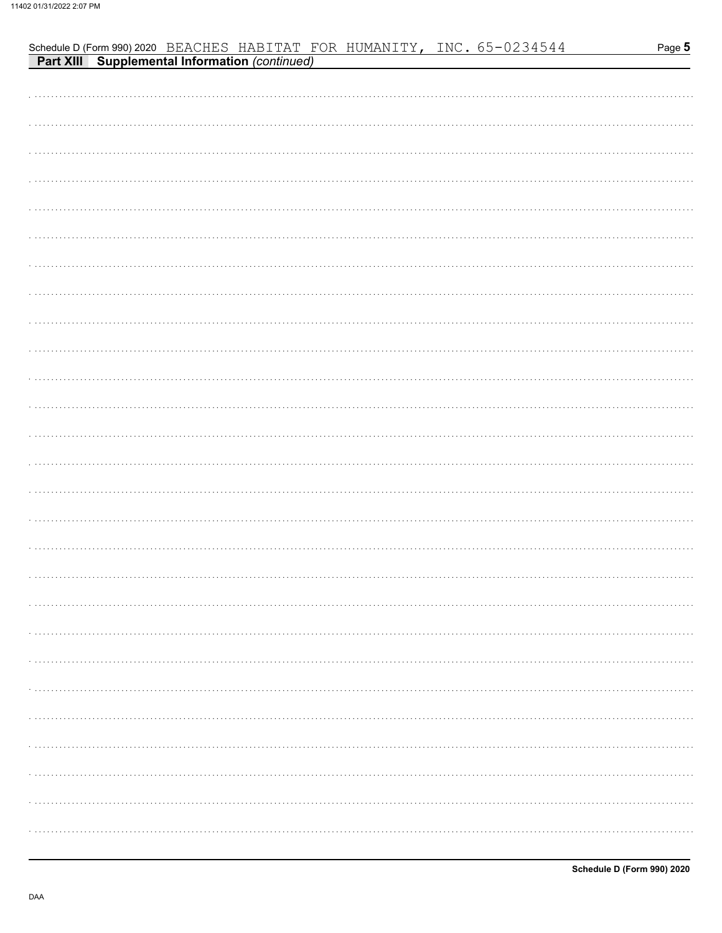| <b>Part XIII Supplemental Information (continued)</b> |
|-------------------------------------------------------|
|                                                       |
|                                                       |
|                                                       |
|                                                       |
|                                                       |
|                                                       |
|                                                       |
|                                                       |
|                                                       |
|                                                       |
|                                                       |
|                                                       |
|                                                       |
|                                                       |
|                                                       |
|                                                       |
|                                                       |
|                                                       |
|                                                       |
|                                                       |
|                                                       |
|                                                       |
|                                                       |
|                                                       |
|                                                       |
|                                                       |
|                                                       |
|                                                       |
|                                                       |
|                                                       |

Schedule D (Form 990) 2020 BEACHES HABITAT FOR HUMANITY, INC. 65-0234544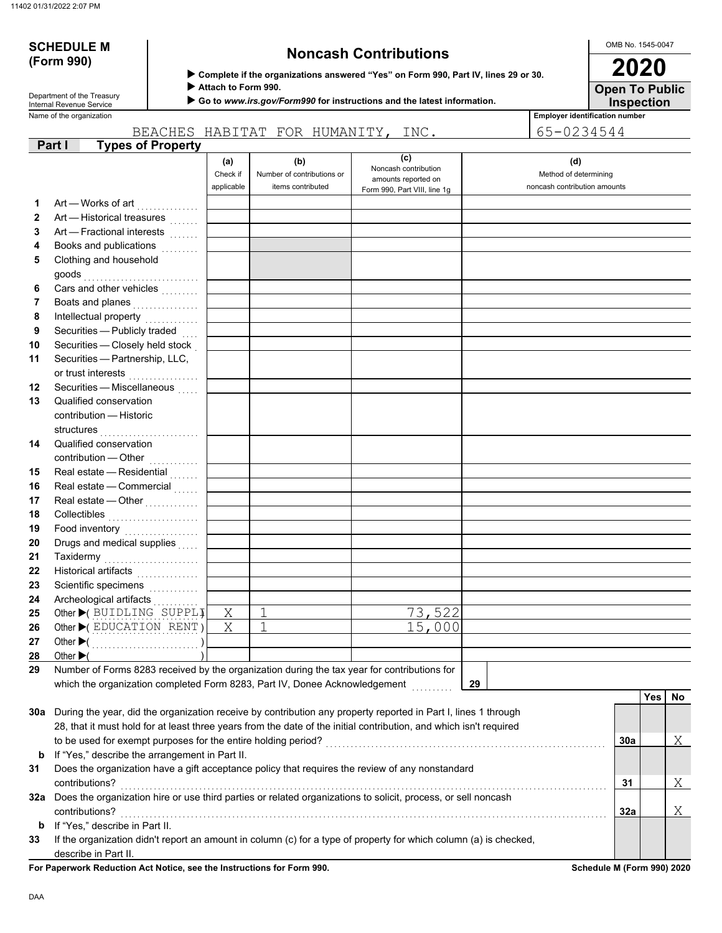# **(Form 990)**

# **SCHEDULE M Noncash Contributions**

OMB No. 1545-0047 **2020**

**Inspection Open To Public**

 **Attach to Form 990.**

 **Go to** *www.irs.gov/Form990* **for instructions and the latest information.**

Name of the organization **Employer identification number** Department of the Treasury<br>Internal Revenue Service

|              |                                                                                                                    |                               | BEACHES HABITAT FOR HUMANITY, INC.                     |                                                                                    | 65-0234544                                                   |     |     |     |
|--------------|--------------------------------------------------------------------------------------------------------------------|-------------------------------|--------------------------------------------------------|------------------------------------------------------------------------------------|--------------------------------------------------------------|-----|-----|-----|
|              | <b>Types of Property</b><br>Part I                                                                                 |                               |                                                        |                                                                                    |                                                              |     |     |     |
|              |                                                                                                                    | (a)<br>Check if<br>applicable | (b)<br>Number of contributions or<br>items contributed | (c)<br>Noncash contribution<br>amounts reported on<br>Form 990, Part VIII, line 1g | (d)<br>Method of determining<br>noncash contribution amounts |     |     |     |
| 1            | Art — Works of art                                                                                                 |                               |                                                        |                                                                                    |                                                              |     |     |     |
| $\mathbf{2}$ | Art — Historical treasures                                                                                         |                               |                                                        |                                                                                    |                                                              |     |     |     |
| 3            | Art - Fractional interests                                                                                         |                               |                                                        |                                                                                    |                                                              |     |     |     |
| 4            | Books and publications [1] [1]                                                                                     |                               |                                                        |                                                                                    |                                                              |     |     |     |
| 5            | Clothing and household                                                                                             |                               |                                                        |                                                                                    |                                                              |     |     |     |
| 6            | Cars and other vehicles <b>Cars</b>                                                                                |                               |                                                        |                                                                                    |                                                              |     |     |     |
| 7            | Boats and planes<br>                                                                                               |                               |                                                        |                                                                                    |                                                              |     |     |     |
| 8            | Intellectual property                                                                                              |                               |                                                        |                                                                                    |                                                              |     |     |     |
| 9            | Securities - Publicly traded                                                                                       |                               |                                                        |                                                                                    |                                                              |     |     |     |
| 10           | Securities - Closely held stock                                                                                    |                               |                                                        |                                                                                    |                                                              |     |     |     |
| 11           | Securities - Partnership, LLC,<br>or trust interests                                                               |                               |                                                        |                                                                                    |                                                              |     |     |     |
| 12           | Securities - Miscellaneous                                                                                         |                               |                                                        |                                                                                    |                                                              |     |     |     |
| 13           | Qualified conservation                                                                                             |                               |                                                        |                                                                                    |                                                              |     |     |     |
|              | contribution - Historic<br>structures                                                                              |                               |                                                        |                                                                                    |                                                              |     |     |     |
| 14           | Qualified conservation                                                                                             |                               |                                                        |                                                                                    |                                                              |     |     |     |
|              | contribution - Other                                                                                               |                               |                                                        |                                                                                    |                                                              |     |     |     |
| 15           | Real estate - Residential                                                                                          |                               |                                                        |                                                                                    |                                                              |     |     |     |
| 16           | Real estate - Commercial                                                                                           |                               |                                                        |                                                                                    |                                                              |     |     |     |
| 17           | Real estate - Other                                                                                                |                               |                                                        |                                                                                    |                                                              |     |     |     |
| 18           | Collectibles <b>Collectibles</b>                                                                                   |                               |                                                        |                                                                                    |                                                              |     |     |     |
| 19           | Food inventory                                                                                                     |                               |                                                        |                                                                                    |                                                              |     |     |     |
| 20           | Drugs and medical supplies                                                                                         |                               |                                                        |                                                                                    |                                                              |     |     |     |
| 21           | Taxidermy                                                                                                          |                               |                                                        |                                                                                    |                                                              |     |     |     |
| 22           | Historical artifacts                                                                                               |                               |                                                        |                                                                                    |                                                              |     |     |     |
| 23           | Scientific specimens                                                                                               |                               |                                                        |                                                                                    |                                                              |     |     |     |
| 24           | Archeological artifacts                                                                                            |                               |                                                        |                                                                                    |                                                              |     |     |     |
| 25           | Other C BUIDLING SUPPLI                                                                                            | $\mathbf X$                   | 1                                                      | 73,522                                                                             |                                                              |     |     |     |
| 26           | Other $\blacktriangleright$ (EDUCATION RENT)                                                                       | X                             | 1                                                      | 15,000                                                                             |                                                              |     |     |     |
| 27           |                                                                                                                    |                               |                                                        |                                                                                    |                                                              |     |     |     |
| 28           | Other $\blacktriangleright$                                                                                        |                               |                                                        |                                                                                    |                                                              |     |     |     |
| 29           | Number of Forms 8283 received by the organization during the tax year for contributions for                        |                               |                                                        |                                                                                    |                                                              |     |     |     |
|              | which the organization completed Form 8283, Part IV, Donee Acknowledgement                                         |                               |                                                        |                                                                                    | 29                                                           |     |     |     |
|              |                                                                                                                    |                               |                                                        |                                                                                    |                                                              |     | Yes | No. |
| 30a          | During the year, did the organization receive by contribution any property reported in Part I, lines 1 through     |                               |                                                        |                                                                                    |                                                              |     |     |     |
|              | 28, that it must hold for at least three years from the date of the initial contribution, and which isn't required |                               |                                                        |                                                                                    |                                                              |     |     |     |
|              |                                                                                                                    |                               |                                                        |                                                                                    |                                                              | 30a |     | Χ   |
| b            | If "Yes," describe the arrangement in Part II.                                                                     |                               |                                                        |                                                                                    |                                                              |     |     |     |
| 31           | Does the organization have a gift acceptance policy that requires the review of any nonstandard                    |                               |                                                        |                                                                                    |                                                              |     |     |     |
|              | contributions?                                                                                                     |                               |                                                        |                                                                                    |                                                              | 31  |     | Χ   |
| 32a          | Does the organization hire or use third parties or related organizations to solicit, process, or sell noncash      |                               |                                                        |                                                                                    |                                                              |     |     |     |
|              | contributions?                                                                                                     |                               |                                                        |                                                                                    |                                                              | 32a |     | Χ   |
| b            | If "Yes," describe in Part II.                                                                                     |                               |                                                        |                                                                                    |                                                              |     |     |     |
| 33           | If the organization didn't report an amount in column (c) for a type of property for which column (a) is checked,  |                               |                                                        |                                                                                    |                                                              |     |     |     |
|              | describe in Part II.                                                                                               |                               |                                                        |                                                                                    |                                                              |     |     |     |

**For Paperwork Reduction Act Notice, see the Instructions for Form 990. Schedule M (Form 990) 2020**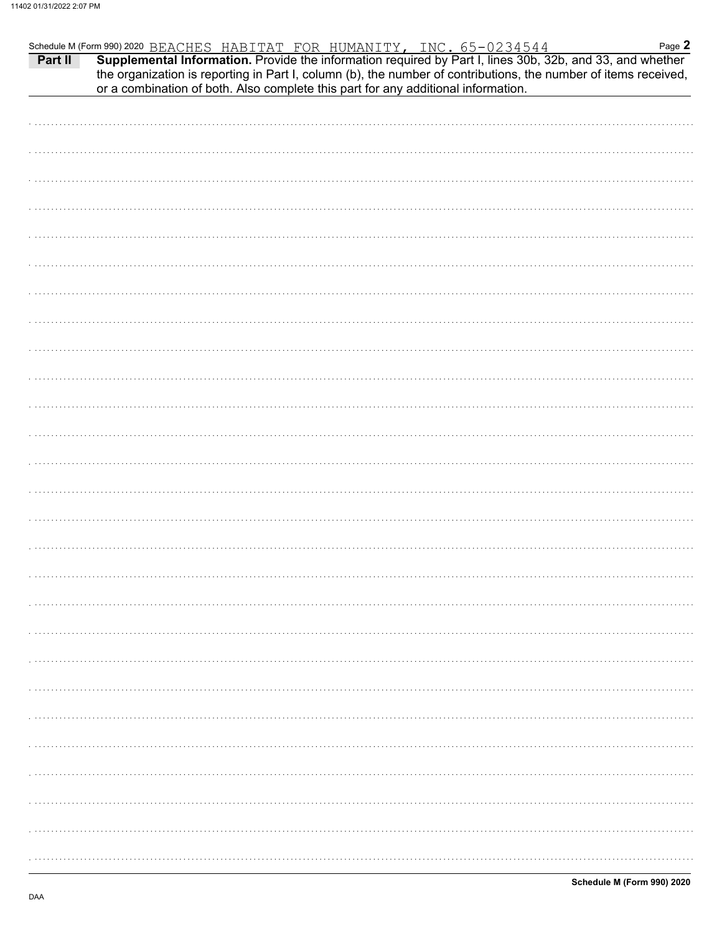|                                                                                   |  | Page 2<br>Schedule M (Form 990) 2020 BEACHES HABITAT FOR HUMANITY, INC. 65-0234544 Page 2<br><b>Part II</b> Supplemental Information. Provide the information required by Part I, lines 30b, 32b, and 33, and whether |
|-----------------------------------------------------------------------------------|--|-----------------------------------------------------------------------------------------------------------------------------------------------------------------------------------------------------------------------|
| or a combination of both. Also complete this part for any additional information. |  | the organization is reporting in Part I, column (b), the number of contributions, the number of items received,                                                                                                       |
|                                                                                   |  |                                                                                                                                                                                                                       |
|                                                                                   |  |                                                                                                                                                                                                                       |
|                                                                                   |  |                                                                                                                                                                                                                       |
|                                                                                   |  |                                                                                                                                                                                                                       |
|                                                                                   |  |                                                                                                                                                                                                                       |
|                                                                                   |  |                                                                                                                                                                                                                       |
|                                                                                   |  |                                                                                                                                                                                                                       |
|                                                                                   |  |                                                                                                                                                                                                                       |
|                                                                                   |  |                                                                                                                                                                                                                       |
|                                                                                   |  |                                                                                                                                                                                                                       |
|                                                                                   |  |                                                                                                                                                                                                                       |
|                                                                                   |  |                                                                                                                                                                                                                       |
|                                                                                   |  |                                                                                                                                                                                                                       |
|                                                                                   |  |                                                                                                                                                                                                                       |
|                                                                                   |  |                                                                                                                                                                                                                       |
|                                                                                   |  |                                                                                                                                                                                                                       |
|                                                                                   |  |                                                                                                                                                                                                                       |
|                                                                                   |  |                                                                                                                                                                                                                       |
|                                                                                   |  |                                                                                                                                                                                                                       |
|                                                                                   |  |                                                                                                                                                                                                                       |
|                                                                                   |  |                                                                                                                                                                                                                       |
|                                                                                   |  |                                                                                                                                                                                                                       |
|                                                                                   |  |                                                                                                                                                                                                                       |
|                                                                                   |  |                                                                                                                                                                                                                       |
|                                                                                   |  |                                                                                                                                                                                                                       |
|                                                                                   |  |                                                                                                                                                                                                                       |
|                                                                                   |  |                                                                                                                                                                                                                       |
|                                                                                   |  |                                                                                                                                                                                                                       |
|                                                                                   |  |                                                                                                                                                                                                                       |
|                                                                                   |  |                                                                                                                                                                                                                       |
|                                                                                   |  |                                                                                                                                                                                                                       |
|                                                                                   |  |                                                                                                                                                                                                                       |
|                                                                                   |  |                                                                                                                                                                                                                       |
|                                                                                   |  |                                                                                                                                                                                                                       |
|                                                                                   |  |                                                                                                                                                                                                                       |
|                                                                                   |  |                                                                                                                                                                                                                       |
|                                                                                   |  |                                                                                                                                                                                                                       |
|                                                                                   |  |                                                                                                                                                                                                                       |
|                                                                                   |  |                                                                                                                                                                                                                       |
|                                                                                   |  |                                                                                                                                                                                                                       |
|                                                                                   |  |                                                                                                                                                                                                                       |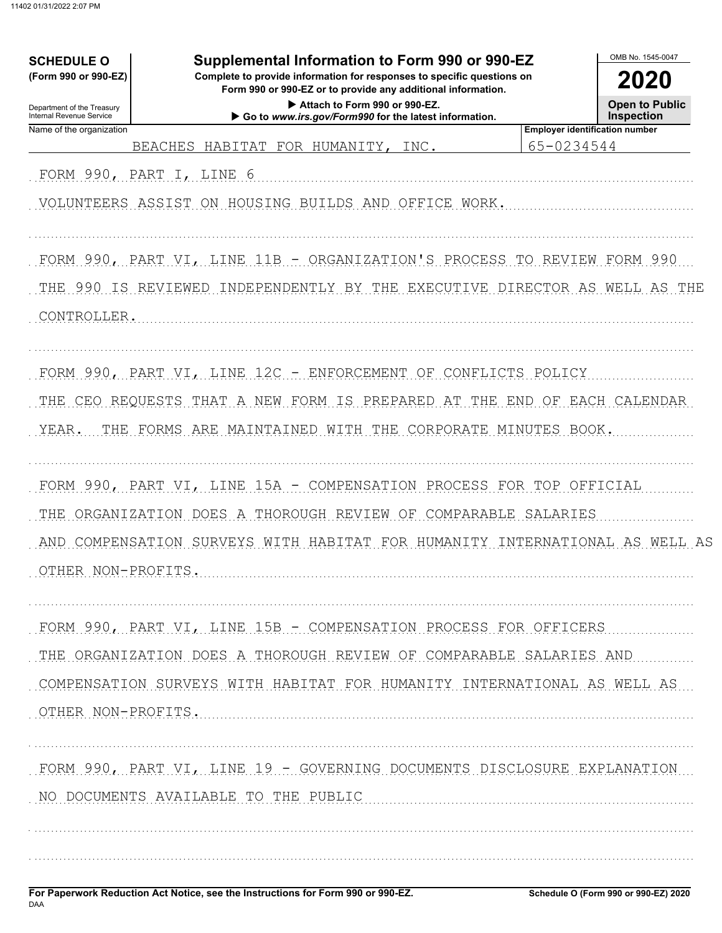| Supplemental Information to Form 990 or 990-EZ<br><b>SCHEDULE O</b><br>(Form 990 or 990-EZ)<br>Complete to provide information for responses to specific questions on<br>Form 990 or 990-EZ or to provide any additional information.<br>Attach to Form 990 or 990-EZ.<br>Department of the Treasury<br>Internal Revenue Service<br>Go to www.irs.gov/Form990 for the latest information. |                                                                                                                                                                                                        |                                                     |  |  |  |  |  |
|-------------------------------------------------------------------------------------------------------------------------------------------------------------------------------------------------------------------------------------------------------------------------------------------------------------------------------------------------------------------------------------------|--------------------------------------------------------------------------------------------------------------------------------------------------------------------------------------------------------|-----------------------------------------------------|--|--|--|--|--|
| Name of the organization                                                                                                                                                                                                                                                                                                                                                                  | BEACHES HABITAT FOR HUMANITY, INC.                                                                                                                                                                     | <b>Employer identification number</b><br>65-0234544 |  |  |  |  |  |
| FORM 990, PART I, LINE 6                                                                                                                                                                                                                                                                                                                                                                  |                                                                                                                                                                                                        |                                                     |  |  |  |  |  |
|                                                                                                                                                                                                                                                                                                                                                                                           | VOLUNTEERS ASSIST ON HOUSING BUILDS AND OFFICE WORK.                                                                                                                                                   |                                                     |  |  |  |  |  |
| CONTROLLER.                                                                                                                                                                                                                                                                                                                                                                               | FORM 990, PART VI, LINE 11B - ORGANIZATION'S PROCESS TO REVIEW FORM 990<br>THE 990 IS REVIEWED INDEPENDENTLY BY THE EXECUTIVE DIRECTOR AS WELL AS THE                                                  |                                                     |  |  |  |  |  |
| YEAR.                                                                                                                                                                                                                                                                                                                                                                                     | FORM 990, PART VI, LINE 12C - ENFORCEMENT OF CONFLICTS POLICY<br>THE CEO REQUESTS THAT A NEW FORM IS PREPARED AT THE END OF EACH CALENDAR<br>THE FORMS ARE MAINTAINED WITH THE CORPORATE MINUTES BOOK. |                                                     |  |  |  |  |  |
|                                                                                                                                                                                                                                                                                                                                                                                           | FORM 990, PART VI, LINE 15A - COMPENSATION PROCESS FOR TOP OFFICIAL                                                                                                                                    |                                                     |  |  |  |  |  |
| OTHER NON-PROFITS                                                                                                                                                                                                                                                                                                                                                                         | THE ORGANIZATION DOES A THOROUGH REVIEW OF COMPARABLE SALARIES<br>AND COMPENSATION SURVEYS WITH HABITAT FOR HUMANITY INTERNATIONAL AS WELL AS                                                          |                                                     |  |  |  |  |  |
|                                                                                                                                                                                                                                                                                                                                                                                           | FORM 990, PART VI, LINE 15B - COMPENSATION PROCESS FOR OFFICERS                                                                                                                                        |                                                     |  |  |  |  |  |
| OTHER NON-PROFITS.                                                                                                                                                                                                                                                                                                                                                                        | THE ORGANIZATION DOES A THOROUGH REVIEW OF COMPARABLE SALARIES AND<br>COMPENSATION SURVEYS WITH HABITAT FOR HUMANITY INTERNATIONAL AS WELL AS                                                          |                                                     |  |  |  |  |  |
|                                                                                                                                                                                                                                                                                                                                                                                           | FORM 990, PART VI, LINE 19 - GOVERNING DOCUMENTS DISCLOSURE EXPLANATION<br>NO DOCUMENTS AVAILABLE TO THE PUBLIC                                                                                        |                                                     |  |  |  |  |  |
|                                                                                                                                                                                                                                                                                                                                                                                           |                                                                                                                                                                                                        |                                                     |  |  |  |  |  |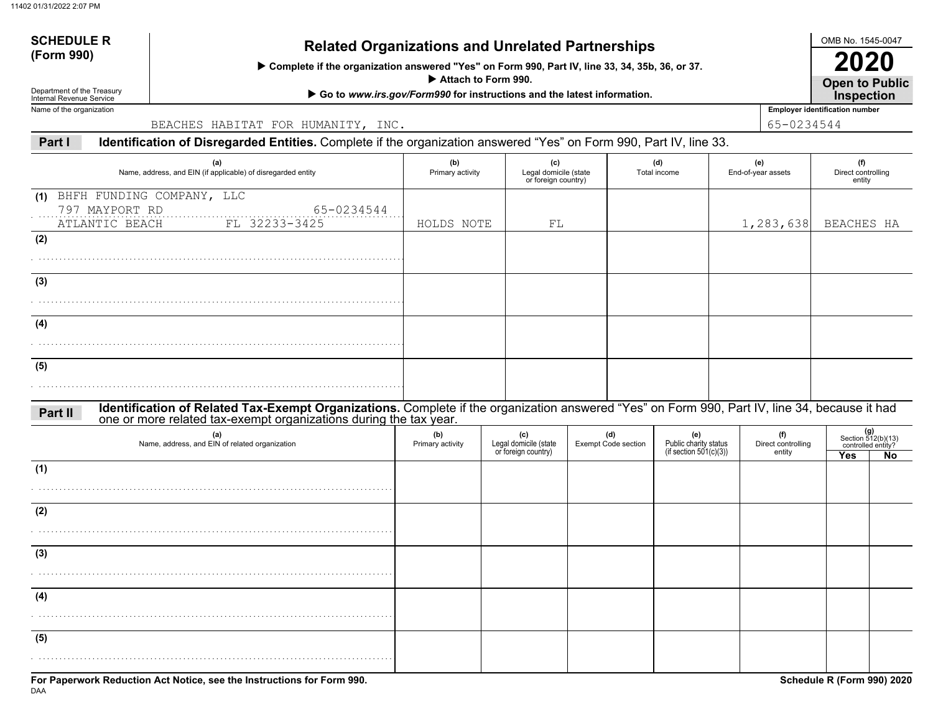# **SCHEDULE R**

## **(Form 990) Related Organizations and Unrelated Partnerships**

 **Complete if the organization answered "Yes" on Form 990, Part IV, line 33, 34, 35b, 36, or 37.**

 **Attach to Form 990.**

▶ Go to *www.irs.gov/Form990* for instructions and the latest information.

Department of the Treasury Internal Revenue ServiceName of the organization

BEACHES HABITAT FOR HUMANITY, INC. 65-0234544

**Part IIdentification of Disregarded Entities.** Complete if the organization answered "Yes" on Form 990, Part IV, line 33.

| (a)<br>Name, address, and EIN (if applicable) of disregarded entity                                                                                                                                                           | (b)<br>Primary activity | (c)<br>Legal domicile (state<br>or foreign country) |                                   | (d)<br>Total income                                    |                                     | (e)<br>End-of-year assets | (f)<br>Direct controlling<br>entity |                                                         |  |
|-------------------------------------------------------------------------------------------------------------------------------------------------------------------------------------------------------------------------------|-------------------------|-----------------------------------------------------|-----------------------------------|--------------------------------------------------------|-------------------------------------|---------------------------|-------------------------------------|---------------------------------------------------------|--|
| BHFH FUNDING COMPANY, LLC<br>(1)<br>797 MAYPORT RD<br>65-0234544<br>FL 32233-3425<br>ATLANTIC BEACH                                                                                                                           | HOLDS NOTE              | FL                                                  |                                   |                                                        |                                     | 1,283,638                 | BEACHES HA                          |                                                         |  |
| (2)                                                                                                                                                                                                                           |                         |                                                     |                                   |                                                        |                                     |                           |                                     |                                                         |  |
| (3)                                                                                                                                                                                                                           |                         |                                                     |                                   |                                                        |                                     |                           |                                     |                                                         |  |
| (4)                                                                                                                                                                                                                           |                         |                                                     |                                   |                                                        |                                     |                           |                                     |                                                         |  |
| (5)                                                                                                                                                                                                                           |                         |                                                     |                                   |                                                        |                                     |                           |                                     |                                                         |  |
| Identification of Related Tax-Exempt Organizations. Complete if the organization answered "Yes" on Form 990, Part IV, line 34, because it had<br>one or more related tax-exempt organizations during the tax year.<br>Part II |                         |                                                     |                                   |                                                        |                                     |                           |                                     |                                                         |  |
| (a)<br>Name, address, and EIN of related organization                                                                                                                                                                         | (b)<br>Primary activity | (c)<br>Legal domicile (state<br>or foreign country) | (d)<br><b>Exempt Code section</b> | (e)<br>Public charity status<br>(if section 501(c)(3)) | (f)<br>Direct controlling<br>entity |                           | Yes                                 | $(g)$<br>Section 512(b)(13)<br>controlled entity?<br>No |  |
| (1)                                                                                                                                                                                                                           |                         |                                                     |                                   |                                                        |                                     |                           |                                     |                                                         |  |
| (2)                                                                                                                                                                                                                           |                         |                                                     |                                   |                                                        |                                     |                           |                                     |                                                         |  |
| (3)                                                                                                                                                                                                                           |                         |                                                     |                                   |                                                        |                                     |                           |                                     |                                                         |  |
| (4)                                                                                                                                                                                                                           |                         |                                                     |                                   |                                                        |                                     |                           |                                     |                                                         |  |
| (5)                                                                                                                                                                                                                           |                         |                                                     |                                   |                                                        |                                     |                           |                                     |                                                         |  |

OMB No. 1545-0047

**Open to Public 2020**

**Employer identification number Inspection**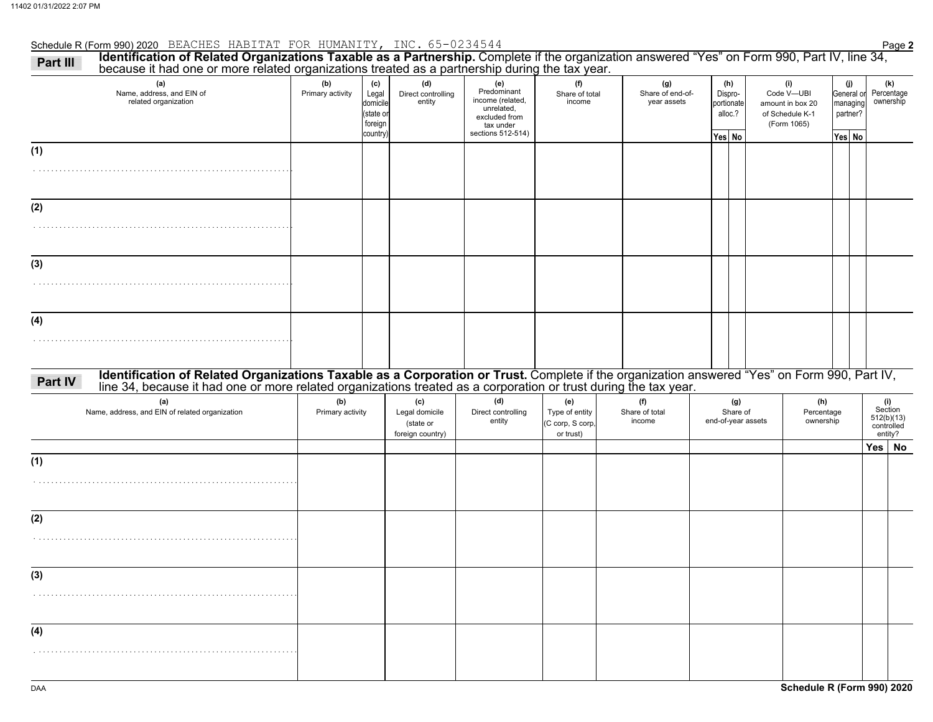### Schedule R (Form 990) 2020 Page **2** BEACHES HABITAT FOR HUMANITY, INC. 65-0234544

| Identification of Related Organizations Taxable as a Partnership. Complete if the organization answered "Yes" on Form 990, Part IV, line 34,<br>Part III<br>because it had one or more related organizations treated as a partnership during the tax year. |                         |                                                             |                                                        |                                                                                                         |                                                        |                                        |                                                   |                                       |                                                                         |                                       |     |                                                       |
|------------------------------------------------------------------------------------------------------------------------------------------------------------------------------------------------------------------------------------------------------------|-------------------------|-------------------------------------------------------------|--------------------------------------------------------|---------------------------------------------------------------------------------------------------------|--------------------------------------------------------|----------------------------------------|---------------------------------------------------|---------------------------------------|-------------------------------------------------------------------------|---------------------------------------|-----|-------------------------------------------------------|
| (a)<br>Name, address, and EIN of<br>related organization                                                                                                                                                                                                   | (b)<br>Primary activity | (c)<br>Legal<br>domicile<br>(state or<br>foreign<br>country | (d)<br>Direct controlling<br>entity                    | (e)<br>Predominant<br>income (related,<br>unrelated,<br>excluded from<br>tax under<br>sections 512-514) | (f)<br>Share of total<br>income                        | (g)<br>Share of end-of-<br>year assets | (h)<br>Dispro-<br>portionate<br>alloc.?<br>Yes No |                                       | (i)<br>Code V-UBI<br>amount in box 20<br>of Schedule K-1<br>(Form 1065) | (j)<br>managing<br>partner?<br>Yes No |     | (k)<br>General or Percentage<br>ownership             |
| (1)                                                                                                                                                                                                                                                        |                         |                                                             |                                                        |                                                                                                         |                                                        |                                        |                                                   |                                       |                                                                         |                                       |     |                                                       |
| (2)                                                                                                                                                                                                                                                        |                         |                                                             |                                                        |                                                                                                         |                                                        |                                        |                                                   |                                       |                                                                         |                                       |     |                                                       |
| (3)                                                                                                                                                                                                                                                        |                         |                                                             |                                                        |                                                                                                         |                                                        |                                        |                                                   |                                       |                                                                         |                                       |     |                                                       |
| (4)                                                                                                                                                                                                                                                        |                         |                                                             |                                                        |                                                                                                         |                                                        |                                        |                                                   |                                       |                                                                         |                                       |     |                                                       |
| Identification of Related Organizations Taxable as a Corporation or Trust. Complete if the organization answered "Yes" on Form 990, Part IV, line 34, because it had one or more related organizations treated as a corporatio<br>Part IV                  |                         |                                                             |                                                        |                                                                                                         |                                                        |                                        |                                                   |                                       |                                                                         |                                       |     |                                                       |
| (a)<br>Name, address, and EIN of related organization                                                                                                                                                                                                      | (b)<br>Primary activity |                                                             | (c)<br>Legal domicile<br>(state or<br>foreign country) | (d)<br>Direct controlling<br>entity                                                                     | (e)<br>Type of entity<br>(C corp, S corp,<br>or trust) | (f)<br>Share of total<br>income        |                                                   | (g)<br>Share of<br>end-of-year assets | (h)<br>Percentage<br>ownership                                          |                                       |     | (i)<br>Section<br>512(b)(13)<br>controlled<br>entity? |
| (1)                                                                                                                                                                                                                                                        |                         |                                                             |                                                        |                                                                                                         |                                                        |                                        |                                                   |                                       |                                                                         |                                       | Yes | <b>No</b>                                             |
| (2)                                                                                                                                                                                                                                                        |                         |                                                             |                                                        |                                                                                                         |                                                        |                                        |                                                   |                                       |                                                                         |                                       |     |                                                       |
| (3)                                                                                                                                                                                                                                                        |                         |                                                             |                                                        |                                                                                                         |                                                        |                                        |                                                   |                                       |                                                                         |                                       |     |                                                       |
| (4)                                                                                                                                                                                                                                                        |                         |                                                             |                                                        |                                                                                                         |                                                        |                                        |                                                   |                                       |                                                                         |                                       |     |                                                       |
|                                                                                                                                                                                                                                                            |                         |                                                             |                                                        |                                                                                                         |                                                        |                                        |                                                   |                                       |                                                                         |                                       |     |                                                       |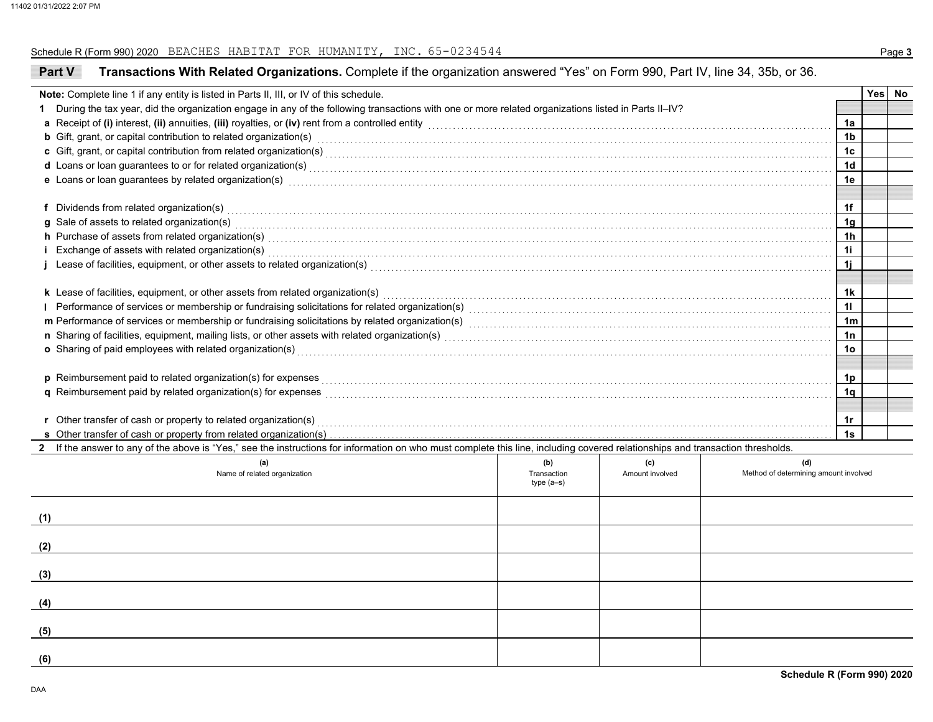#### Schedule R (Form 990) 2020 Page **3** BEACHES HABITAT FOR HUMANITY, INC. 65-0234544

| Transactions With Related Organizations. Complete if the organization answered "Yes" on Form 990, Part IV, line 34, 35b, or 36.<br><b>Part V</b>                                                                                                                                                                                                                                                                                                                |                            |                 |                                       |                 |  |        |  |  |  |  |  |
|-----------------------------------------------------------------------------------------------------------------------------------------------------------------------------------------------------------------------------------------------------------------------------------------------------------------------------------------------------------------------------------------------------------------------------------------------------------------|----------------------------|-----------------|---------------------------------------|-----------------|--|--------|--|--|--|--|--|
| Note: Complete line 1 if any entity is listed in Parts II, III, or IV of this schedule.                                                                                                                                                                                                                                                                                                                                                                         |                            |                 |                                       |                 |  | Yes No |  |  |  |  |  |
| During the tax year, did the organization engage in any of the following transactions with one or more related organizations listed in Parts II-IV?<br>1.                                                                                                                                                                                                                                                                                                       |                            |                 |                                       |                 |  |        |  |  |  |  |  |
| a Receipt of (i) interest, (ii) annuities, (iii) royalties, or (iv) rent from a controlled entity [1] controlled entity [1] controlled entity and controlled entity and controlled entity and controlled entity and contained                                                                                                                                                                                                                                   |                            |                 |                                       | 1a              |  |        |  |  |  |  |  |
| <b>b</b> Gift, grant, or capital contribution to related organization(s) encourse consumed and consumed contribution to related organization(s)                                                                                                                                                                                                                                                                                                                 |                            |                 |                                       | 1 <sub>b</sub>  |  |        |  |  |  |  |  |
|                                                                                                                                                                                                                                                                                                                                                                                                                                                                 |                            |                 |                                       |                 |  |        |  |  |  |  |  |
| d Loans or loan guarantees to or for related organization(s) encourance contains an account of the container and container and container and container and container and container and container and container and container a                                                                                                                                                                                                                                  |                            |                 |                                       |                 |  |        |  |  |  |  |  |
| e Loans or loan guarantees by related organization(s) encourance contains an account of the container container                                                                                                                                                                                                                                                                                                                                                 |                            |                 |                                       |                 |  |        |  |  |  |  |  |
|                                                                                                                                                                                                                                                                                                                                                                                                                                                                 |                            |                 |                                       |                 |  |        |  |  |  |  |  |
| f Dividends from related organization(s) with an example and contact the control of the control of the contact or contact the control or contact or contact the contact or contact or contact the contact of the contact or co                                                                                                                                                                                                                                  |                            |                 |                                       | 1f              |  |        |  |  |  |  |  |
| g Sale of assets to related organization(s) with an example and contact the set of assets to related organization(s)                                                                                                                                                                                                                                                                                                                                            |                            |                 |                                       |                 |  |        |  |  |  |  |  |
| h Purchase of assets from related organization(s) encounteral contracts and control of the Purchase of assets from related organization(s) encounteral contracts and control of the Purchase of assets from related organizati                                                                                                                                                                                                                                  |                            |                 |                                       |                 |  |        |  |  |  |  |  |
|                                                                                                                                                                                                                                                                                                                                                                                                                                                                 |                            |                 |                                       | 11              |  |        |  |  |  |  |  |
| Exchange of assets with related organization(s) with an experiment control of the set of assets with related organization(s) with the set of the set of the set of the set of the set of the set of the set of the set of the<br>Lease of facilities, equipment, or other assets to related organization(s) Materian Commences and Commences and Commences and Commences and Commences and Commences and Commences and Commences and Commences and Commences an |                            |                 |                                       |                 |  |        |  |  |  |  |  |
|                                                                                                                                                                                                                                                                                                                                                                                                                                                                 |                            |                 |                                       |                 |  |        |  |  |  |  |  |
| k Lease of facilities, equipment, or other assets from related organization(s) Materian material entertainment                                                                                                                                                                                                                                                                                                                                                  |                            |                 |                                       | 1k              |  |        |  |  |  |  |  |
| Performance of services or membership or fundraising solicitations for related organization(s) [11] processors content to conserve the services or membership or fundraising solicitations for related organization(s) [11] pr<br>L                                                                                                                                                                                                                             |                            |                 |                                       |                 |  |        |  |  |  |  |  |
| m Performance of services or membership or fundraising solicitations by related organization(s) matches contains accommodal contained and professor membership or fundraising solicitations by related organization(s) matches                                                                                                                                                                                                                                  |                            |                 |                                       |                 |  |        |  |  |  |  |  |
|                                                                                                                                                                                                                                                                                                                                                                                                                                                                 |                            |                 |                                       |                 |  |        |  |  |  |  |  |
| o Sharing of paid employees with related organization(s) encourance contains an array contained a starting of paid employees with related organization(s)                                                                                                                                                                                                                                                                                                       |                            |                 |                                       | 10 <sub>o</sub> |  |        |  |  |  |  |  |
|                                                                                                                                                                                                                                                                                                                                                                                                                                                                 |                            |                 |                                       |                 |  |        |  |  |  |  |  |
| p Reimbursement paid to related organization(s) for expenses <b>conservative conservative conservative conservative</b>                                                                                                                                                                                                                                                                                                                                         |                            |                 |                                       |                 |  |        |  |  |  |  |  |
| q Reimbursement paid by related organization(s) for expenses [1] responses [1] response to response the set of the set of the set of the set of the set of the set of the set of the set of the set of the set of the set of t                                                                                                                                                                                                                                  |                            |                 |                                       | 1q              |  |        |  |  |  |  |  |
|                                                                                                                                                                                                                                                                                                                                                                                                                                                                 |                            |                 |                                       |                 |  |        |  |  |  |  |  |
| r Other transfer of cash or property to related organization(s) Materian Channel Community Community Channel Channel Channel Channel Channel Channel Channel Channel Channel Channel Channel Channel Channel Channel Channel C                                                                                                                                                                                                                                  |                            |                 |                                       | 1r              |  |        |  |  |  |  |  |
|                                                                                                                                                                                                                                                                                                                                                                                                                                                                 |                            |                 |                                       | 1s              |  |        |  |  |  |  |  |
| 2 If the answer to any of the above is "Yes," see the instructions for information on who must complete this line, including covered relationships and transaction thresholds.                                                                                                                                                                                                                                                                                  |                            |                 |                                       |                 |  |        |  |  |  |  |  |
| (a)                                                                                                                                                                                                                                                                                                                                                                                                                                                             | (b)                        | (c)             | (d)                                   |                 |  |        |  |  |  |  |  |
| Name of related organization                                                                                                                                                                                                                                                                                                                                                                                                                                    | Transaction<br>$type(a-s)$ | Amount involved | Method of determining amount involved |                 |  |        |  |  |  |  |  |
|                                                                                                                                                                                                                                                                                                                                                                                                                                                                 |                            |                 |                                       |                 |  |        |  |  |  |  |  |
|                                                                                                                                                                                                                                                                                                                                                                                                                                                                 |                            |                 |                                       |                 |  |        |  |  |  |  |  |
| (1)                                                                                                                                                                                                                                                                                                                                                                                                                                                             |                            |                 |                                       |                 |  |        |  |  |  |  |  |
|                                                                                                                                                                                                                                                                                                                                                                                                                                                                 |                            |                 |                                       |                 |  |        |  |  |  |  |  |
| (2)                                                                                                                                                                                                                                                                                                                                                                                                                                                             |                            |                 |                                       |                 |  |        |  |  |  |  |  |
|                                                                                                                                                                                                                                                                                                                                                                                                                                                                 |                            |                 |                                       |                 |  |        |  |  |  |  |  |
| (3)                                                                                                                                                                                                                                                                                                                                                                                                                                                             |                            |                 |                                       |                 |  |        |  |  |  |  |  |
|                                                                                                                                                                                                                                                                                                                                                                                                                                                                 |                            |                 |                                       |                 |  |        |  |  |  |  |  |
| (4)                                                                                                                                                                                                                                                                                                                                                                                                                                                             |                            |                 |                                       |                 |  |        |  |  |  |  |  |
|                                                                                                                                                                                                                                                                                                                                                                                                                                                                 |                            |                 |                                       |                 |  |        |  |  |  |  |  |
| (5)                                                                                                                                                                                                                                                                                                                                                                                                                                                             |                            |                 |                                       |                 |  |        |  |  |  |  |  |
|                                                                                                                                                                                                                                                                                                                                                                                                                                                                 |                            |                 |                                       |                 |  |        |  |  |  |  |  |
| (6)                                                                                                                                                                                                                                                                                                                                                                                                                                                             |                            |                 |                                       |                 |  |        |  |  |  |  |  |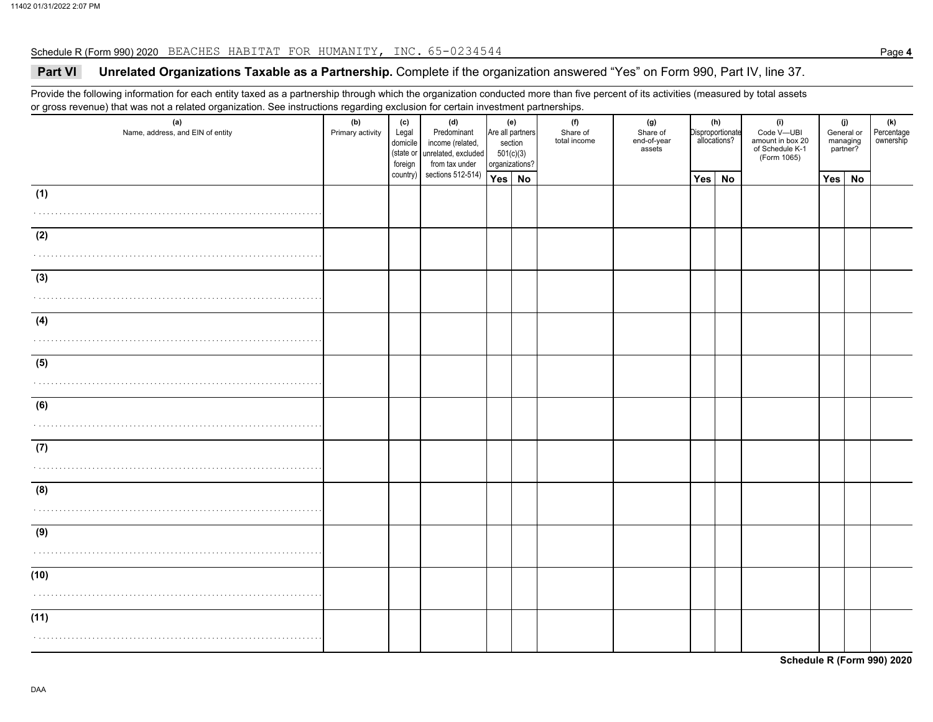#### Schedule R (Form 990) 2020 Page **4** BEACHES HABITAT FOR HUMANITY, INC. 65-0234544

### **Part VI Unrelated Organizations Taxable as a Partnership.** Complete if the organization answered "Yes" on Form 990, Part IV, line 37.

Provide the following information for each entity taxed as a partnership through which the organization conducted more than five percent of its activities (measured by total assets or gross revenue) that was not a related organization. See instructions regarding exclusion for certain investment partnerships.

| (a)<br>Name, address, and EIN of entity | (b)<br>Primary activity | (c)<br>Legal<br>domicile<br>foreign | (d)<br>Predominant<br>income (related,<br>(state or unrelated, excluded<br>from tax under | (e)<br>Are all partners<br>section<br>501(c)(3)<br>organizations? |  | (f)<br>Share of<br>total income | (g)<br>Share of<br>end-of-year<br>assets |     | (h)<br>Disproportionate<br>allocations? | (i)<br>Code V-UBI<br>amount in box 20<br>of Schedule K-1<br>(Form 1065) |        | (j)<br>General or<br>managing<br>partner? | (k)<br>Percentage<br>ownership |
|-----------------------------------------|-------------------------|-------------------------------------|-------------------------------------------------------------------------------------------|-------------------------------------------------------------------|--|---------------------------------|------------------------------------------|-----|-----------------------------------------|-------------------------------------------------------------------------|--------|-------------------------------------------|--------------------------------|
|                                         |                         | country)                            | sections 512-514)                                                                         | Yes No                                                            |  |                                 |                                          | Yes | <b>No</b>                               |                                                                         | Yes No |                                           |                                |
| (1)                                     |                         |                                     |                                                                                           |                                                                   |  |                                 |                                          |     |                                         |                                                                         |        |                                           |                                |
|                                         |                         |                                     |                                                                                           |                                                                   |  |                                 |                                          |     |                                         |                                                                         |        |                                           |                                |
| (2)                                     |                         |                                     |                                                                                           |                                                                   |  |                                 |                                          |     |                                         |                                                                         |        |                                           |                                |
|                                         |                         |                                     |                                                                                           |                                                                   |  |                                 |                                          |     |                                         |                                                                         |        |                                           |                                |
| (3)                                     |                         |                                     |                                                                                           |                                                                   |  |                                 |                                          |     |                                         |                                                                         |        |                                           |                                |
|                                         |                         |                                     |                                                                                           |                                                                   |  |                                 |                                          |     |                                         |                                                                         |        |                                           |                                |
| (4)                                     |                         |                                     |                                                                                           |                                                                   |  |                                 |                                          |     |                                         |                                                                         |        |                                           |                                |
|                                         |                         |                                     |                                                                                           |                                                                   |  |                                 |                                          |     |                                         |                                                                         |        |                                           |                                |
| (5)                                     |                         |                                     |                                                                                           |                                                                   |  |                                 |                                          |     |                                         |                                                                         |        |                                           |                                |
|                                         |                         |                                     |                                                                                           |                                                                   |  |                                 |                                          |     |                                         |                                                                         |        |                                           |                                |
| (6)                                     |                         |                                     |                                                                                           |                                                                   |  |                                 |                                          |     |                                         |                                                                         |        |                                           |                                |
|                                         |                         |                                     |                                                                                           |                                                                   |  |                                 |                                          |     |                                         |                                                                         |        |                                           |                                |
| (7)                                     |                         |                                     |                                                                                           |                                                                   |  |                                 |                                          |     |                                         |                                                                         |        |                                           |                                |
|                                         |                         |                                     |                                                                                           |                                                                   |  |                                 |                                          |     |                                         |                                                                         |        |                                           |                                |
| (8)                                     |                         |                                     |                                                                                           |                                                                   |  |                                 |                                          |     |                                         |                                                                         |        |                                           |                                |
|                                         |                         |                                     |                                                                                           |                                                                   |  |                                 |                                          |     |                                         |                                                                         |        |                                           |                                |
| (9)                                     |                         |                                     |                                                                                           |                                                                   |  |                                 |                                          |     |                                         |                                                                         |        |                                           |                                |
|                                         |                         |                                     |                                                                                           |                                                                   |  |                                 |                                          |     |                                         |                                                                         |        |                                           |                                |
| (10)                                    |                         |                                     |                                                                                           |                                                                   |  |                                 |                                          |     |                                         |                                                                         |        |                                           |                                |
|                                         |                         |                                     |                                                                                           |                                                                   |  |                                 |                                          |     |                                         |                                                                         |        |                                           |                                |
| (11)                                    |                         |                                     |                                                                                           |                                                                   |  |                                 |                                          |     |                                         |                                                                         |        |                                           |                                |
|                                         |                         |                                     |                                                                                           |                                                                   |  |                                 |                                          |     |                                         |                                                                         |        |                                           |                                |
|                                         |                         |                                     |                                                                                           |                                                                   |  |                                 |                                          |     |                                         |                                                                         |        |                                           |                                |

**Schedule R (Form 990) 2020**